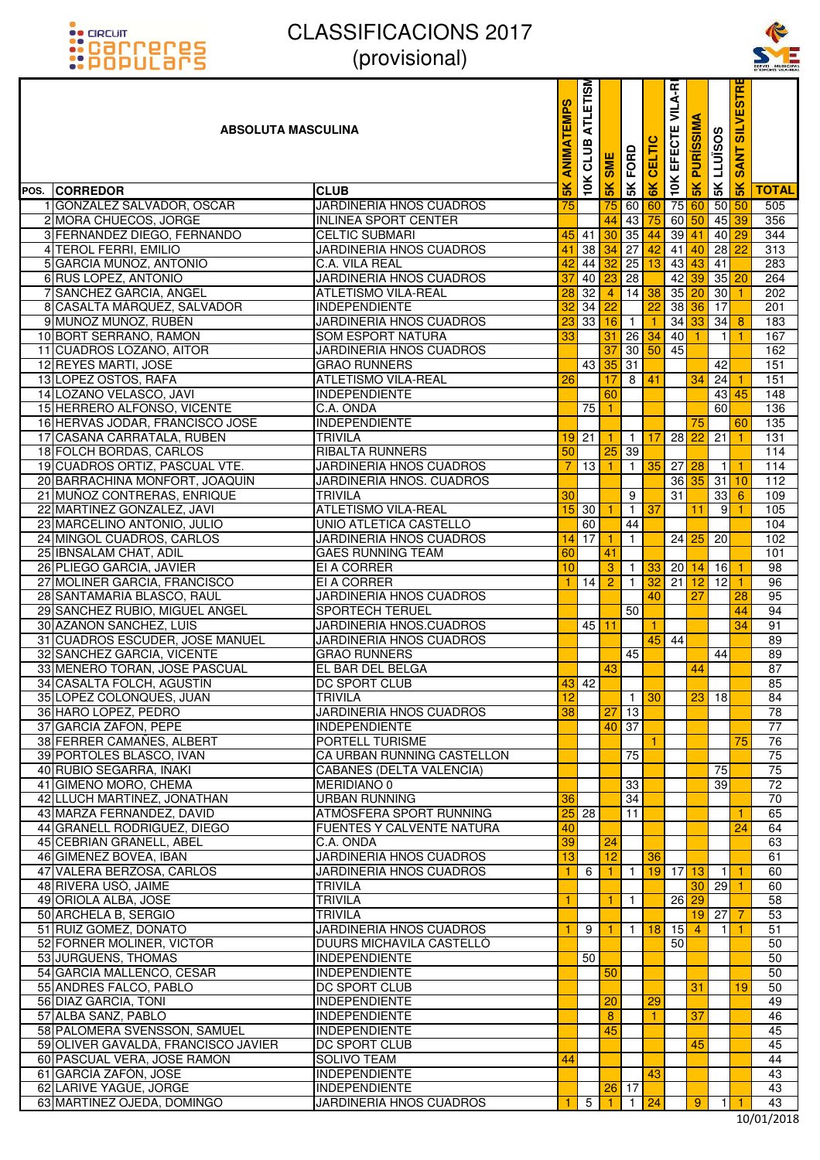



| <u>::PUPULdI'5</u>                                               | $\mu$ $\sigma$ $\sigma$ $\sigma$ $\sigma$ $\sigma$                |                 |                         |                       |                      |                             |                 |                                                               |                      |                             | SERVEI MUNICIPA<br>D'ESPORTS VILA-REA |
|------------------------------------------------------------------|-------------------------------------------------------------------|-----------------|-------------------------|-----------------------|----------------------|-----------------------------|-----------------|---------------------------------------------------------------|----------------------|-----------------------------|---------------------------------------|
| <b>ABSOLUTA MASCULINA</b>                                        |                                                                   | EMPS<br>MINE    | <b>ATLETISM</b><br>CLUB | <b>SME</b>            | 5K FORD              | <b>6K CELTIC</b>            |                 | <sub>여</sub> 10K EFECTE VILA-R<br><mark>영 5K PURÍSSIMA</mark> | <b>SK LLUISOS</b>    | <b>SANT SILVESTR</b>        |                                       |
| <b>CORREDOR</b><br>POS.                                          | <b>CLUB</b>                                                       | $\frac{2}{\pi}$ | 10K                     | $\frac{1}{2}$         |                      |                             |                 |                                                               |                      | 5K                          | <b>TOTAL</b>                          |
| 1 GONZALEZ SALVADOR, OSCAR                                       | <b>JARDINERIA HNOS CUADROS</b>                                    | 75              |                         | 75                    | 60                   | 60                          |                 |                                                               |                      | $50\,$ 50                   | 505                                   |
| 2 MORA CHUECOS, JORGE                                            | <b>INLINEA SPORT CENTER</b>                                       |                 |                         | 44                    | 43                   | 75                          |                 | $60\,50$                                                      |                      | 45 39                       | 356                                   |
| 3 FERNANDEZ DIEGO, FERNANDO                                      | <b>CELTIC SUBMARI</b>                                             | 45              | 41                      | 30                    |                      | $35 \overline{\smash{)}44}$ |                 | $39$ 41                                                       |                      | 40 29                       | $\frac{1}{344}$                       |
| 4 TEROL FERRI, EMILIO                                            | <b>JARDINERIA HNOS CUADROS</b>                                    | 41              | 38                      | 34                    | $\overline{27}$      | 42                          |                 | $41$ 40                                                       | 28                   | 22                          | 313                                   |
| 5 GARCIA MUÑOZ, ANTONIO                                          | C.A. VILA REAL                                                    | 42              | 44                      | 32                    | 25                   | 13                          |                 | $43 \overline{\smash{)}43}$                                   | 41                   |                             | 283                                   |
| 6 RUS LOPEZ, ANTONIO                                             | JARDINERIA HNOS CUADROS                                           | 37              | 40                      |                       | 28                   |                             | 42              | 39                                                            |                      | $35$ 20                     | 264                                   |
| 7 SANCHEZ GARCIA, ANGEL                                          | <b>ATLETISMO VILA-REAL</b>                                        | 28              | 32                      | $\overline{4}$        |                      | $14 \overline{\smash{38}}$  |                 | $35$ 20                                                       | 30                   | $\vert$ 1                   | 202                                   |
| 8 CASALTA MÁRQUEZ, SALVADOR<br>9 MUÑOZ MUÑOZ, RUBÉN              | <b>INDEPENDIENTE</b>                                              | 3               | 34<br>33                | $\overline{22}$<br>16 |                      | 22<br>$\mathbf{1}$          |                 | $38\overline{36}$                                             | 17<br>34             |                             | 201                                   |
| 10 BORT SERRANO, RAMON                                           | <b>JARDINERIA HNOS CUADROS</b><br><b>SOM ESPORT NATURA</b>        | 23<br>33        |                         | 31                    | $\overline{1}$<br>26 | 34                          | 40              | $34\overline{33}$<br>$\vert$ 1                                | $\overline{1}$       | $\overline{\mathbf{8}}$     | 183<br>167                            |
| 11 CUADROS LOZANO, AITOR                                         | JARDINERIA HNOS CUADROS                                           |                 |                         | 37                    | 30 <sup>°</sup>      | 50                          | 45              |                                                               |                      |                             | 162                                   |
| 12 REYES MARTI, JOSE                                             | <b>GRAO RUNNERS</b>                                               |                 | 43                      | 35                    | 31                   |                             |                 |                                                               | 42                   |                             | 151                                   |
| 13 LOPEZ OSTOS, RAFA                                             | <b>ATLETISMO VILA-REAL</b>                                        | 26              |                         | 17                    | $\infty$             | 41                          |                 | 34                                                            | 24                   | $\overline{1}$              | 151                                   |
| 14 LOZANO VELASCO, JAVI                                          | <b>INDEPENDIENTE</b>                                              |                 |                         | 60                    |                      |                             |                 |                                                               |                      | $43 \overline{\smash{145}}$ | 148                                   |
| 15 HERRERO ALFONSO, VICENTE                                      | C.A. ONDA                                                         |                 | 75                      | $\mathbf{1}$          |                      |                             |                 |                                                               | 60                   |                             | 136                                   |
| 16 HERVAS JODAR, FRANCISCO JOSE                                  | <b>INDEPENDIENTE</b>                                              |                 |                         |                       |                      |                             |                 | 75                                                            |                      | 60                          | $\overline{135}$                      |
| 17 CASAÑA CARRATALA, RUBEN                                       | <b>TRIVILA</b>                                                    |                 | $19$ 21                 | 1.                    | $\overline{1}$       | 17                          | $\overline{28}$ | $\overline{22}$                                               | 21                   |                             | 131                                   |
| 18 FOLCH BORDAS, CARLOS                                          | <b>RIBALTA RUNNERS</b>                                            | 50              |                         | 25                    | 39                   |                             |                 |                                                               |                      |                             | 114                                   |
| 19 CUADROS ORTIZ, PASCUAL VTE.<br>20 BARRACHINA MONFORT, JOAQUÍN | <b>JARDINERIA HNOS CUADROS</b><br><b>JARDINERÍA HNOS. CUADROS</b> | 7               | 13                      | 1                     | $\mathbf{1}$         | 35                          |                 | $27$ $28$<br>$36\overline{35}$                                | $\overline{1}$<br>31 | $\overline{1}$<br>10        | $\frac{114}{114}$<br>112              |
| 21 MUÑOZ CONTRERAS, ENRIQUE                                      | <b>TRIVILA</b>                                                    | 30              |                         |                       | 9                    |                             | 31              |                                                               | 33                   | 6                           | 109                                   |
| 22 MARTINEZ GONZALEZ, JAVI                                       | <b>ATLETISMO VILA-REAL</b>                                        | 15              | 30                      | 1.                    | $\mathbf{1}$         | $\overline{37}$             |                 | 11                                                            | 9                    |                             | 105                                   |
| 23 MARCELINO ANTONIO, JULIO                                      | UNIO ATLETICA CASTELLO                                            |                 | 60                      |                       | 44                   |                             |                 |                                                               |                      |                             | 104                                   |
| 24 MINGOL CUADROS, CARLOS                                        | JARDINERIA HNOS CUADROS                                           |                 | $14$ 17                 |                       | $\mathbf{1}$         |                             | 24              | 25                                                            | 20                   |                             | 102                                   |
| 25 IBNSALAM CHAT, ADIL                                           | <b>GAES RUNNING TEAM</b>                                          | 60              |                         | 41                    |                      |                             |                 |                                                               |                      |                             | 101                                   |
| 26 PLIEGO GARCIA, JAVIER                                         | EI A CORRER                                                       | 10              |                         | $\overline{3}$        | $\mathbf{1}$         | 33                          |                 | $20$ 14                                                       | 16                   | -1                          | $\overline{98}$                       |
| 27 MOLINER GARCIA, FRANCISCO                                     | EI A CORRER                                                       | 1               | 14                      | $\overline{2}$        | $\mathbf{1}$         | 32                          | 21              | 12                                                            | 12                   | -1                          | 96                                    |
| 28 SANTAMARIA BLASCO, RAUL                                       | <b>JARDINERIA HNOS CUADROS</b>                                    |                 |                         |                       |                      | 40                          |                 | 27                                                            |                      | 28                          | 95                                    |
| 29 SANCHEZ RUBIO, MIGUEL ANGEL                                   | <b>SPORTECH TERUEL</b>                                            |                 |                         |                       | 50                   |                             |                 |                                                               |                      | 44                          | 94                                    |
| 30 AZAÑON SANCHEZ, LUIS<br>31 CUADROS ESCUDER, JOSE MANUEL       | JARDINERIA HNOS.CUADROS<br>JARDINERIA HNOS CUADROS                |                 | 45                      | 11                    |                      | 45                          | 44              |                                                               |                      | 34                          | 91<br>89                              |
| 32 SANCHEZ GARCIA, VICENTE                                       | <b>GRAO RUNNERS</b>                                               |                 |                         |                       | 45                   |                             |                 |                                                               | 44                   |                             | 89                                    |
| 33 MENERO TORAN, JOSE PASCUAL                                    | EL BAR DEL BELGA                                                  |                 |                         | 43                    |                      |                             |                 | 44                                                            |                      |                             | 87                                    |
| 34 CASALTA FOLCH, AGUSTÍN                                        | DC SPORT CLUB                                                     |                 | $43$ 42                 |                       |                      |                             |                 |                                                               |                      |                             | 85                                    |
| 35 LOPEZ COLONQUES, JUAN                                         | <b>TRIVILA</b>                                                    | $\overline{12}$ |                         |                       |                      | $1 \overline{30}$           |                 | 23                                                            | 18                   |                             | 84                                    |
| 36 HARO LOPEZ, PEDRO                                             | <b>JARDINERIA HNOS CUADROS</b>                                    | 38              |                         | 27                    | 13                   |                             |                 |                                                               |                      |                             | 78                                    |
| 37 GARCIA ZAFON, PEPE                                            | <b>INDEPENDIENTE</b>                                              |                 |                         |                       | 40 37                |                             |                 |                                                               |                      |                             | $\overline{77}$                       |
| 38 FERRER CAMAÑES, ALBERT                                        | PORTELL TURISME                                                   |                 |                         |                       |                      |                             |                 |                                                               |                      | 75                          | 76                                    |
| 39 PORTOLES BLASCO, IVAN                                         | CA URBAN RUNNING CASTELLON                                        |                 |                         |                       | 75                   |                             |                 |                                                               |                      |                             | 75                                    |
| 40 RUBIO SEGARRA, IÑAKI<br>41 GIMENO MORO, CHEMA                 | <b>CABANES (DELTA VALENCIA)</b><br><b>MERIDIANO 0</b>             |                 |                         |                       | 33                   |                             |                 |                                                               | 75<br>39             |                             | 75<br>$\overline{72}$                 |
| 42 LLUCH MARTINEZ, JONATHAN                                      | <b>URBAN RUNNING</b>                                              | 36              |                         |                       | 34                   |                             |                 |                                                               |                      |                             | 70                                    |
| 43 MARZA FERNANDEZ, DAVID                                        | ATMÓSFERA SPORT RUNNING                                           | 25              | 28                      |                       | 11                   |                             |                 |                                                               |                      | 1                           | 65                                    |
| 44 GRANELL RODRIGUEZ, DIEGO                                      | <b>FUENTES Y CALVENTE NATURA</b>                                  | 40              |                         |                       |                      |                             |                 |                                                               |                      | 24                          | 64                                    |
| 45 CEBRIAN GRANELL, ABEL                                         | C.A. ONDA                                                         | 39              |                         | 24                    |                      |                             |                 |                                                               |                      |                             | 63                                    |
| 46 GIMENEZ BOVEA, IBAN                                           | JARDINERIA HNOS CUADROS                                           | 13              |                         | 12                    |                      | 36                          |                 |                                                               |                      |                             | 61                                    |
| 47 VALERA BERZOSA, CARLOS                                        | JARDINERIA HNOS CUADROS                                           | 1.              | 6                       | 1.                    | $\mathbf{1}$         | 19                          |                 | $17$ 13                                                       | - 11                 | -1                          | 60                                    |
| 48 RIVERA USÓ, JAIME                                             | <b>TRIVILA</b>                                                    |                 |                         |                       |                      |                             |                 | 30                                                            | 29                   |                             | 60                                    |
| 49 ORIOLA ALBA, JOSE                                             | <b>TRIVILA</b>                                                    | 1               |                         |                       | $\overline{1}$       |                             |                 | $26$ 29                                                       |                      |                             | 58                                    |
| 50 ARCHELA B, SERGIO<br>51 RUIZ GOMEZ, DONATO                    | <b>TRIVILA</b><br><b>JARDINERIA HNOS CUADROS</b>                  | 1               | 9                       |                       |                      | 18                          | 15              | 19<br>$\overline{4}$                                          | 27<br>11             | 7                           | 53<br>51                              |
| 52 FORNER MOLINER, VICTOR                                        | DUURS MICHAVILA CASTELLÓ                                          |                 |                         |                       | $\vert$ 1            |                             | 50              |                                                               |                      |                             | 50                                    |
| 53 JURGUENS, THOMAS                                              | <b>INDEPENDIENTE</b>                                              |                 | 50                      |                       |                      |                             |                 |                                                               |                      |                             | 50                                    |
| 54 GARCIA MALLENCO, CESAR                                        | <b>INDEPENDIENTE</b>                                              |                 |                         | 50                    |                      |                             |                 |                                                               |                      |                             | 50                                    |
| 55 ANDRES FALCO, PABLO                                           | <b>DC SPORT CLUB</b>                                              |                 |                         |                       |                      |                             |                 | 31                                                            |                      | 19                          | 50                                    |
| 56 DIAZ GARCIA, TONI                                             | <b>INDEPENDIENTE</b>                                              |                 |                         | 20                    |                      | 29                          |                 |                                                               |                      |                             | 49                                    |
| 57 ALBA SANZ, PABLO                                              | <b>INDEPENDIENTE</b>                                              |                 |                         | 8                     |                      | 1.                          |                 | 37                                                            |                      |                             | 46                                    |
| 58 PALOMERA SVENSSON, SAMUEL                                     | <b>INDEPENDIENTE</b>                                              |                 |                         | 45                    |                      |                             |                 |                                                               |                      |                             | 45                                    |
| 59 OLIVER GAVALDÁ, FRANCISCO JAVIER                              | DC SPORT CLUB                                                     |                 |                         |                       |                      |                             |                 | 45                                                            |                      |                             | 45                                    |
| 60 PASCUAL VERA, JOSE RAMON<br>61 GARCÍA ZAFÓN, JOSE             | <b>SOLIVO TEAM</b><br><b>INDEPENDIENTE</b>                        | 44              |                         |                       |                      | 43                          |                 |                                                               |                      |                             | 44<br>43                              |
| 62 LARIVE YAGÜE, JORGE                                           | <b>INDEPENDIENTE</b>                                              |                 |                         | 26                    | 17                   |                             |                 |                                                               |                      |                             | 43                                    |
| 63 MARTINEZ OJEDA, DOMINGO                                       | JARDINERIA HNOS CUADROS                                           |                 | $\overline{5}$          |                       |                      | $1 \vert 24$                |                 | 9                                                             | $\mathbf{1}$         |                             | 43                                    |
|                                                                  |                                                                   |                 |                         |                       |                      |                             |                 |                                                               |                      |                             | 10/01/2016                            |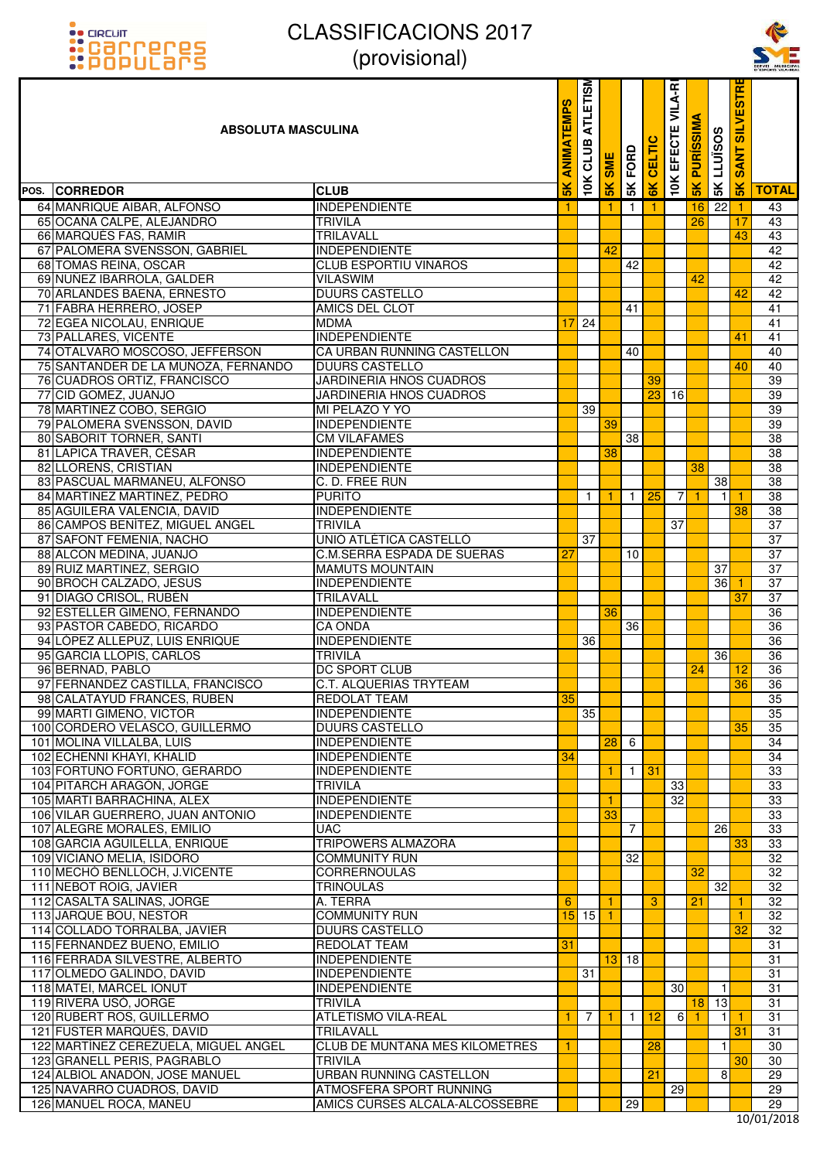



| <u>::PUPULdI'S</u>                   | $\mu$ וטופוטטוען               |                                        |                         |     |                |               |                          |                      |                   |                                              | SERVEL MUNICIPA |
|--------------------------------------|--------------------------------|----------------------------------------|-------------------------|-----|----------------|---------------|--------------------------|----------------------|-------------------|----------------------------------------------|-----------------|
| <b>ABSOLUTA MASCULINA</b>            |                                | <b>SdW<sub>3</sub></b><br><b>ANIMA</b> | <b>ATLETISM</b><br>CLUB | SME | <b>SK FORD</b> | CELTIC        | <b>10K EFECTE VILA-R</b> | <b>PURISSIMA</b>     | <b>SK LLUISOS</b> | <b>IRISE</b><br><b>IIV1IS</b><br><b>SANT</b> |                 |
| POS. CORREDOR                        | <b>CLUB</b>                    | $\frac{1}{5}$                          | 10K                     | 5K  |                | $\frac{1}{2}$ |                          | $\frac{8}{5}$        |                   | $\frac{1}{5}$                                | <b>TOTAL</b>    |
| 64 MANRIQUE AIBAR, ALFONSO           | <b>INDEPENDIENTE</b>           |                                        |                         |     | $\mathbf{1}$   | 1.            |                          | 16                   | 22                |                                              | 43              |
| 65 OCAÑA CALPE, ALEJANDRO            | <b>TRIVILA</b>                 |                                        |                         |     |                |               |                          | 26                   |                   | 17                                           | 43              |
| 66 MARQUÉS FAS, RAMIR                | TRILAVALL                      |                                        |                         |     |                |               |                          |                      |                   | 43                                           | 43              |
| 67 PALOMERA SVENSSON, GABRIEL        | <b>INDEPENDIENTE</b>           |                                        |                         | 42  |                |               |                          |                      |                   |                                              | 42              |
| 68 TOMAS REINA, OSCAR                | <b>CLUB ESPORTIU VINAROS</b>   |                                        |                         |     | 42             |               |                          |                      |                   |                                              | 42              |
| 69 NUNEZ IBARROLA, GALDER            | <b>VILASWIM</b>                |                                        |                         |     |                |               |                          | 42                   |                   |                                              | 42              |
| 70 ARLANDES BAENA, ERNESTO           | DUURS CASTELLO                 |                                        |                         |     |                |               |                          |                      |                   | 42                                           | 42              |
| 71 FABRA HERRERO, JOSEP              | <b>AMICS DEL CLOT</b>          |                                        |                         |     | 41             |               |                          |                      |                   |                                              | 41              |
| 72 EGEA NICOLAU, ENRIQUE             | <b>MDMA</b>                    | 17                                     | 24                      |     |                |               |                          |                      |                   |                                              | 41              |
| 73 PALLARES, VICENTE                 | <b>INDEPENDIENTE</b>           |                                        |                         |     |                |               |                          |                      |                   | 41                                           | 41              |
| 74 OTALVARO MOSCOSO, JEFFERSON       | CA URBAN RUNNING CASTELLON     |                                        |                         |     | 40             |               |                          |                      |                   |                                              | 40              |
| 75 SANTANDER DE LA MUÑOZA, FERNANDO  | <b>DUURS CASTELLO</b>          |                                        |                         |     |                |               |                          |                      |                   | 40                                           | 40              |
| 76 CUADROS ORTIZ, FRANCISCO          | <b>JARDINERIA HNOS CUADROS</b> |                                        |                         |     |                | 39            |                          |                      |                   |                                              | 39              |
| 77 CID GOMEZ, JUANJO                 | JARDINERIA HNOS CUADROS        |                                        |                         |     |                | 23            | 16                       |                      |                   |                                              | 39              |
| 78 MARTINEZ COBO, SERGIO             | MI PELAZO Y YO                 |                                        | 39                      |     |                |               |                          |                      |                   |                                              | 39              |
| 79 PALOMERA SVENSSON, DAVID          | <b>INDEPENDIENTE</b>           |                                        |                         | 39  |                |               |                          |                      |                   |                                              | 39              |
| 80 SABORIT TORNER, SANTI             | <b>CM VILAFAMES</b>            |                                        |                         |     | 38             |               |                          |                      |                   |                                              | 38              |
| 81 LAPICA TRAVER, CÉSAR              | <b>INDEPENDIENTE</b>           |                                        |                         | 38  |                |               |                          |                      |                   |                                              | 38              |
| 82 LLORENS, CRISTIAN                 | <b>INDEPENDIENTE</b>           |                                        |                         |     |                |               |                          | 38                   |                   |                                              | 38              |
| 83 PASCUAL MARMANEU, ALFONSO         | C. D. FREE RUN                 |                                        |                         |     |                |               |                          |                      | $\overline{38}$   |                                              | 38              |
| 84 MARTINEZ MARTINEZ, PEDRO          | <b>PURITO</b>                  |                                        | $\mathbf{1}$            |     | $\mathbf{1}$   | 25            | $\overline{7}$           | $\blacktriangleleft$ |                   |                                              | 38              |
| 85 AGUILERA VALENCIA, DAVID          | <b>INDEPENDIENTE</b>           |                                        |                         |     |                |               |                          |                      |                   | 38                                           | $\overline{38}$ |
| 86 CAMPOS BENÍTEZ, MIGUEL ANGEL      | <b>TRIVILA</b>                 |                                        |                         |     |                |               | 37                       |                      |                   |                                              | 37              |
| 87 SAFONT FEMENIA, NACHO             | UNIÓ ATLÉTICA CASTELLÓ         |                                        | 37                      |     |                |               |                          |                      |                   |                                              | 37              |
| 88 ALCON MEDINA, JUANJO              | C.M.SERRA ESPADA DE SUERAS     | 27                                     |                         |     | 10             |               |                          |                      |                   |                                              | 37              |
| 89 RUIZ MARTINEZ, SERGIO             | <b>MAMUTS MOUNTAIN</b>         |                                        |                         |     |                |               |                          |                      | 37                |                                              | 37              |
| 90 BROCH CALZADO, JESUS              | <b>INDEPENDIENTE</b>           |                                        |                         |     |                |               |                          |                      | $\overline{36}$   |                                              | 37              |
| 91 DIAGO CRISOL, RUBÉN               | <b>TRILAVALL</b>               |                                        |                         |     |                |               |                          |                      |                   | 37                                           | 37              |
| 92 ESTELLER GIMENO, FERNANDO         | <b>INDEPENDIENTE</b>           |                                        |                         | 36  |                |               |                          |                      |                   |                                              | 36              |
| 93 PASTOR CABEDO, RICARDO            | <b>CA ONDA</b>                 |                                        |                         |     | 36             |               |                          |                      |                   |                                              | 36              |
| 94 LÓPEZ ALLEPUZ, LUIS ENRIQUE       | <b>INDEPENDIENTE</b>           |                                        | 36                      |     |                |               |                          |                      |                   |                                              | $\overline{36}$ |
| 95 GARCIA LLOPIS, CARLOS             | <b>TRIVILA</b>                 |                                        |                         |     |                |               |                          |                      | 36                |                                              | 36              |
| 96 BERNAD, PABLO                     | DC SPORT CLUB                  |                                        |                         |     |                |               |                          | 24                   |                   | 12                                           | 36              |
| 97 FERNANDEZ CASTILLA, FRANCISCO     | <b>C.T. ALQUERIAS TRYTEAM</b>  |                                        |                         |     |                |               |                          |                      |                   | 36                                           | 36              |
| 98 CALATAYUD FRANCES, RUBEN          | REDOLAT TEAM                   | 35                                     |                         |     |                |               |                          |                      |                   |                                              | 35              |
| 99 MARTI GIMENO, VICTOR              | <b>INDEPENDIENTE</b>           |                                        | 35                      |     |                |               |                          |                      |                   |                                              | 35              |
| 100 CORDERO VELASCO, GUILLERMO       | <b>DUURS CASTELLO</b>          |                                        |                         |     |                |               |                          |                      |                   | 35                                           | 35              |
| 101 MOLINA VILLALBA, LUIS            | <b>INDEPENDIENTE</b>           |                                        |                         | 28  | 6              |               |                          |                      |                   |                                              | 34              |
| 102 ECHENNI KHAYI, KHALID            | <b>INDEPENDIENTE</b>           | 34                                     |                         |     |                |               |                          |                      |                   |                                              | 34              |
| 103 FORTUÑO FORTUÑO, GERARDO         | <b>INDEPENDIENTE</b>           |                                        |                         | 1.  | $\overline{1}$ | 31            |                          |                      |                   |                                              | 33              |
| 104 PITARCH ARAGÓN, JORGE            | <b>TRIVILA</b>                 |                                        |                         |     |                |               | 33                       |                      |                   |                                              | 33              |
| 105 MARTI BARRACHINA, ALEX           | <b>INDEPENDIENTE</b>           |                                        |                         | 1   |                |               | 32                       |                      |                   |                                              | 33              |
| 106 VILAR GUERRERO, JUAN ANTONIO     | <b>INDEPENDIENTE</b>           |                                        |                         | 33  |                |               |                          |                      |                   |                                              | 33              |
| 107 ALEGRE MORALES, EMILIO           | <b>UAC</b>                     |                                        |                         |     | $\overline{7}$ |               |                          |                      | 26                |                                              | 33              |
| 108 GARCIA AGUILELLA, ENRIQUE        | <b>TRIPOWERS ALMAZORA</b>      |                                        |                         |     |                |               |                          |                      |                   | 33                                           | 33              |
| 109 VICIANO MELIA, ISIDORO           | <b>COMMUNITY RUN</b>           |                                        |                         |     | 32             |               |                          |                      |                   |                                              | 32              |
| 110 MECHÓ BENLLOCH, J.VICENTE        | <b>CORRERNOULAS</b>            |                                        |                         |     |                |               |                          | 32                   |                   |                                              | 32              |
| 111 NEBOT ROIG, JAVIER               | <b>TRINOULAS</b>               |                                        |                         |     |                |               |                          |                      | 32                |                                              | 32              |
| 112 CASALTA SALINAS, JORGE           | A. TERRA                       | 6                                      |                         |     |                | 3             |                          | 21                   |                   |                                              | 32              |
| 113 JARQUE BOU, NESTOR               | <b>COMMUNITY RUN</b>           |                                        | $15$ 15 $1$             |     |                |               |                          |                      |                   | 1                                            | 32              |
| 114 COLLADO TORRALBA, JAVIER         | <b>DUURS CASTELLO</b>          |                                        |                         |     |                |               |                          |                      |                   | 32                                           | 32              |
| 115 FERNANDEZ BUENO, EMILIO          | <b>REDOLAT TEAM</b>            | 31                                     |                         |     |                |               |                          |                      |                   |                                              | $\overline{31}$ |
| 116 FERRADA SILVESTRE, ALBERTO       | <b>INDEPENDIENTE</b>           |                                        |                         |     | $13$ 18        |               |                          |                      |                   |                                              | 31              |
| 117 OLMEDO GALINDO, DAVID            | <b>INDEPENDIENTE</b>           |                                        | 31                      |     |                |               |                          |                      |                   |                                              | 31              |
| 118 MATEI, MARCEL IONUT              | <b>INDEPENDIENTE</b>           |                                        |                         |     |                |               | 30                       |                      | 1                 |                                              | $\overline{31}$ |
| 119 RIVERA USÓ, JORGE                | <b>TRIVILA</b>                 |                                        |                         |     |                |               |                          | 18                   | 13                |                                              | 31              |
| 120 RUBERT ROS, GUILLERMO            | <b>ATLETISMO VILA-REAL</b>     | 1                                      | 7                       |     | $\overline{1}$ | 12            | 6                        | -1                   |                   |                                              | 31              |
| 121 FUSTER MARQUÉS, DAVID            | <b>TRILAVALL</b>               |                                        |                         |     |                |               |                          |                      |                   | 31                                           | 31              |
| 122 MARTÍNEZ CEREZUELA, MIGUEL ANGEL | CLUB DE MUNTAÑA MES KILOMETRES | -1                                     |                         |     |                | 28            |                          |                      | 1                 |                                              | 30              |
| 123 GRANELL PERIS, PAGRABLO          | <b>TRIVILA</b>                 |                                        |                         |     |                |               |                          |                      |                   | 30                                           | 30              |
| 124 ALBIOL ANADÓN, JOSE MANUEL       | <b>URBAN RUNNING CASTELLON</b> |                                        |                         |     |                | 21            |                          |                      | 8                 |                                              | 29              |
| 125 NAVARRO CUADROS, DAVID           | ATMOSFERA SPORT RUNNING        |                                        |                         |     |                |               | 29                       |                      |                   |                                              | 29              |
| 126 MANUEL ROCA, MANEU               | AMICS CURSES ALCALA-ALCOSSEBRE |                                        |                         |     | 29             |               |                          |                      |                   |                                              | 29              |
|                                      |                                |                                        |                         |     |                |               |                          |                      |                   |                                              |                 |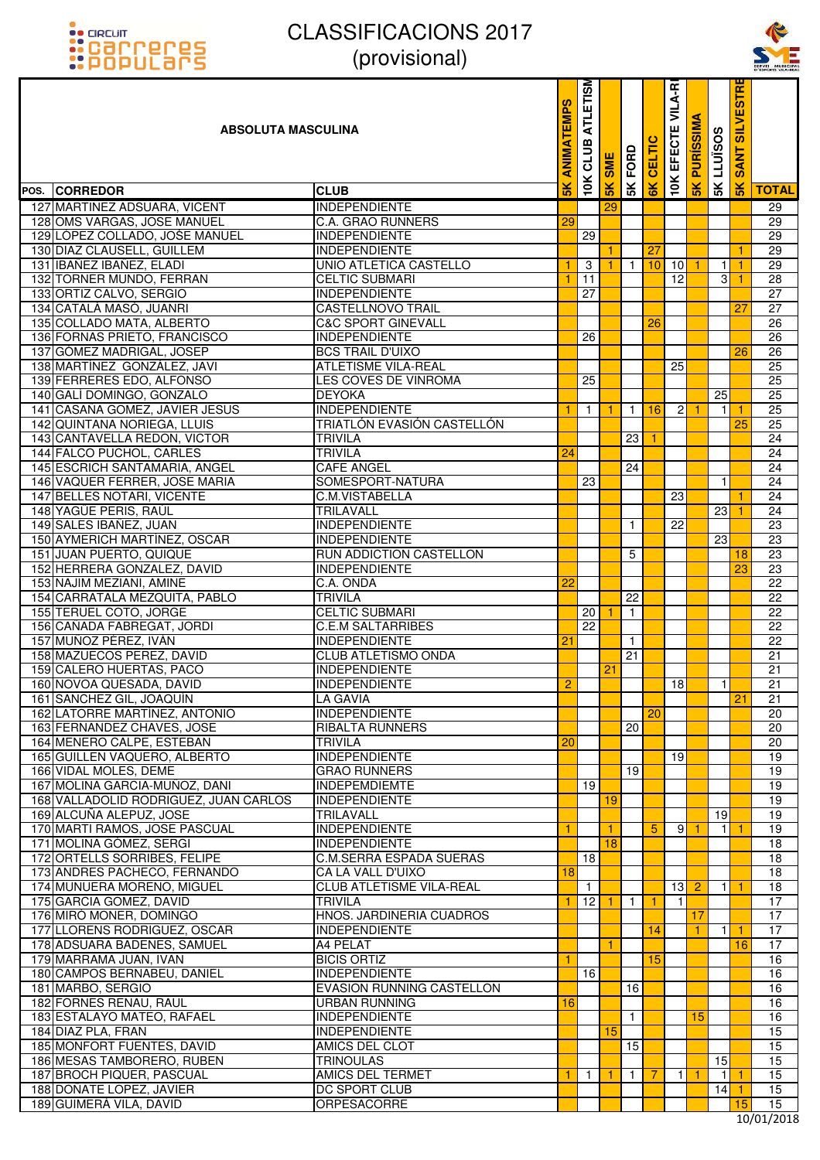



| <u>::PUPULdI'S</u>                                       | UUUUUUUU                                         |                      |                         |            |                      |               |                   |                      |                     |                      | SERVEI MUNICIPA<br>D'ESPORTS VILA-REA |
|----------------------------------------------------------|--------------------------------------------------|----------------------|-------------------------|------------|----------------------|---------------|-------------------|----------------------|---------------------|----------------------|---------------------------------------|
| <b>ABSOLUTA MASCULINA</b>                                |                                                  | <b>ATEMPS</b><br>MIN | <b>ATLETISM</b><br>CLUB | <b>SME</b> | FORD                 | <b>CELTIC</b> | VILA-RI<br>EFECTE | <b>PURISSIMA</b>     | <b>SK LLUISOS</b>   | <b>SANT SILVESTR</b> |                                       |
| POS. CORREDOR                                            | <b>CLUB</b>                                      | $\frac{1}{2}$        | <b>10K</b>              | 5K         | 5K                   | 6K            | <b>10K</b>        | $\frac{8}{5}$        |                     | 5K                   | <b>TOTAL</b>                          |
| 127 MARTINEZ ADSUARA, VICENT                             | <b>INDEPENDIENTE</b>                             |                      |                         | 29         |                      |               |                   |                      |                     |                      | 29                                    |
| 128 OMS VARGAS, JOSE MANUEL                              | C.A. GRAO RUNNERS                                | 29                   |                         |            |                      |               |                   |                      |                     |                      | 29                                    |
| 129 LÓPEZ COLLADO, JOŚE MANUEL                           | <b>INDEPENDIENTE</b>                             |                      | 29                      |            |                      |               |                   |                      |                     |                      | 29                                    |
| 130 DIAZ CLAUSELL, GUILLEM                               | <b>INDEPENDIENTE</b>                             |                      |                         |            |                      | 27            |                   |                      |                     | 1                    | 29                                    |
| 131 IBAÑEZ IBAÑEZ, ELADI                                 | UNIO ATLETICA CASTELLO                           |                      | 3                       |            | $1 \mid$             | 10            | 10 <sup>1</sup>   | 1                    | $\mathbf{1}$        | -1                   | 29                                    |
| 132 TORNER MUNDO, FERRAN<br>133 ORTIZ CALVO, SERGIO      | <b>CELTIC SUBMARI</b><br><b>INDEPENDIENTE</b>    | $\mathbf{1}$         | 11<br>27                |            |                      |               | 12                |                      | 3                   | -1                   | 28<br>$\overline{27}$                 |
| 134 CATALA MASO, JUANRI                                  | CASTELLNOVO TRAIL                                |                      |                         |            |                      |               |                   |                      |                     | 27                   | $\overline{27}$                       |
| 135 COLLADO MATA, ALBERTO                                | <b>C&amp;C SPORT GINEVALL</b>                    |                      |                         |            |                      | 26            |                   |                      |                     |                      | $\overline{26}$                       |
| 136 FORNAS PRIETO, FRANCISCO                             | <b>INDEPENDIENTE</b>                             |                      | 26                      |            |                      |               |                   |                      |                     |                      | $\overline{26}$                       |
| 137 GOMEZ MADRIGAL, JOSEP                                | <b>BCS TRAIL D'UIXO</b>                          |                      |                         |            |                      |               |                   |                      |                     | 26                   | 26                                    |
| 138 MARTINEZ GONZALEZ, JAVI                              | <b>ATLETISME VILA-REAL</b>                       |                      |                         |            |                      |               | 25                |                      |                     |                      | $\overline{25}$                       |
| 139 FERRERES EDO, ALFONSO                                | LES COVES DE VINROMA                             |                      | 25                      |            |                      |               |                   |                      |                     |                      | 25                                    |
| 140 GALÍ DOMINGO, GONZALO                                | <b>DEYOKA</b>                                    |                      |                         |            |                      |               |                   |                      | 25                  |                      | 25                                    |
| 141 CASAÑA GOMEZ, JAVIER JESUS                           | <b>INDEPENDIENTE</b>                             | 1                    | $\mathbf{1}$            | -1         | $\overline{1}$       | 16            | $\overline{2}$    |                      | -1                  | -1                   | 25                                    |
| 142 QUINTANA NORIEGA, LLUIS                              | TRIATLÓN EVASIÓN CASTELLÓN                       |                      |                         |            |                      |               |                   |                      |                     | 25                   | 25                                    |
| 143 CANTAVELLA REDON, VICTOR<br>144 FALCO PUCHOL, CARLES | <b>TRIVILA</b><br><b>TRIVILA</b>                 | 24                   |                         |            | 23                   |               |                   |                      |                     |                      | 24<br>24                              |
| 145 ESCRICH SANTAMARIA, ANGEL                            | CAFE ANGEL                                       |                      |                         |            | 24                   |               |                   |                      |                     |                      | 24                                    |
| 146 VAQUER FERRER, JOSE MARIA                            | SOMESPORT-NATURA                                 |                      | 23                      |            |                      |               |                   |                      | $\mathbf{1}$        |                      | 24                                    |
| 147 BELLES NOTARI, VICENTE                               | C.M.VISTABELLA                                   |                      |                         |            |                      |               | 23                |                      |                     | 1                    | 24                                    |
| 148 YAGÜE PERIS, RAÚL                                    | <b>TRILAVALL</b>                                 |                      |                         |            |                      |               |                   |                      | 23                  | $\overline{1}$       | $\overline{24}$                       |
| 149 SALES IBAÑEZ, JUAN                                   | <b>INDEPENDIENTE</b>                             |                      |                         |            | $\mathbf{1}$         |               | 22                |                      |                     |                      | $\overline{23}$                       |
| 150 AYMERICH MARTÍNEZ, OSCAR                             | <b>INDEPENDIENTE</b>                             |                      |                         |            |                      |               |                   |                      | 23                  |                      | 23                                    |
| 151 JUAN PUERTO, QUIQUE                                  | <b>RUN ADDICTION CASTELLON</b>                   |                      |                         |            | 5                    |               |                   |                      |                     | 18                   | 23                                    |
| 152 HERRERA GONZALEZ, DAVID                              | <b>INDEPENDIENTE</b>                             |                      |                         |            |                      |               |                   |                      |                     | 23                   | 23                                    |
| 153 NAJIM MEZIANI, AMINE                                 | C.A. ONDA                                        | 22                   |                         |            |                      |               |                   |                      |                     |                      | $\overline{22}$                       |
| 154 CARRATALA MEZQUITA, PABLO<br>155 TERUEL COTO, JORGE  | <b>TRIVILA</b><br><b>CELTIC SUBMARI</b>          |                      | 20 <sub>1</sub>         |            | 22<br>$\overline{1}$ |               |                   |                      |                     |                      | $\overline{22}$<br>$\overline{22}$    |
| 156 CAÑADA FABREGAT, JORDI                               | <b>C.E.M SALTARRIBES</b>                         |                      | $\overline{22}$         |            |                      |               |                   |                      |                     |                      | $\overline{22}$                       |
| 157 MUÑOZ PÉREZ, IVÁN                                    | <b>INDEPENDIENTE</b>                             | 21                   |                         |            | $\mathbf{1}$         |               |                   |                      |                     |                      | 22                                    |
| 158 MAZUECOS PEREZ, DAVID                                | <b>CLUB ATLETISMO ONDA</b>                       |                      |                         |            | 21                   |               |                   |                      |                     |                      | 21                                    |
| 159 CALERO HUERTAS, PACO                                 | <b>INDEPENDIENTE</b>                             |                      |                         | 21         |                      |               |                   |                      |                     |                      | $\overline{21}$                       |
| 160 NOVOA QUESADA, DAVID                                 | <b>INDEPENDIENTE</b>                             | 2                    |                         |            |                      |               | 18 <sup>l</sup>   |                      | $\mathbf{1}$        |                      | 21                                    |
| 161 SANCHEZ GIL, JOAQUIN                                 | LA GAVIA                                         |                      |                         |            |                      |               |                   |                      |                     | 21                   | 21                                    |
| 162 LATORRE MARTÍNEZ, ANTONIO                            | <b>INDEPENDIENTE</b>                             |                      |                         |            |                      | 20            |                   |                      |                     |                      | 20                                    |
| 163 FERNANDEZ CHAVES, JOSE                               | <b>RIBALTA RUNNERS</b>                           |                      |                         |            | 20                   |               |                   |                      |                     |                      | 20                                    |
| 164 MENERO CALPE, ESTEBAN                                | <b>TRIVILA</b>                                   | 20                   |                         |            |                      |               |                   |                      |                     |                      | 20                                    |
| 165 GUILLEN VAQUERO, ALBERTO                             | <b>INDEPENDIENTE</b>                             |                      |                         |            | 19                   |               | 19                |                      |                     |                      | 19<br>19                              |
| 166 VIDAL MOLES, DEME<br>167 MOLINA GARCIA-MUÑOZ, DANI   | <b>GRAO RUNNERS</b><br><b>INDEPEMDIEMTE</b>      |                      | $\overline{19}$         |            |                      |               |                   |                      |                     |                      | 19                                    |
| 168 VALLADOLID RODRIGUEZ, JUAN CARLOS                    | <b>INDEPENDIENTE</b>                             |                      |                         | 19         |                      |               |                   |                      |                     |                      | 19                                    |
| 169 ALCUÑA ALEPUZ, JOSE                                  | <b>TRILAVALL</b>                                 |                      |                         |            |                      |               |                   |                      | 19                  |                      | 19                                    |
| 170 MARTI RAMOS, JOSE PASCUAL                            | <b>INDEPENDIENTE</b>                             | $\mathbf{1}$         |                         | -1         |                      | 5             | 9                 | $\blacktriangleleft$ | 1                   | -1                   | 19                                    |
| 171 MOLINA GÓMEZ, SERGI                                  | <b>INDEPENDIENTE</b>                             |                      |                         | 18         |                      |               |                   |                      |                     |                      | 18                                    |
| 172 ORTELLS SORRIBES, FELIPE                             | <b>C.M.SERRA ESPADA SUERAS</b>                   |                      | 18                      |            |                      |               |                   |                      |                     |                      | 18                                    |
| 173 ANDRES PACHECO, FERNANDO                             | CA LA VALL D'UIXO                                | 18                   |                         |            |                      |               |                   |                      |                     |                      | 18                                    |
| 174 MUNUERA MORENO, MIGUEL                               | <b>CLUB ATLETISME VILA-REAL</b>                  |                      | $\overline{1}$          |            |                      |               | 13                | $\overline{2}$       | $\mathbf{1}$        | -1                   | 18                                    |
| 175 GARCIA GOMEZ, DAVID                                  | <b>TRIVILA</b>                                   |                      | 12                      | -1         | $\overline{1}$       | 1.            | 1                 |                      |                     |                      | 17                                    |
| 176 MIRÓ MONER, DOMINGO<br>177 LLORENS RODRIGUEZ, OSCAR  | HNOS. JARDINERIA CUADROS<br><b>INDEPENDIENTE</b> |                      |                         |            |                      | 14            |                   | 17<br>$\mathbf{1}$   | $\vert$ 1           | -1                   | 17<br>17                              |
| 178 ADSUARA BADENES, SAMUEL                              | A4 PELAT                                         |                      |                         | -1         |                      |               |                   |                      |                     | 16                   | 17                                    |
| 179 MARRAMA JUAN, IVAN                                   | <b>BICIS ORTIZ</b>                               | 1                    |                         |            |                      | 15            |                   |                      |                     |                      | 16                                    |
| 180 CAMPOS BERNABEU, DANIEL                              | <b>INDEPENDIENTE</b>                             |                      | 16 <sup>1</sup>         |            |                      |               |                   |                      |                     |                      | 16                                    |
| 181 MARBO, SERGIO                                        | <b>EVASION RUNNING CASTELLON</b>                 |                      |                         |            | 16                   |               |                   |                      |                     |                      | 16                                    |
| 182 FORNES RENAU, RAUL                                   | <b>URBAN RUNNING</b>                             | 16                   |                         |            |                      |               |                   |                      |                     |                      | 16                                    |
| 183 ESTALAYO MATEO, RAFAEL                               | <b>INDEPENDIENTE</b>                             |                      |                         |            | $\mathbf{1}$         |               |                   | 15                   |                     |                      | 16                                    |
| 184 DIAZ PLA, FRAN                                       | <b>INDEPENDIENTE</b>                             |                      |                         | 15         |                      |               |                   |                      |                     |                      | 15                                    |
| 185 MONFORT FUENTES, DAVID                               | AMICS DEL CLOT                                   |                      |                         |            | 15                   |               |                   |                      |                     |                      | 15                                    |
| 186 MESAS TAMBORERO, RUBEN                               | <b>TRINOULAS</b>                                 |                      |                         |            |                      |               |                   |                      | 15                  |                      | 15                                    |
| 187 BROCH PIQUER, PASCUAL<br>188 DOÑATE LOPEZ, JAVIER    | <b>AMICS DEL TERMET</b><br><b>DC SPORT CLUB</b>  |                      | $\mathbf{1}$            |            | $\overline{1}$       | 7             | $\mathbf{1}$      | 1                    | $\vert$ 1<br>$14$ 1 | -1                   | 15<br>15                              |
| 189 GUIMERA VILA, DAVID                                  | ORPESACORRE                                      |                      |                         |            |                      |               |                   |                      |                     | 15                   | 15                                    |
|                                                          |                                                  |                      |                         |            |                      |               |                   |                      |                     |                      | 10/01/2010                            |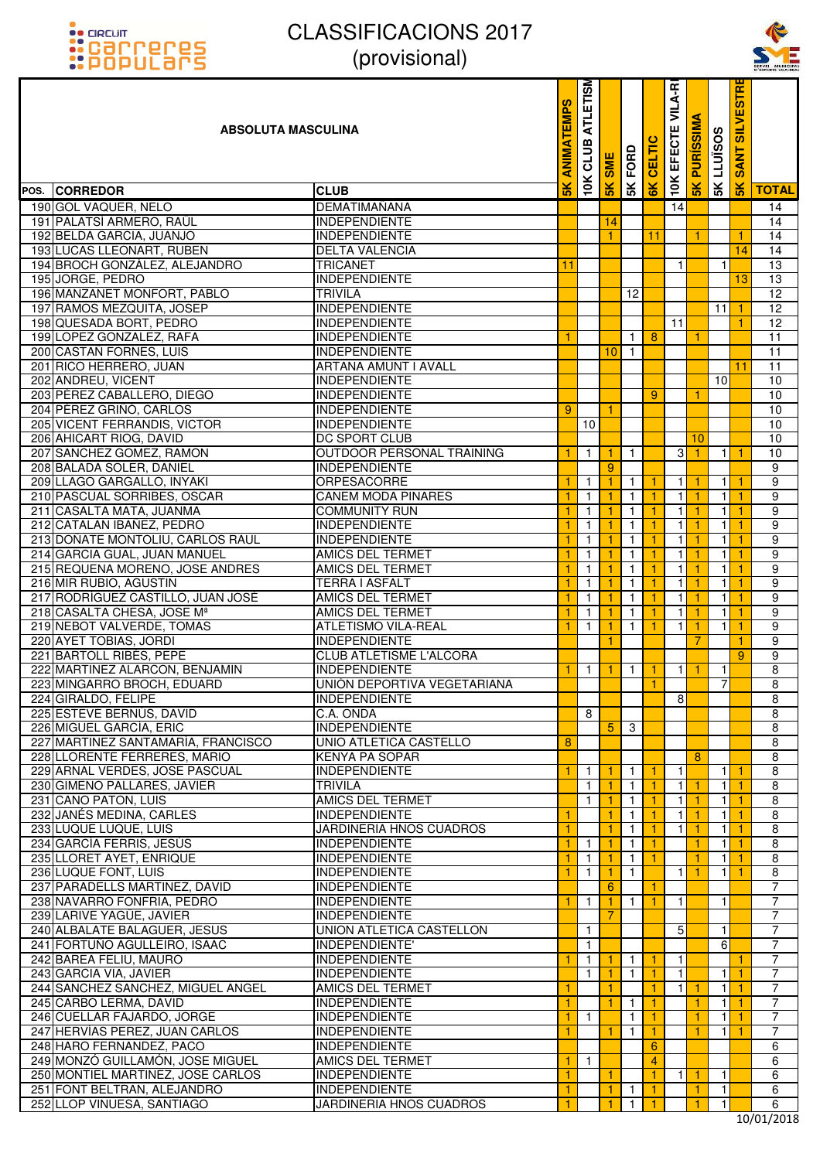



| <u> ::PUPULOI'S</u>                                         | $\mu$ וטופו $\mu$                                 |                            |                   |                      |                              |                    |                                |                              |                   |                                | SERVEI MUNICIPA<br>D'ESPORTS VILA-REA |
|-------------------------------------------------------------|---------------------------------------------------|----------------------------|-------------------|----------------------|------------------------------|--------------------|--------------------------------|------------------------------|-------------------|--------------------------------|---------------------------------------|
| <b>ABSOLUTA MASCULINA</b>                                   |                                                   | <b>EMPS</b><br><b>MIN</b>  | ATLETISM<br>CLUB  | <b>SME</b>           | <b>SK FORD</b>               | CELTIC             | <b>10K EFECTE VILA-R</b>       | <b>SK PURISSIMA</b>          | <b>SK LLUISOS</b> | <b>SILVESTR</b><br><b>SANT</b> |                                       |
| POS. CORREDOR                                               | <b>CLUB</b>                                       | $\frac{1}{2}$              | 10K               | 5K                   |                              | 6K                 |                                |                              |                   | $\frac{1}{5}$                  | <b>TOTAL</b>                          |
| 190 GOL VAQUER, NELO                                        | <b>DEMATIMAÑANA</b>                               |                            |                   |                      |                              |                    | 14                             |                              |                   |                                | 14                                    |
| 191 PALATSÍ ARMERO, RAÜL                                    | <b>INDEPENDIENTE</b>                              |                            |                   | 14                   |                              |                    |                                |                              |                   |                                | 14                                    |
| 192 BELDA GARCIA, JUANJO                                    | <b>INDEPENDIENTE</b>                              |                            |                   |                      |                              | 11                 |                                | 1                            |                   | -1                             | 14                                    |
| 193 LUCAS LLEONART, RUBEN                                   | <b>DELTA VALENCIA</b>                             |                            |                   |                      |                              |                    |                                |                              |                   | 14                             | 14                                    |
| 194 BROCH GONZÁLEZ, ALEJANDRO                               | <b>TRICANET</b>                                   | 11                         |                   |                      |                              |                    | 1                              |                              | 1                 |                                | 13                                    |
| 195 JORGE, PEDRO                                            | <b>INDEPENDIENTE</b>                              |                            |                   |                      |                              |                    |                                |                              |                   | 13                             | $\overline{13}$                       |
| 196 MANZANET MONFORT, PABLO                                 | <b>TRIVILA</b>                                    |                            |                   |                      | 12                           |                    |                                |                              |                   |                                | 12                                    |
| 197 RAMOS MEZQUITA, JOSEP                                   | <b>INDEPENDIENTE</b>                              |                            |                   |                      |                              |                    |                                |                              | 11                | -1                             | $\overline{12}$                       |
| 198 QUESADA BORT, PEDRO                                     | <b>INDEPENDIENTE</b>                              |                            |                   |                      |                              |                    | 11                             |                              |                   | 1                              | 12                                    |
| 199 LOPEZ GONZALEZ, RAFA                                    | <b>INDEPENDIENTE</b>                              | -1                         |                   |                      | $\mathbf{1}$                 | 8                  |                                | 1                            |                   |                                | $\overline{11}$                       |
| 200 CASTAÑ FORNES, LUIS                                     | <b>INDEPENDIENTE</b>                              |                            |                   | 10                   | $\mathbf{1}$                 |                    |                                |                              |                   |                                | 11                                    |
| 201 RICO HERRERO, JUAN                                      | ARTANA AMUNT I AVALL                              |                            |                   |                      |                              |                    |                                |                              |                   | 11                             | 11                                    |
| 202 ANDREU, VICENT                                          | <b>INDEPENDIENTE</b>                              |                            |                   |                      |                              |                    |                                |                              | 10                |                                | 10                                    |
| 203 PÉREZ CABALLERO, DIEGO                                  | <b>INDEPENDIENTE</b>                              |                            |                   |                      |                              | 9                  |                                | $\mathbf{1}$                 |                   |                                | 10                                    |
| 204 PÉREZ GRIÑÓ, CARLOS                                     | <b>INDEPENDIENTE</b>                              | 9                          |                   | 1                    |                              |                    |                                |                              |                   |                                | 10                                    |
| 205 VICENT FERRANDIS, VICTOR                                | <b>INDEPENDIENTE</b>                              |                            | 10                |                      |                              |                    |                                |                              |                   |                                | 10                                    |
| 206 AHICART RIOG, DAVID                                     | <b>DC SPORT CLUB</b>                              |                            |                   |                      |                              |                    |                                | 10                           |                   |                                | 10                                    |
| 207 SANCHEZ GOMEZ, RAMON                                    | OUTDOOR PERSONAL TRAINING                         | $\mathbf{1}$               | $\mathbf{1}$      | 1                    | $\mathbf{1}$                 |                    | 3                              | $\blacktriangleleft$         | 11                | $\overline{1}$                 | 10                                    |
| 208 BALADA SOLER, DANIEL                                    | <b>INDEPENDIENTE</b>                              |                            |                   | $\boldsymbol{9}$     |                              |                    |                                |                              |                   |                                | 9                                     |
| 209 LLAGO GARGALLO, INYAKI                                  | ORPESACORRE                                       | -1                         | $\mathbf{1}$      | 1.                   | $\mathbf{1}$                 | 1.                 | 1                              | $\mathbf{1}$                 | $\mathbf{1}$      | -1                             | $\overline{9}$                        |
| 210 PASCUAL SORRIBES, OSCAR<br>211 CASALTA MATA, JUANMA     | <b>CANEM MODA PINARES</b><br><b>COMMUNITY RUN</b> | 1<br>$\blacktriangleleft$  | 1<br>$\mathbf{1}$ | 1                    | $\mathbf{1}$<br>$\mathbf{1}$ | $\mathbf{1}$<br>1. | $\mathbf{1}$<br>$\overline{1}$ | $\mathbf{1}$<br>$\mathbf{1}$ | 1<br>11           |                                | $\overline{9}$<br>$\overline{9}$      |
| 212 CATALAN IBAÑEZ, PEDRO                                   |                                                   |                            | $\mathbf{1}$      |                      | $\mathbf{1}$                 | 1.                 | 11                             | -1                           | 1                 | $\mathbf{1}$<br>-1             | 9                                     |
| 213 DOÑATE MONTOLIU, CARLOS RAUL                            | <b>INDEPENDIENTE</b><br><b>INDEPENDIENTE</b>      | -1<br>$\blacktriangleleft$ | 1                 | 1                    | $\mathbf{1}$                 | 1.                 | 1                              | $\mathbf{1}$                 | 1                 | -1                             | 9                                     |
| 214 GARCIA GUAL, JUAN MANUEL                                | <b>AMICS DEL TERMET</b>                           | 1                          | 1                 |                      | $\mathbf{1}$                 | 1                  | 1 <sup>1</sup>                 | -1                           | 1                 |                                | $\overline{9}$                        |
| 215 REQUENA MORENO, JOSE ANDRES                             | <b>AMICS DEL TERMET</b>                           | $\blacktriangleleft$       | $\mathbf{1}$      | 1                    | $\mathbf{1}$                 | 1.                 | 1                              | $\blacktriangleleft$         | $\mathbf{1}$      | -1                             | 9                                     |
| 216 MIR RUBIO, AGUSTIN                                      | <b>TERRA I ASFALT</b>                             | -1                         | $\mathbf{1}$      |                      | $\mathbf{1}$                 | 1                  | 11                             | -1                           | 1                 |                                | 9                                     |
| 217 RODRÍGUEZ CASTILLO, JUAN JOSÉ                           | <b>AMICS DEL TERMET</b>                           | $\blacktriangleleft$       | $\mathbf{1}$      | 1                    | $\mathbf{1}$                 | 1                  | 11                             | $\mathbf{1}$                 | $\mathbf{1}$      | -1                             | 9                                     |
| 218 CASALTA CHESA, JOSE Mª                                  | <b>AMICS DEL TERMET</b>                           | -1                         | $\mathbf{1}$      |                      | $\mathbf{1}$                 | 1                  | $\mathbf{1}$                   | -1                           | 1                 |                                | $\overline{9}$                        |
| 219 NEBOT VALVERDE, TOMAS                                   | <b>ATLETISMO VILA-REAL</b>                        | $\mathbf{1}$               | $\mathbf{1}$      | 1.                   | $\mathbf{1}$                 | 1.                 | 1                              | $\mathbf{1}$                 | $\mathbf{1}$      | -1                             | 9                                     |
| 220 AYET TOBIAS, JORDI                                      | <b>INDEPENDIENTE</b>                              |                            |                   | 1                    |                              |                    |                                | 7                            |                   |                                | 9                                     |
| 221 BARTOLL RIBÉS, PEPE                                     | CLUB ATLETISME L'ALCORA                           |                            |                   |                      |                              |                    |                                |                              |                   | 9                              | $\overline{9}$                        |
| 222 MARTINEZ ALARCON, BENJAMIN                              | <b>INDEPENDIENTE</b>                              | -1                         | $\overline{1}$    | $\mathbf{1}$         | $\overline{1}$               | $\mathbf{1}$       | 1                              | $\vert$ 1                    | $\mathbf{1}$      |                                | $\overline{8}$                        |
| 223 MINGARRO BROCH, EDUARD                                  | UNIÓN DEPORTIVA VEGETARIANA                       |                            |                   |                      |                              | 1.                 |                                |                              | 7                 |                                | 8                                     |
| 224 GIRALDO, FELIPE                                         | <b>INDEPENDIENTE</b>                              |                            |                   |                      |                              |                    | 8                              |                              |                   |                                | 8                                     |
| 225 ESTEVE BERNÚS, DAVID                                    | C.A. ONDA                                         |                            | 8                 |                      |                              |                    |                                |                              |                   |                                | 8                                     |
| 226 MIGUEL GARCÍA, ERIC                                     | <b>INDEPENDIENTE</b>                              |                            |                   | 5 <sup>5</sup>       | 3                            |                    |                                |                              |                   |                                | 8                                     |
| 227 MARTINEZ SANTAMARÍA, FRANCISCO                          | UNIO ATLETICA CASTELLO                            | 8                          |                   |                      |                              |                    |                                |                              |                   |                                | 8                                     |
| 228 LLORENTE FERRERES, MARIO                                | <b>KENYA PA SOPAR</b>                             |                            |                   |                      |                              |                    |                                | 8                            |                   |                                | 8                                     |
| 229 ARNAL VERDES, JOSE PASCUAL                              | <b>INDEPENDIENTE</b>                              | 1                          | $\mathbf{1}$      |                      | $\mathbf{1}$                 | 1.                 | $\mathbf{1}$                   |                              | 11                | -1                             | $\overline{8}$                        |
| 230 GIMENO PALLARES, JAVIER                                 | <b>TRIVILA</b>                                    |                            | $\mathbf{1}$      |                      | $\mathbf{1}$                 | 1.                 | 11                             | -1                           | 1                 |                                | $\overline{\mathbf{8}}$               |
| 231 CANO PATON, LUIS                                        | <b>AMICS DEL TERMET</b>                           |                            | $\mathbf{1}$      | $\mathbf{1}$         | $\mathbf{1}$                 | $\mathbf{1}$       | 1 <sup>1</sup>                 | $\mathbf{1}$                 | $\mathbf{1}$      | $\vert$ 1                      | 8                                     |
| 232 JANÉS MEDINA, CARLES                                    | <b>INDEPENDIENTE</b>                              | 1                          |                   | 1.                   | $\mathbf{1}$                 | 1.                 | $\mathbf{1}$                   | $\vert$ 1                    | 1                 | -1                             | 8                                     |
| 233 LUQUE LUQUE, LUIS                                       | JARDINERIA HNOS CUADROS                           | 1                          |                   |                      | $\mathbf{1}$                 | 1.                 | $\mathbf{1}$                   | $\mathbf{1}$                 | $\mathbf{1}$      | -1                             | 8                                     |
| 234 GARCÍA FERRIS, JESÚS                                    | <b>INDEPENDIENTE</b>                              | -1                         | 1                 |                      | $\mathbf{1}$                 | 1.                 |                                | 1                            | 1                 |                                | 8                                     |
| 235 LLORET AYET, ENRIQUE                                    | <b>INDEPENDIENTE</b>                              | 1                          | $\overline{1}$    | 1.                   | $\mathbf{1}$                 | $\mathbf{1}$       |                                | $\mathbf{1}$                 | $\mathbf{1}$      | $\blacktriangleleft$           | 8                                     |
| 236 LUQUE FONT, LUIS                                        | <b>INDEPENDIENTE</b>                              | 1                          | $\mathbf{1}$      | 1.                   | $\mathbf{1}$                 |                    | 11                             | $\mathbf{1}$                 | 1                 |                                | 8<br>$\overline{7}$                   |
| 237 PARADELLS MARTINEZ, DAVID<br>238 NAVARRO FONFRIA, PEDRO | <b>INDEPENDIENTE</b><br><b>INDEPENDIENTE</b>      |                            | $\mathbf{1}$      | 6                    | $\mathbf{1}$                 | 1<br>1             | 1                              |                              | 1                 |                                | $\overline{7}$                        |
| 239 LARIVE YAGÜE, JAVIER                                    | <b>INDEPENDIENTE</b>                              |                            |                   | $\overline{7}$       |                              |                    |                                |                              |                   |                                | $\overline{7}$                        |
| 240 ALBALATE BALAGUER, JESUS                                | UNION ATLETICA CASTELLON                          |                            | 1                 |                      |                              |                    | 5                              |                              | 1                 |                                | $\overline{7}$                        |
| 241 FORTUÑO AGULLEIRO, ISAAC                                | INDEPENDIENTE'                                    |                            | $\mathbf{1}$      |                      |                              |                    |                                |                              | 6                 |                                | $\overline{7}$                        |
| 242 BAREA FELIU, MAURO                                      | <b>INDEPENDIENTE</b>                              | 1                          | $\mathbf{1}$      |                      | $\mathbf{1}$                 | 1.                 | 1                              |                              |                   |                                | $\overline{7}$                        |
| 243 GARCIA VIA, JAVIER                                      | <b>INDEPENDIENTE</b>                              |                            | $\mathbf{1}$      | -1.                  | $\mathbf{1}$                 | $\mathbf{1}$       | 11                             |                              | $\mathbf{1}$      | $\blacktriangleleft$           | $\overline{7}$                        |
| 244 SANCHEZ SANCHEZ, MIGUEL ANGEL                           | AMICS DEL TERMET                                  | 1                          |                   | 1.                   |                              | 1.                 | 11                             | -1                           | 1                 | -1                             | $\overline{7}$                        |
| 245 CARBO LERMA, DAVID                                      | <b>INDEPENDIENTE</b>                              | -1                         |                   | 1                    | $\mathbf{1}$                 | 1.                 |                                | 1                            | $\mathbf{1}$      | -1                             | $\overline{7}$                        |
| 246 CUELLAR FAJARDO, JORGE                                  | <b>INDEPENDIENTE</b>                              | 1                          | $\mathbf{1}$      |                      | $\mathbf{1}$                 | 1.                 |                                | 1                            | 1                 | -1                             | $\overline{7}$                        |
| 247 HERVÍAS PEREZ, JUAN CARLOS                              | <b>INDEPENDIENTE</b>                              | 1                          |                   | 1.                   | $\mathbf{1}$                 | 1.                 |                                | $\mathbf{1}$                 | 11                | $\vert$ 1                      | $\overline{7}$                        |
| 248 HARO FERNANDEZ, PACO                                    | <b>INDEPENDIENTE</b>                              |                            |                   |                      |                              | 6                  |                                |                              |                   |                                | 6                                     |
| 249 MONZÓ GUILLAMÓN, JOSE MIGUEL                            | AMICS DEL TERMET                                  | -1                         | $\overline{1}$    |                      |                              | $\overline{4}$     |                                |                              |                   |                                | 6                                     |
| 250 MONTIEL MARTINEZ, JOSE CARLOS                           | <b>INDEPENDIENTE</b>                              | 1                          |                   | 1.                   |                              | 1                  | 11                             | $\mathbf{1}$                 | $\mathbf{1}$      |                                | 6                                     |
| 251 FONT BELTRAN, ALEJANDRO                                 | <b>INDEPENDIENTE</b>                              | $\mathbf{1}$               |                   | $\ddot{\phantom{a}}$ | $\mathbf{1}$                 | 1.                 |                                | $\mathbf{1}$                 | $\vert$ 1         |                                | 6                                     |
| 252 LLOP VINUESA, SANTIAGO                                  | JARDINERIA HNOS CUADROS                           | $\mathbf{1}$               |                   | 1                    | $\mathbf{1}$                 | 1.                 |                                | 1.                           | $\mathbf{1}$      |                                | 6                                     |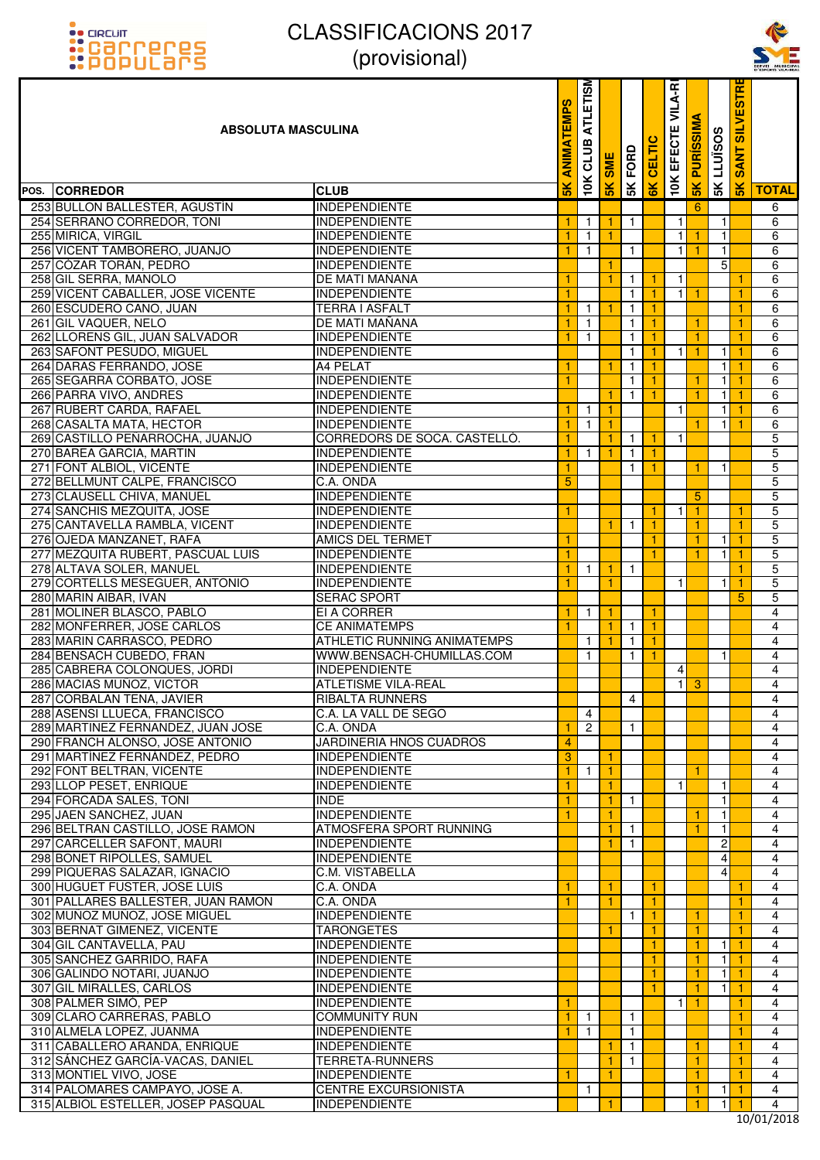# **OO FIDELIIT** :carreres<br>:Populars

#### CLASSIFICACIONS 2017 (provisional)



뜬

#### 10K EFECTE VILA-RI **10K CLUB ATLETISME 5K SANT SILVESTRE** EFECTE VILA-R ETISI 5g **ANIMATEMPS 5K ANIMATEMPS** ATLI **5K PURÍSSIMA ABSOLUTA MASCULINA 5K LLUÏSOS**  $\overline{\boldsymbol{\sigma}}$ CLUB. **6K CELTIC 5K FORD SANT 5K SME**  $\overline{\phantom{a}}$  $\overline{\mathsf{K}}$ ⊻ × **POS. CORREDOR CLUB TOTAL** 253 BULLON BALLESTER, AGUSTÍN INDEPENDIENTE INDEPENDIENTE IN A LA CHARLON BALLESTER, AGUSTÍN 254 SERRANO CORREDOR, TONI INDEPENDIENTE 1 1 1 1 1 1 1 1 1 1 1 1 1 1 1 6 255 MIRICA, VIRGIL **INDEPENDIENTE 1 1 1 1 1 1 1 1 1 1 1 1** 1 1 1 1 6 256 VICENT TAMBORERO, JUANJO INDEPENDIENTE 1 1 1 1 1 1 1 1 1 1 6 257 CÓZAR TORÁN, PEDRO INDEPENDIENTE **1 6 6 6 6 6 6 6 6 6 7 C** 1 6 6 6 6 6 6 7 CÓZAR TORÁN, PEDRO 258 GIL SERRA, MANOLO DE DE MATI MAÑANA 1 1 1 1 1 1 1 1 1 1 1 1 6 259 VICENT CABALLER, JOSE VICENTE INDEPENDIENTE IN 1999 LANGUARD 1999 LANGUARD 1 1 1 1 1 1 1 1 1 1 1 1 1 1 6 260 ESCUDERO CANO, JUAN TERRA I ASFALT TERRA I ASFALT TERRA I ASFALT TERRA I ASFALT TERRA I ASFALT TERRA I ASF 261 GIL VAQUER, NELO **DE MATI MAÑANA 1 1 1 1 1 1 1 1 1 1 1 1** 1 1 1 1 6 262 LLORENS GIL, JUAN SALVADOR INDEPENDIENTE TERMINENTE TERMINENTE ANNE 1 1 1 1 1 1 1 1 1 1 6 263 SAFONT PESUDO, MIGUEL INDEPENDIENTE INDEPENDIENTE IN LA POLITICAL ENTRE 1 1 1 1 1 1 1 1 6 264 DARAS FERRANDO, JOSE 264 PELAT 2002 1 264 PELAT 2003 264 PELAT 2004 264 PELAT 2004 PELAT 2004 PELAT 2004 PELAT 265 SEGARRA CORBATO, JOSE INDEPENDIENTE 1 1 1 1 1 1 1 1 1 1 1 6 266 PARRA VIVO, ANDRES INDEPENDIENTE INDEPENDIENTE IN 1 1 1 1 1 1 1 1 1 1 1 6 267 RUBERT CARDA, RAFAEL INDEPENDIENTE INDEPENDIENTE 268 CASALTA MATA, HECTOR INDEPENDIENTE **1 1 1 1 1 1 1 1 1 1 1 1 1** 6 269 CASTILLO PEÑARROCHA, JUANJO CORREDORS DE SOCA. CASTELLÓ. 11 11 11 1 270 BAREA GARCIA, MARTIN INDEPENDIENTE 1 1 1 1 1 5 271 FONT ALBIOL, VICENTE INDEPENDIENTE INDEPENDIENTE 1 1 1 1 1 1 5 272 BELLMUNT CALPE, FRANCISCO C.A. ONDA 5 5 273 CLAUSELL CHIVA, MANUEL INDEPENDIENTE 5 5 274 ISANCHIS MEZQUITA, JOSE INDEPENDIENTE INDEPENDIENTE 1 1 1 1 1 1 1 1 1 5 275 CANTAVELLA RAMBLA, VICENT INDEPENDIENTE 1 1 1 1 1 1 1 1 1 1 1 1 5 276 OJEDA MANZANET, RAFA AMICS DEL TERMET 1 1 1 1 1 1 1 1 1 5 277 MEZQUITA RUBERT, PASCUAL LUIS INDEPENDIENTE 1 1 1 1 1 1 1 1 1 5 278 ALTAVA SOLER, MANUEL INDEPENDIENTE INDEPENDIENTE 279 CORTELLS MESEGUER, ANTONIO INDEPENDIENTE 1 1 1 1 1 1 1 1 1 1 5 280 MARIN AIBAR, IVAN SERAC SPORT SERAC SPORT SERAC SPORT SERAGING SERACE SPORT SERAGING SERACE SPORT SERACE SPORT 281 MOLINER BLASCO, PABLO EI A CORRER 1 1 1 1 4 282 MONFERRER, JOSE CARLOS CE ANIMATEMPS 1 1 1 1 4 283 MARIN CARRASCO, PEDRO ATHLETIC RUNNING ANIMATEMPS 1 1 1 1 4 284 BENSACH CUBEDO, FRAN WWW.BENSACH-CHUMILLAS.COM 1 1 1 1 1 1 1 1 1 4 285 CABRERA COLONQUES, JORDI INDEPENDIENTE AND LONGITUDE AND LONGITUDE AND 4 4 4 4 4 4 4 4 4 4 4 4 4 4 4 4 4 4 286 MACIAS MUÑOZ, VICTOR ATLETISME VILA-REAL ATLETISME VILA-REAL ATLANTIA ATLANTIA ATLANTIA ATLANTIA ATLANTIA 287 CORBALAN TENA, JAVIER RIBALTA RUNNERS REGISTER AND HOLD AND HOLD AND HOLD AT A 4 4 4 4 4 4 4 4 4 4 4 4 4 4 288 ASENSI LLUECA, FRANCISCO C.A. LA VALL DE SEGO 4 4 289 MARTINEZ FERNANDEZ, JUAN JOSE C.A. ONDA 1 2 1 4 290 FRANCH ALONSO, JOSE ANTONIO JARDINERIA HNOS CUADROS 4 4 291 MARTÍNEZ FERNÁNDEZ, PEDRO INDEPENDIENTE SOLUTION A 1 1 1 1 1 4 4 292 FONT BELTRAN, VICENTE INDEPENDIENTE 1 1 1 1 4 293 LLOP PESET, ENRIQUE TRANSMISSION ENTERTAINMENTE TRANSMISSION INDEPENDIENTE 294 FORCADA SALES, TONI INDE 1 1 1 1 4 295 JAEN SANCHEZ, JUAN INDEPENDIENTE 1 1 1 1 4 296 BELTRAN CASTILLO, JOSE RAMON ATMOSFERA SPORT RUNNING ATMOSTO ATMOSFERA SPORT RUNNING 297 CARCELLER SAFONT, MAURI INDEPENDIENTE 1 1 2 4 298 BONET RIPOLLES, SAMUEL **INDEPENDIENTE** And the set of the set of the set of the set of the set of the set of t 299 PIQUERAS SALAZAR, IGNACIO C.M. VISTABELLA 4 4 300 HUGUET FUSTER, JOSE LUIS C.A. ONDA 1 1 1 1 4 301 PALLARES BALLESTER, JUAN RAMON C.A. ONDA 1 1 1 1 1 1 1 1 1 1 1 1 4 302 MUÑOZ MUÑOZ, JOSE MIGUEL INDEPENDIENTE INDEPENDIENTE AU DE LA 1 1 1 1 1 1 1 4 4 303 BERNAT GIMENEZ, VICENTE TARONGETES 1 1 1 1 4 304 GIL CANTAVELLA, PAU **INDEPENDIENTE DE L'ANTAVELLA, PAU INDEPENDIENTE DE L'ANTAVELLA, PAU INDEPENDIENTE DE L'A<br>305 SANCHEZ GARRIDO. RAFA INDEPENDIENTE DE L'ANTAVELLA DE L'ANTAVELLA DE L'ANTAVELLA DE L'ANTAVELLA DE L'ANT** 305 SANCHEZ GARRIDO, RAFA INDEPENDIENTE 1 1 1 1 4 306 GALINDO NOTARI, JUANJO INDEPENDIENTE 1 1 1 1 4 307 GIL MIRALLES, CARLOS **INDEPENDIENTE 1 1 1 1 1 1 1 1 1 1 4** 4 308 PALMER SIMÓ, PEP INDEPENDIENTE INDEPENDIENTE EN L'ANGLISHE EN L'ANGLISHE EN L'ANGLISHE EN L'ANGLISHE EN L' 309 CLARO CARRERAS, PABLO COMMUNITY RUN 1 1 1 1 1 1 1 1 1 1 1 1 1 1 1 1 1 1 4 310 ALMELA LOPEZ, JUANMA INDEPENDIENTE 1 1 1 1 4 311 CABALLERO ARANDA, ENRIQUE INDEPENDIENTE INDEPENDIENTE 1 1 1 1 1 1 1 1 1 1 4 312 SÁNCHEZ GARCÍA-VACAS, DANIEL TERRETA-RUNNERS 1 1 1 1 1 1 1 1 1 1 4 313 MONTIEL VIVO, JOSE INDEPENDIENTE 1 1 1 1 4 314 PALOMARES CAMPAYO, JOSE A. CENTRE EXCURSIONISTA 1 1 1 1 1 1 1 1 4

315 ALBIOL ESTELLER, JOSEP PASQUAL INDEPENDIENTE **1 1 1 1 1 1 1 1 1 1 4** 4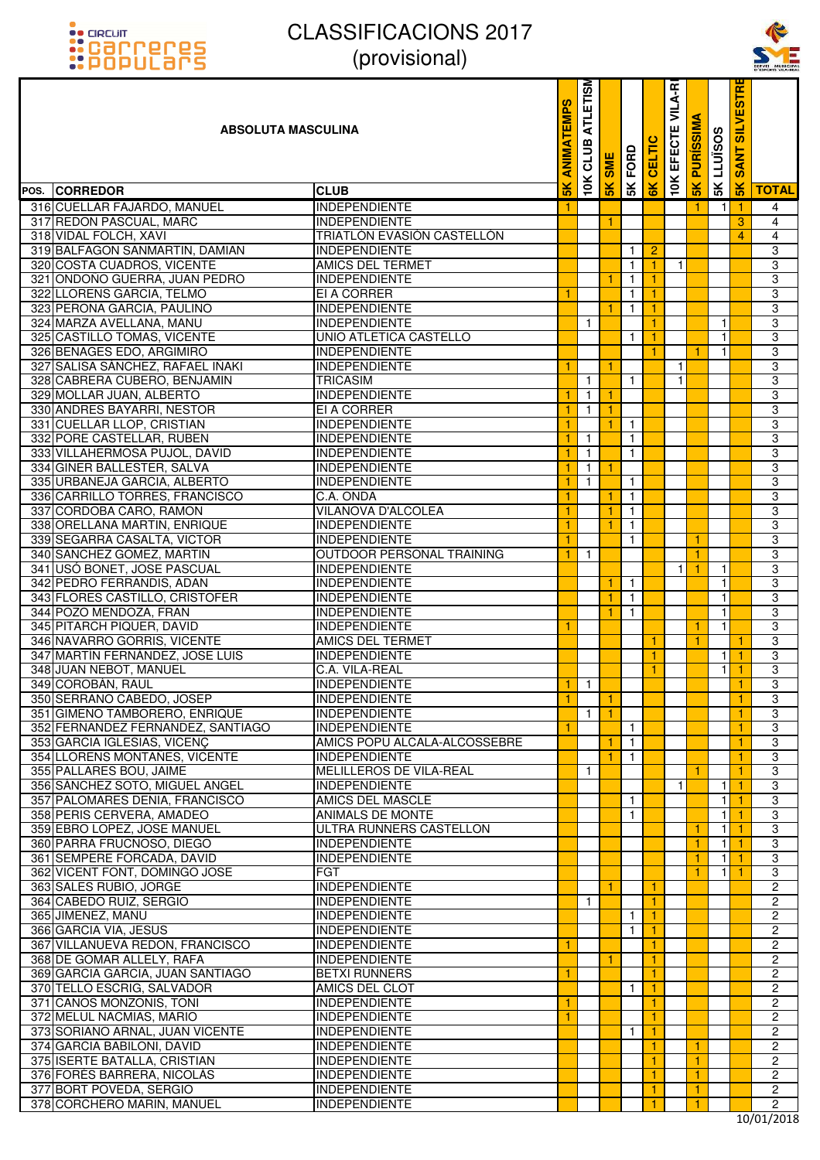



| <u>::PUPULdI'S</u>                                               | UUUUUUUU                                     |                    |                              |                |                              |               |                   |                  |                   |                      | SERVEI MUNICIPA<br>D'ESPORTS VILA-REA |
|------------------------------------------------------------------|----------------------------------------------|--------------------|------------------------------|----------------|------------------------------|---------------|-------------------|------------------|-------------------|----------------------|---------------------------------------|
| <b>ABSOLUTA MASCULINA</b>                                        |                                              | <b>EMPS</b><br>MIN | <b>ATLETISM</b><br>CLUB      | <b>SME</b>     | FORD                         | <b>CELTIC</b> | VILA-RI<br>EFECTE | <b>PURISSIMA</b> | <b>SK LLUISOS</b> | <b>SANT SILVESTR</b> |                                       |
| POS. CORREDOR                                                    | <b>CLUB</b>                                  | $\frac{2}{5}$      | 10K                          | 5K             | 5K                           | 6K            | <b>10K</b>        | 5K               |                   | 5K                   | <b>TOTAL</b>                          |
| 316 CUELLAR FAJARDO, MANUEL                                      | <b>INDEPENDIENTE</b>                         |                    |                              |                |                              |               |                   |                  | $\mathbf{1}$      | $\overline{1}$       | 4                                     |
| 317 REDON PASCUAL, MARC                                          | <b>INDEPENDIENTE</b>                         |                    |                              | 1              |                              |               |                   |                  |                   | 3                    | $\overline{4}$                        |
| 318 VIDAL FOLCH, XAVI                                            | TRIATLÓN EVASIÓN CASTELLÓN                   |                    |                              |                |                              |               |                   |                  |                   | 4                    | 4                                     |
| 319 BALFAGON SANMARTIN, DAMIAN                                   | <b>INDEPENDIENTE</b>                         |                    |                              |                | 1                            | 2             |                   |                  |                   |                      | 3                                     |
| 320 COSTA CUADROS, VICENTE                                       | <b>AMICS DEL TERMET</b>                      |                    |                              |                | $\mathbf{1}$                 | 1.            | 1                 |                  |                   |                      | 3                                     |
| 321 ONDOÑO GUERRA, JUAN PEDRO                                    | <b>INDEPENDIENTE</b>                         |                    |                              | 1              | $\mathbf{1}$                 | 1.            |                   |                  |                   |                      | 3                                     |
| 322 LLORENS GARCIA, TELMO                                        | EI A CORRER                                  | 1                  |                              |                | $\mathbf{1}$                 | 1.            |                   |                  |                   |                      | 3                                     |
| 323 PERONA GARCIA, PAULINO                                       | <b>INDEPENDIENTE</b>                         |                    |                              | 1              | $\mathbf{1}$                 | 1.            |                   |                  |                   |                      | 3                                     |
| 324 MARZA AVELLANA, MANU                                         | <b>INDEPENDIENTE</b>                         |                    | $\mathbf{1}$                 |                |                              | 1.            |                   |                  | $\overline{1}$    |                      | 3                                     |
| 325 CASTILLO TOMAS, VICENTE                                      | UNIO ATLETICA CASTELLO                       |                    |                              |                | $\mathbf{1}$                 | 1.            |                   |                  | $\mathbf{1}$      |                      | 3                                     |
| 326 BENAGES EDO, ARGIMIRO<br>327 SALISA SANCHEZ, RAFAEL INAKI    | <b>INDEPENDIENTE</b>                         |                    |                              |                |                              | 1.            |                   | 1                | -1                |                      | 3<br>3                                |
| 328 CABRERA CUBERO, BENJAMIN                                     | <b>INDEPENDIENTE</b><br><b>TRICASIM</b>      | 1                  |                              | -1             |                              |               | $\mathbf{1}$<br>1 |                  |                   |                      | $\overline{3}$                        |
| 329 MOLLAR JUAN, ALBERTO                                         | <b>INDEPENDIENTE</b>                         | $\mathbf{1}$       | $\mathbf{1}$<br>$\mathbf{1}$ | $\overline{1}$ | $\mathbf{1}$                 |               |                   |                  |                   |                      | $\overline{3}$                        |
| 330 ANDRES BAYARRI, NESTOR                                       | EI A CORRER                                  | 1                  | $\mathbf{1}$                 | $\mathbf{1}$   |                              |               |                   |                  |                   |                      | $\overline{3}$                        |
| 331 CUELLAR LLOP, CRISTIAN                                       | <b>INDEPENDIENTE</b>                         | 1                  |                              | $\mathbf{1}$   | $\overline{1}$               |               |                   |                  |                   |                      | $\overline{3}$                        |
| 332 PORE CASTELLAR, RUBEN                                        | <b>INDEPENDIENTE</b>                         | 1                  | $\mathbf{1}$                 |                | $\mathbf{1}$                 |               |                   |                  |                   |                      | $\overline{3}$                        |
| 333 VILLAHERMOSA PUJOL, DAVID                                    | <b>INDEPENDIENTE</b>                         | $\mathbf{1}$       | $\mathbf{1}$                 |                | $\mathbf{1}$                 |               |                   |                  |                   |                      | $\overline{3}$                        |
| 334 GINER BALLESTER, SALVA                                       | <b>INDEPENDIENTE</b>                         | 1                  | $\mathbf{1}$                 | 1              |                              |               |                   |                  |                   |                      | 3                                     |
| 335 URBANEJA GARCIA, ALBERTO                                     | INDEPENDIENTE                                | -1                 | $\mathbf{1}$                 |                | $\overline{1}$               |               |                   |                  |                   |                      | $\overline{3}$                        |
| 336 CARRILLO TORRES, FRANCISCO                                   | C.A. ONDA                                    | 1                  |                              |                | $\overline{1}$               |               |                   |                  |                   |                      | $\overline{3}$                        |
| 337 CORDOBA CARO, RAMON                                          | <b>VILANOVA D'ALCOLEA</b>                    | 1                  |                              | $\mathbf{1}$   | $\mathbf{1}$                 |               |                   |                  |                   |                      | $\overline{3}$                        |
| 338 ORELLANA MARTIN, ENRIQUE                                     | <b>INDEPENDIENTE</b>                         | 1                  |                              | 1              | $\mathbf{1}$                 |               |                   |                  |                   |                      | $\overline{3}$                        |
| 339 SEGARRA CASALTA, VICTOR                                      | <b>INDEPENDIENTE</b>                         | 1                  |                              |                | $\mathbf{1}$                 |               |                   | 1                |                   |                      | $\overline{3}$                        |
| 340 SANCHEZ GOMEZ, MARTIN                                        | OUTDOOR PERSONAL TRAINING                    |                    | $\mathbf{1}$                 |                |                              |               |                   | $\mathbf{1}$     |                   |                      | $\overline{3}$                        |
| 341 USÓ BONET, JOSE PASCUAL                                      | <b>INDEPENDIENTE</b>                         |                    |                              |                |                              |               | $\mathbf{1}$      | $\mathbf{1}$     | $\mathbf{1}$      |                      | 3                                     |
| 342 PEDRO FERRANDIS, ADAN                                        | <b>INDEPENDIENTE</b>                         |                    |                              | 1              | $\overline{1}$               |               |                   |                  | 1                 |                      | $\overline{3}$                        |
| 343 FLORES CASTILLO, CRISTOFER                                   | INDEPENDIENTE                                |                    |                              | 1              | $\overline{1}$               |               |                   |                  | $\mathbf{1}$      |                      | $\overline{3}$                        |
| 344 POZO MENDOZA, FRAN                                           | <b>INDEPENDIENTE</b>                         |                    |                              |                | $\mathbf{1}$                 |               |                   |                  | $\mathbf{1}$      |                      | $\overline{3}$                        |
| 345 PITARCH PIQUER, DAVID                                        | <b>INDEPENDIENTE</b>                         | 1                  |                              |                |                              |               |                   | $\mathbf{1}$     | $\mathbf{1}$      |                      | $\overline{3}$                        |
| 346 NAVARRO GORRIS, VICENTE                                      | AMICS DEL TERMET                             |                    |                              |                |                              | 1.            |                   | 1                |                   | 1                    | 3                                     |
| 347 MARTÍN FERNÁNDEZ, JOSE LUIS                                  | INDEPENDIENTE                                |                    |                              |                |                              | 1.            |                   |                  | 1                 | -1                   | 3                                     |
| 348 JUAN NEBOT, MANUEL                                           | C.A. VILA-REAL                               |                    |                              |                |                              | 1.            |                   |                  | $\mathbf{1}$      | -1                   | $\overline{3}$                        |
| 349 COROBÁN, RAUL                                                | <b>INDEPENDIENTE</b>                         | 1.                 | $\overline{1}$               |                |                              |               |                   |                  |                   | 1                    | 3                                     |
| 350 SERRANO CABEDO, JOSEP                                        | <b>INDEPENDIENTE</b>                         | $\mathbf{1}$       |                              | $\mathbf{1}$   |                              |               |                   |                  |                   | 1                    | $\overline{3}$                        |
| 351 GIMENO TAMBORERO, ENRIQUE                                    | <b>INDEPENDIENTE</b><br><b>INDEPENDIENTE</b> | 1                  | $\mathbf{1}$                 | -1             |                              |               |                   |                  |                   | 1                    | 3<br>$\overline{3}$                   |
| 352 FERNANDEZ FERNANDEZ, SANTIAGO<br>353 GARCIA IGLESIAS, VICENC | AMICS POPU ALCALA-ALCOSSEBRE                 |                    |                              | 1              | $\mathbf{1}$<br>$\mathbf{1}$ |               |                   |                  |                   | 1<br>1               | 3                                     |
| 354 LLORENS MONTAÑES, VICENTE                                    | <b>INDEPENDIENTE</b>                         |                    |                              | 1              | $\mathbf{1}$                 |               |                   |                  |                   | 1                    | $\overline{3}$                        |
| 355 PALLARES BOU, JAIME                                          | MELILLEROS DE VILA-REAL                      |                    | $\mathbf{1}$                 |                |                              |               |                   | 1                |                   | 1                    | 3                                     |
| 356 SÁNCHEZ SOTO, MIGUEL ANGEL                                   | <b>INDEPENDIENTE</b>                         |                    |                              |                |                              |               | 1                 |                  | 1                 | 1                    | $\overline{3}$                        |
| 357 PALOMARES DENIA, FRANCISCO                                   | <b>AMICS DEL MASCLE</b>                      |                    |                              |                | $\mathbf{1}$                 |               |                   |                  | $\mathbf{1}$      | $\overline{1}$       | 3                                     |
| 358 PERIS CERVERA, AMADEO                                        | ANIMALS DE MONTE                             |                    |                              |                | $\mathbf{1}$                 |               |                   |                  | $\mathbf{1}$      | 1                    | 3                                     |
| 359 EBRO LOPEZ, JOSE MANUEL                                      | ULTRA RUNNERS CASTELLON                      |                    |                              |                |                              |               |                   | 1                | 1                 | $\mathbf{1}$         | 3                                     |
| 360 PARRA FRUCNOSO, DIEGO                                        | <b>INDEPENDIENTE</b>                         |                    |                              |                |                              |               |                   | 1                | 1                 | 1                    | $\overline{3}$                        |
| 361 SEMPERE FORCADA, DAVID                                       | <b>INDEPENDIENTE</b>                         |                    |                              |                |                              |               |                   | $\mathbf{1}$     | $\mathbf{1}$      | $\overline{1}$       | 3                                     |
| 362 VICENT FONT, DOMINGO JOSE                                    | <b>FGT</b>                                   |                    |                              |                |                              |               |                   | 1.               | $\mathbf{1}$      | -1                   | 3                                     |
| 363 SALES RUBIO, JORGE                                           | <b>INDEPENDIENTE</b>                         |                    |                              |                |                              | 1.            |                   |                  |                   |                      | $\overline{2}$                        |
| 364 CABEDO RUIZ, SERGIO                                          | <b>INDEPENDIENTE</b>                         |                    | $\mathbf{1}$                 |                |                              | 1.            |                   |                  |                   |                      | $\mathbf{2}$                          |
| 365 JIMENEZ, MANU                                                | <b>INDEPENDIENTE</b>                         |                    |                              |                | $\mathbf{1}$                 | $\mathbf{1}$  |                   |                  |                   |                      | $\mathbf{2}$                          |
| 366 GARCIA VIA, JESUS                                            | <b>INDEPENDIENTE</b>                         |                    |                              |                | $\mathbf{1}$                 | $\mathbf{1}$  |                   |                  |                   |                      | $\overline{2}$                        |
| 367 VILLANUEVA REDON, FRANCISCO                                  | <b>INDEPENDIENTE</b>                         | 1                  |                              |                |                              | 1.            |                   |                  |                   |                      | 2                                     |
| 368 DE GOMAR ALLELY, RAFA                                        | <b>INDEPENDIENTE</b>                         |                    |                              |                |                              | 1.            |                   |                  |                   |                      | $\overline{c}$                        |
| 369 GARCIA GARCIA, JUAN SANTIAGO                                 | <b>BETXI RUNNERS</b>                         | 1                  |                              |                |                              | 1.            |                   |                  |                   |                      | $\mathbf{2}$                          |
| 370 TELLO ESCRIG, SALVADOR<br>371 CANOS MONZONIS, TONI           | AMICS DEL CLOT<br><b>INDEPENDIENTE</b>       | 1                  |                              |                | $\mathbf{1}$                 | 1.<br>1.      |                   |                  |                   |                      | $\overline{c}$<br>$\mathbf{2}$        |
| 372 MELUL NACMIAS, MARIO                                         | <b>INDEPENDIENTE</b>                         |                    |                              |                |                              | 1.            |                   |                  |                   |                      | $\mathbf{2}$                          |
| 373 SORIANO ARNAL, JUAN VICENTE                                  | <b>INDEPENDIENTE</b>                         |                    |                              |                | $\mathbf{1}$                 | $\mathbf{1}$  |                   |                  |                   |                      | $\mathbf{2}$                          |
| 374 GARCIA BABILONI, DAVID                                       | <b>INDEPENDIENTE</b>                         |                    |                              |                |                              | 1.            |                   | 1.               |                   |                      | $\overline{2}$                        |
| 375 ISERTE BATALLA, CRISTIAN                                     | <b>INDEPENDIENTE</b>                         |                    |                              |                |                              | 1.            |                   | $\mathbf{1}$     |                   |                      | $\overline{2}$                        |
| 376 FORÉS BARRERA, NICOLÁS                                       | <b>INDEPENDIENTE</b>                         |                    |                              |                |                              | 1.            |                   | 1.               |                   |                      | $\overline{c}$                        |
| 377 BORT POVEDA, SERGIO                                          | <b>INDEPENDIENTE</b>                         |                    |                              |                |                              | 1.            |                   | $\mathbf{1}$     |                   |                      | $\overline{2}$                        |
| 378 CORCHERO MARIN, MANUEL                                       | <b>INDEPENDIENTE</b>                         |                    |                              |                |                              | 1.            |                   | 1                |                   |                      | 2                                     |
|                                                                  |                                              |                    |                              |                |                              |               |                   |                  |                   |                      | 0.0101                                |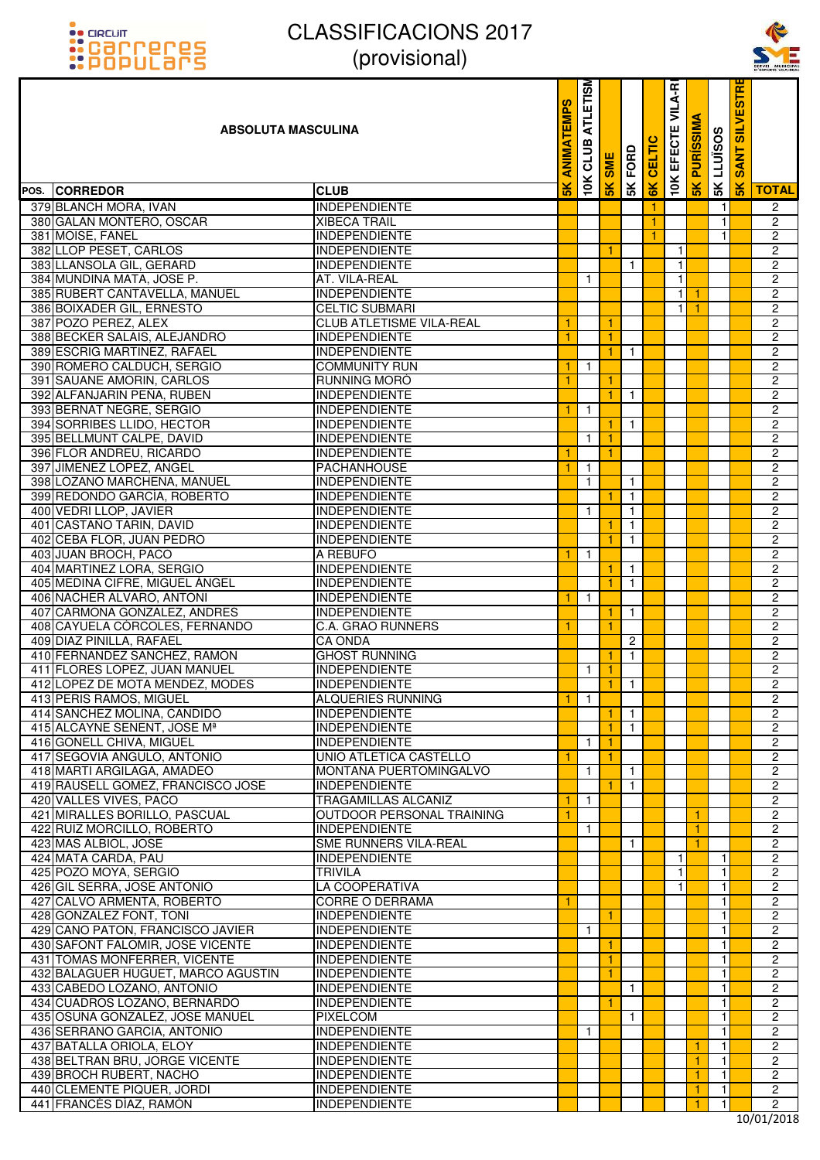



| <u>::PUPULdI'5</u>                                              | $\mu$ וטופוטטוען                             |                            |                         |                 |                |        |                          |                     |                   |                                     | SERVEI MUNICIPA<br>D'ESPORTS VILA-REA |
|-----------------------------------------------------------------|----------------------------------------------|----------------------------|-------------------------|-----------------|----------------|--------|--------------------------|---------------------|-------------------|-------------------------------------|---------------------------------------|
| <b>ABSOLUTA MASCULINA</b>                                       |                                              | <b>EMPS</b><br><b>ANIM</b> | <b>ATLETISM</b><br>CLUB | <b>SME</b>      | <b>5K FORD</b> | CELTIC | <b>10K EFECTE VILA-R</b> | <b>SK PURISSIMA</b> | <b>SK LLUISOS</b> | <b>SILVESTR</b><br>ANT<br><b>SO</b> |                                       |
| POS. CORREDOR                                                   | <b>CLUB</b>                                  | $\frac{1}{2}$              | 10K                     | 5K              |                | 6K     |                          |                     |                   | $\frac{1}{5}$                       | <b>TOTAL</b>                          |
| 379 BLANCH MORA, IVAN                                           | <b>INDEPENDIENTE</b>                         |                            |                         |                 |                | 1      |                          |                     | $\mathbf{1}$      |                                     | $\overline{2}$                        |
| 380 GALAN MONTERO, OSCAR                                        | <b>XIBECA TRAIL</b>                          |                            |                         |                 |                | 1      |                          |                     | $\mathbf{1}$      |                                     | $\overline{c}$                        |
| 381 MOISE, FANEL                                                | <b>INDEPENDIENTE</b>                         |                            |                         |                 |                | 1      |                          |                     | $\mathbf{1}$      |                                     | 2                                     |
| 382 LLOP PESET, CARLOS                                          | <b>INDEPENDIENTE</b>                         |                            |                         |                 |                |        | $\mathbf{1}$             |                     |                   |                                     | $\overline{c}$                        |
| 383 LLANSOLA GIL, GERARD                                        | <b>INDEPENDIENTE</b>                         |                            |                         |                 | $\mathbf{1}$   |        | $\mathbf{1}$             |                     |                   |                                     | $\overline{2}$                        |
| 384 MUNDINA MATA, JOSE P.                                       | AT. VILA-REAL                                |                            | $\mathbf{1}$            |                 |                |        | $\mathbf{1}$             |                     |                   |                                     | $\overline{2}$                        |
| 385 RUBERT CANTAVELLA, MANUEL                                   | <b>INDEPENDIENTE</b>                         |                            |                         |                 |                |        | 11                       | -1                  |                   |                                     | $\overline{2}$                        |
| 386 BOIXADER GIL, ERNESTO                                       | <b>CELTIC SUBMARI</b>                        |                            |                         |                 |                |        | $\mathbf{1}$             | $\mathbf{1}$        |                   |                                     | $\overline{2}$                        |
| 387 POZO PEREZ, ALEX                                            | <b>CLUB ATLETISME VILA-REAL</b>              |                            |                         |                 |                |        |                          |                     |                   |                                     | $\overline{2}$                        |
| 388 BECKER SALAIS, ALEJANDRO                                    | <b>INDEPENDIENTE</b>                         | 1                          |                         | 1.              |                |        |                          |                     |                   |                                     | $\overline{2}$                        |
| 389 ESCRIG MARTINEZ, RAFAEL                                     | <b>INDEPENDIENTE</b><br><b>COMMUNITY RUN</b> |                            |                         | 1.              | $\mathbf{1}$   |        |                          |                     |                   |                                     | $\overline{c}$<br>$\overline{2}$      |
| 390 ROMERO CALDUCH, SERGIO<br>391 SAUANE AMORIN, CARLOS         | RUNNING MORO                                 |                            | $\mathbf{1}$            |                 |                |        |                          |                     |                   |                                     | $\overline{2}$                        |
| 392 ALFANJARIN PEÑA, RUBEN                                      | <b>INDEPENDIENTE</b>                         |                            |                         | $\mathbf{1}$    | $\overline{1}$ |        |                          |                     |                   |                                     | $\overline{c}$                        |
| 393 BERNAT NEGRE, SERGIO                                        | <b>INDEPENDIENTE</b>                         | 1                          | $\mathbf{1}$            |                 |                |        |                          |                     |                   |                                     | $\overline{c}$                        |
| 394 SORRIBES LLIDO, HECTOR                                      | <b>INDEPENDIENTE</b>                         |                            |                         | 1               | $\overline{1}$ |        |                          |                     |                   |                                     | $\overline{2}$                        |
| 395 BELLMUNT CALPE, DAVID                                       | <b>INDEPENDIENTE</b>                         |                            | $\mathbf{1}$            |                 |                |        |                          |                     |                   |                                     | $\overline{2}$                        |
| 396 FLOR ANDREU, RICARDO                                        | <b>INDEPENDIENTE</b>                         | 1                          |                         | $\mathbf{1}$    |                |        |                          |                     |                   |                                     | $\overline{2}$                        |
| 397 JIMENEZ LOPEZ, ANGEL                                        | <b>PACHANHOUSE</b>                           | 1                          | $\mathbf{1}$            |                 |                |        |                          |                     |                   |                                     | $\overline{c}$                        |
| 398 LOZANO MARCHENA, MANUEL                                     | INDEPENDIENTE                                |                            | $\mathbf{1}$            |                 | $\overline{1}$ |        |                          |                     |                   |                                     | $\overline{2}$                        |
| 399 REDONDO GARCÍA, ROBERTO                                     | <b>INDEPENDIENTE</b>                         |                            |                         |                 | $\mathbf{1}$   |        |                          |                     |                   |                                     | $\overline{2}$                        |
| 400 VEDRI LLOP, JAVIER                                          | <b>INDEPENDIENTE</b>                         |                            | $\mathbf{1}$            |                 | $\mathbf{1}$   |        |                          |                     |                   |                                     | $\overline{2}$                        |
| 401 CASTAÑO TARIN, DAVID                                        | <b>INDEPENDIENTE</b>                         |                            |                         |                 | $\mathbf{1}$   |        |                          |                     |                   |                                     | $\overline{2}$                        |
| 402 CEBA FLOR, JUAN PEDRO                                       | <b>INDEPENDIENTE</b>                         |                            |                         | 1               | $\mathbf{1}$   |        |                          |                     |                   |                                     | $\overline{2}$                        |
| 403 JUAN BROCH, PACO                                            | A REBUFO                                     |                            | $\mathbf{1}$            |                 |                |        |                          |                     |                   |                                     | $\overline{2}$                        |
| 404 MARTINEZ LORA, SERGIO                                       | <b>INDEPENDIENTE</b>                         |                            |                         | 1.              | $\overline{1}$ |        |                          |                     |                   |                                     | $\overline{c}$                        |
| 405 MEDINA CIFRE, MIGUEL ÁNGEL                                  | <b>INDEPENDIENTE</b>                         |                            |                         | 1               | $\mathbf{1}$   |        |                          |                     |                   |                                     | $\overline{2}$                        |
| 406 NACHER ALVARO, ANTONI<br>407 CARMONA GONZALEZ, ANDRES       | <b>INDEPENDIENTE</b><br><b>INDEPENDIENTE</b> | 1                          | $\mathbf{1}$            |                 | $\mathbf{1}$   |        |                          |                     |                   |                                     | $\overline{a}$<br>$\overline{2}$      |
| 408 CAYUELA CÓRCOLES, FERNANDO                                  | C.A. GRAO RUNNERS                            | 1                          |                         | 1<br>1.         |                |        |                          |                     |                   |                                     | $\overline{2}$                        |
| 409 DIAZ PINILLA, RAFAEL                                        | <b>CA ONDA</b>                               |                            |                         |                 | $\overline{2}$ |        |                          |                     |                   |                                     | $\overline{c}$                        |
| 410 FERNANDEZ SANCHEZ, RAMON                                    | <b>GHOST RUNNING</b>                         |                            |                         |                 | $\mathbf{1}$   |        |                          |                     |                   |                                     | $\overline{a}$                        |
| 411 FLORES LOPEZ, JUAN MANUEL                                   | <b>INDEPENDIENTE</b>                         |                            | $\mathbf{1}$            | -1              |                |        |                          |                     |                   |                                     | $\overline{2}$                        |
| 412 LOPEZ DE MOTA MENDEZ, MODES                                 | <b>INDEPENDIENTE</b>                         |                            |                         | 1.              | $\overline{1}$ |        |                          |                     |                   |                                     | 2                                     |
| 413 PERIS RAMOS, MIGUEL                                         | <b>ALQUERIES RUNNING</b>                     | 1                          | $\mathbf{1}$            |                 |                |        |                          |                     |                   |                                     | 2                                     |
| 414 SANCHEZ MOLINA, CANDIDO                                     | <b>INDEPENDIENTE</b>                         |                            |                         | -1.             | $\overline{1}$ |        |                          |                     |                   |                                     | $\overline{2}$                        |
| 415 ALCAYNE SENENT, JOSE Mª                                     | <b>INDEPENDIENTE</b>                         |                            |                         |                 | $\overline{1}$ |        |                          |                     |                   |                                     | $\overline{2}$                        |
| 416 GONELL CHIVA, MIGUEL                                        | <b>INDEPENDIENTE</b>                         |                            | $\mathbf{1}$            | $\blacklozenge$ |                |        |                          |                     |                   |                                     | $\overline{2}$                        |
| 417 SEGOVIA ANGULO, ANTONIO                                     | UNIO ATLETICA CASTELLO                       | 1                          |                         | 1.              |                |        |                          |                     |                   |                                     | $\overline{2}$                        |
| 418 MARTI ARGILAGA, AMADEO<br>419 RAUSELL GOMEZ, FRANCISCO JOSE | MONTAÑA PUERTOMINGALVO                       |                            | $\mathbf{1}$            |                 | $\overline{1}$ |        |                          |                     |                   |                                     | $\overline{2}$<br>$\overline{2}$      |
| 420 VALLES VIVES, PACO                                          | <b>INDEPENDIENTE</b><br>TRAGAMILLAS ALCAÑIZ  | 1                          | $\mathbf{1}$            |                 | $\overline{1}$ |        |                          |                     |                   |                                     | $\overline{2}$                        |
| 421 MIRALLES BORILLO, PASCUAL                                   | OUTDOOR PERSONAL TRAINING                    | 1                          |                         |                 |                |        |                          | $\mathbf{1}$        |                   |                                     | $\overline{2}$                        |
| 422 RUIZ MORCILLO, ROBERTO                                      | <b>INDEPENDIENTE</b>                         |                            | $\mathbf{1}$            |                 |                |        |                          | $\mathbf{1}$        |                   |                                     | $\overline{2}$                        |
| 423 MAS ALBIOL, JOSE                                            | SME RUNNERS VILA-REAL                        |                            |                         |                 | $\mathbf{1}$   |        |                          | 1                   |                   |                                     | $\overline{2}$                        |
| 424 MATA CARDA, PAU                                             | <b>INDEPENDIENTE</b>                         |                            |                         |                 |                |        | $\mathbf{1}$             |                     | $\mathbf{1}$      |                                     | $\overline{2}$                        |
| 425 POZO MOYA, SERGIO                                           | <b>TRIVILA</b>                               |                            |                         |                 |                |        | 1                        |                     | 1                 |                                     | $\overline{c}$                        |
| 426 GIL SERRA, JOSE ANTONIO                                     | LA COOPERATIVA                               |                            |                         |                 |                |        | 1                        |                     | 1                 |                                     | $\overline{2}$                        |
| 427 CALVO ARMENTA, ROBERTO                                      | <b>CORRE O DERRAMA</b>                       |                            |                         |                 |                |        |                          |                     | 1                 |                                     | $\overline{2}$                        |
| 428 GONZALEZ FONT, TONI                                         | <b>INDEPENDIENTE</b>                         |                            |                         | 1.              |                |        |                          |                     | $\mathbf{1}$      |                                     | $\overline{2}$                        |
| 429 CANO PATON, FRANCISCO JAVIER                                | <b>INDEPENDIENTE</b>                         |                            | $\mathbf{1}$            |                 |                |        |                          |                     | 1                 |                                     | $\overline{c}$                        |
| 430 SAFONT FALOMIR, JOSE VICENTE                                | <b>INDEPENDIENTE</b>                         |                            |                         | 1               |                |        |                          |                     | 1                 |                                     | $\overline{2}$                        |
| 431 TOMAS MONFERRER, VICENTE                                    | <b>INDEPENDIENTE</b>                         |                            |                         | 1.              |                |        |                          |                     | 1                 |                                     | $\overline{2}$                        |
| 432 BALAGUER HUGUET, MARCO AGUSTIN                              | <b>INDEPENDIENTE</b><br><b>INDEPENDIENTE</b> |                            |                         | 1.              | $\mathbf{1}$   |        |                          |                     | $\mathbf{1}$<br>1 |                                     | $\overline{2}$<br>$\overline{2}$      |
| 433 CABEDO LOZANO, ANTONIO<br>434 CUADROS LOZANO, BERNARDO      | <b>INDEPENDIENTE</b>                         |                            |                         | 1               |                |        |                          |                     | 1                 |                                     | $\overline{2}$                        |
| 435 OSUNA GONZALEZ, JOSE MANUEL                                 | <b>PIXELCOM</b>                              |                            |                         |                 | $\mathbf{1}$   |        |                          |                     | 1                 |                                     | $\overline{2}$                        |
| 436 SERRANO GARCIA, ANTONIO                                     | <b>INDEPENDIENTE</b>                         |                            | $\mathbf{1}$            |                 |                |        |                          |                     | $\mathbf{1}$      |                                     | $\overline{2}$                        |
| 437 BATALLA ORIOLA, ELOY                                        | <b>INDEPENDIENTE</b>                         |                            |                         |                 |                |        |                          | -1                  | 1                 |                                     | $\overline{c}$                        |
| 438 BELTRAN BRU, JORGE VICENTE                                  | <b>INDEPENDIENTE</b>                         |                            |                         |                 |                |        |                          | 1                   | 1                 |                                     | $\overline{2}$                        |
| 439 BROCH RUBERT, NACHO                                         | <b>INDEPENDIENTE</b>                         |                            |                         |                 |                |        |                          | $\mathbf{1}$        | 1                 |                                     | $\overline{2}$                        |
| 440 CLEMENTE PIQUER, JORDI                                      | <b>INDEPENDIENTE</b>                         |                            |                         |                 |                |        |                          | 1                   | $\mathbf{1}$      |                                     | $\overline{2}$                        |
| 441 FRANCÉS DÍAZ, RAMÓN                                         | <b>INDEPENDIENTE</b>                         |                            |                         |                 |                |        |                          | 1                   | $\mathbf{1}$      |                                     | $\overline{2}$                        |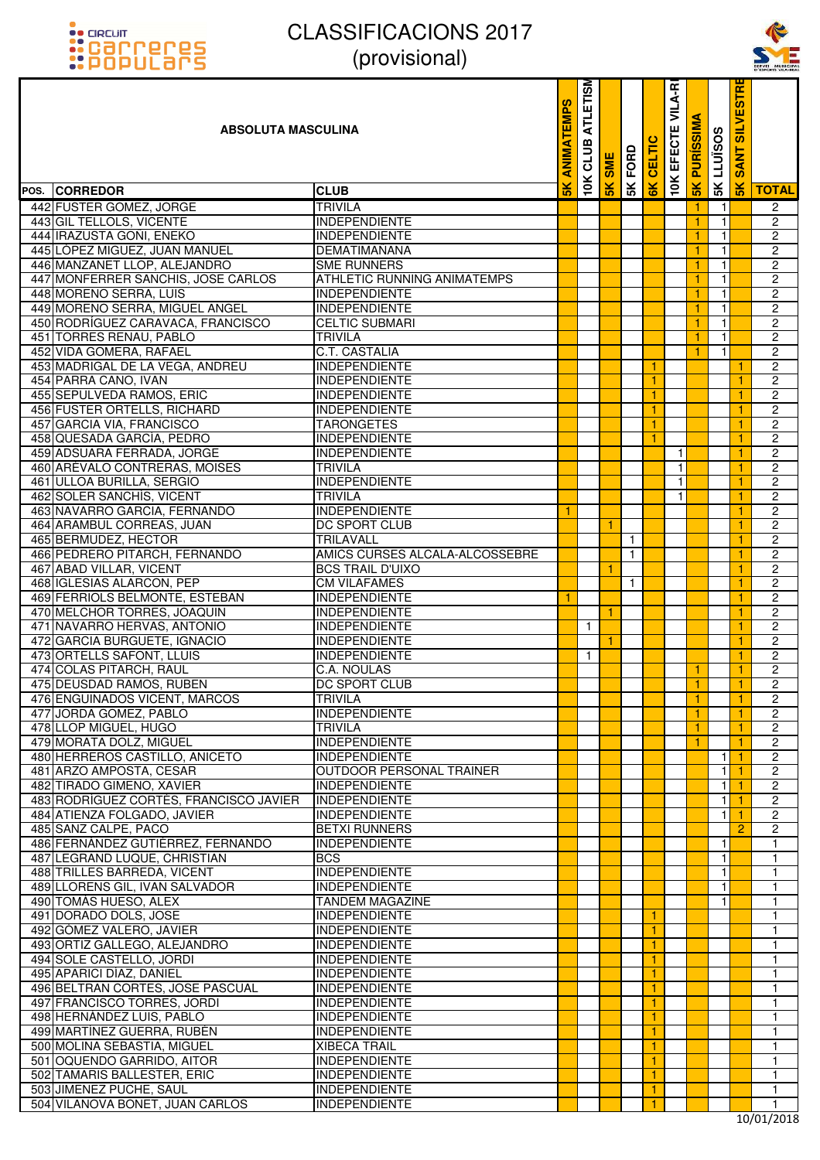



| <u>::PUPULdI'S</u>                                            | $\mu$ וטוסווטונ $\mu$                        |                  |                         |            |              |        |                          |                     |                   |                               | SERVEI MUNICIPA<br>D'ESPORTS VILA-REA |
|---------------------------------------------------------------|----------------------------------------------|------------------|-------------------------|------------|--------------|--------|--------------------------|---------------------|-------------------|-------------------------------|---------------------------------------|
| <b>ABSOLUTA MASCULINA</b>                                     |                                              | <b>EMPS</b><br>⋖ | <b>ATLETISM</b><br>CLUB | <b>SME</b> | 5K FORD      | CELTIC | <b>10K EFECTE VILA-R</b> | <b>SK PURISSIMA</b> | <b>SK LLUISOS</b> | <b>SILVESTR</b><br><b>ANT</b> |                                       |
| POS. CORREDOR                                                 | <b>CLUB</b>                                  | $\frac{1}{2}$    | 10K                     | 5K         |              | 6K     |                          |                     |                   | $\frac{1}{5}$                 | <b>TOTAL</b>                          |
| 442 FUSTER GOMEZ, JORGE                                       | <b>TRIVILA</b>                               |                  |                         |            |              |        |                          |                     | $\mathbf{1}$      |                               | $\overline{2}$                        |
| 443 GIL TELLOLS, VICENTE                                      | <b>INDEPENDIENTE</b>                         |                  |                         |            |              |        |                          | $\mathbf{1}$        | $\mathbf{1}$      |                               | $\overline{c}$                        |
| 444 IRAZUSTA GOÑI, ENEKO                                      | <b>INDEPENDIENTE</b>                         |                  |                         |            |              |        |                          | 1                   | $\mathbf{1}$      |                               | 2                                     |
| 445 LÓPEZ MIGUEZ, JUAN MANUEL                                 | <b>DEMATIMAÑANA</b>                          |                  |                         |            |              |        |                          | $\mathbf{1}$        | $\mathbf{1}$      |                               | 2                                     |
| 446 MANZANET LLOP, ALEJANDRO                                  | <b>SME RUNNERS</b>                           |                  |                         |            |              |        |                          | 1                   | $\mathbf{1}$      |                               | $\overline{c}$                        |
| 447 MONFERRER SANCHIS, JOSE CARLOS                            | <b>ATHLETIC RUNNING ANIMATEMPS</b>           |                  |                         |            |              |        |                          | $\mathbf{1}$        | $\mathbf{1}$      |                               | $\overline{2}$                        |
| 448 MORENO SERRA, LUIS                                        | <b>INDEPENDIENTE</b>                         |                  |                         |            |              |        |                          | -1                  | 1                 |                               | $\overline{c}$                        |
| 449 MORENO SERRA, MIGUEL ANGEL                                | <b>INDEPENDIENTE</b>                         |                  |                         |            |              |        |                          | $\mathbf{1}$        | $\mathbf{1}$      |                               | $\overline{2}$                        |
| 450 RODRÍGUEZ CARAVACA, FRANCISCO                             | <b>CELTIC SUBMARI</b>                        |                  |                         |            |              |        |                          | -1                  | $\mathbf{1}$      |                               | $\overline{2}$                        |
| 451 TORRES RENAU, PABLO                                       | <b>TRIVILA</b>                               |                  |                         |            |              |        |                          | $\mathbf{1}$        | $\mathbf{1}$      |                               | $\overline{2}$                        |
| 452 VIDA GOMERA, RAFAEL                                       | <b>C.T. CASTALIA</b>                         |                  |                         |            |              |        |                          | 1                   | 1                 |                               | $\overline{c}$                        |
| 453 MADRIGAL DE LA VEGA, ANDREU<br>454 PARRA CANO, IVAN       | <b>INDEPENDIENTE</b><br><b>INDEPENDIENTE</b> |                  |                         |            |              | 1      |                          |                     |                   | -1<br>1                       | $\overline{2}$<br>$\overline{2}$      |
| 455 SEPULVEDA RAMOS, ERIC                                     | <b>INDEPENDIENTE</b>                         |                  |                         |            |              | 1      |                          |                     |                   | 1                             | 2                                     |
| 456 FUSTER ORTELLS, RICHARD                                   | <b>INDEPENDIENTE</b>                         |                  |                         |            |              | 1      |                          |                     |                   | 1                             | $\overline{c}$                        |
| 457 GARCIA VIA, FRANCISCO                                     | <b>TARONGETES</b>                            |                  |                         |            |              | 1      |                          |                     |                   | 1                             | $\overline{c}$                        |
| 458 QUESADA GARCÍA, PEDRO                                     | <b>INDEPENDIENTE</b>                         |                  |                         |            |              |        |                          |                     |                   |                               | $\overline{c}$                        |
| 459 ADSUARA FERRADA, JORGE                                    | <b>INDEPENDIENTE</b>                         |                  |                         |            |              |        | $\mathbf{1}$             |                     |                   | 1                             | $\overline{c}$                        |
| 460 ARÉVALO CONTRERAS, MOISES                                 | <b>TRIVILA</b>                               |                  |                         |            |              |        | 1                        |                     |                   | 1                             | $\overline{c}$                        |
| 461 ULLOA BURILLA, SERGIO                                     | <b>INDEPENDIENTE</b>                         |                  |                         |            |              |        | $\mathbf{1}$             |                     |                   | 1                             | 2                                     |
| 462 SOLER SANCHÍS, VICENT                                     | <b>TRIVILA</b>                               |                  |                         |            |              |        | $\mathbf{1}$             |                     |                   |                               | $\overline{c}$                        |
| 463 NAVARRO GARCIA, FERNANDO                                  | <b>INDEPENDIENTE</b>                         | 1                |                         |            |              |        |                          |                     |                   | 1                             | $\overline{c}$                        |
| 464 ARAMBUL CORREAS, JUAN                                     | DC SPORT CLUB                                |                  |                         | 1          |              |        |                          |                     |                   |                               | $\overline{2}$                        |
| 465 BERMUDEZ, HECTOR                                          | TRILAVALL                                    |                  |                         |            | $\mathbf{1}$ |        |                          |                     |                   | -1                            | 2                                     |
| 466 PEDRERO PITARCH, FERNANDO                                 | AMICS CURSES ALCALA-ALCOSSEBRE               |                  |                         |            | $\mathbf{1}$ |        |                          |                     |                   |                               | $\overline{c}$                        |
| 467 ABAD VILLAR, VICENT                                       | <b>BCS TRAIL D'UIXO</b>                      |                  |                         | ◆          |              |        |                          |                     |                   | 1                             | $\overline{c}$                        |
| 468 IGLESIAS ALARCON, PEP                                     | <b>CM VILAFAMES</b>                          |                  |                         |            | $\mathbf{1}$ |        |                          |                     |                   |                               | 2                                     |
| 469 FERRIOLS BELMONTE, ESTEBAN                                | <b>INDEPENDIENTE</b>                         |                  |                         |            |              |        |                          |                     |                   | 1                             | $\overline{2}$                        |
| 470 MELCHOR TORRES, JOAQUIN                                   | <b>INDEPENDIENTE</b>                         |                  |                         |            |              |        |                          |                     |                   | 1                             | $\overline{c}$                        |
| 471 NAVARRO HERVAS, ANTONIO<br>472 GARCIA BURGUETE, IGNACIO   | <b>INDEPENDIENTE</b><br><b>INDEPENDIENTE</b> |                  | $\mathbf{1}$            |            |              |        |                          |                     |                   | 1                             | 2<br>2                                |
| 473 ORTELLS SAFONT, LLUIS                                     | <b>INDEPENDIENTE</b>                         |                  | $\mathbf{1}$            |            |              |        |                          |                     |                   |                               | $\overline{2}$                        |
| 474 COLAS PITARCH, RAUL                                       | C.A. NOULAS                                  |                  |                         |            |              |        |                          | -1                  |                   | $\mathbf{1}$                  | $\overline{2}$                        |
| 475 DEUSDAD RAMOS, RUBEN                                      | <b>DC SPORT CLUB</b>                         |                  |                         |            |              |        |                          | -1                  |                   | -1                            | 2                                     |
| 476 ENGUINADOS VICENT, MARCOS                                 | <b>TRIVILA</b>                               |                  |                         |            |              |        |                          | $\mathbf{1}$        |                   | 1                             | $\overline{c}$                        |
| 477 JORDA GOMEZ, PABLO                                        | <b>INDEPENDIENTE</b>                         |                  |                         |            |              |        |                          | $\mathbf{1}$        |                   | 1                             | $\overline{2}$                        |
| 478 LLOP MIGUEL, HUGO                                         | <b>TRIVILA</b>                               |                  |                         |            |              |        |                          | 1                   |                   |                               | $\overline{2}$                        |
| 479 MORATA DOLZ, MIGUEL                                       | <b>INDEPENDIENTE</b>                         |                  |                         |            |              |        |                          | 1                   |                   | 1                             | $\overline{2}$                        |
| 480 HERREROS CASTILLO, ANICETO                                | <b>INDEPENDIENTE</b>                         |                  |                         |            |              |        |                          |                     | 1                 | -1                            | $\overline{2}$                        |
| 481 ARZO AMPOSTA, CESAR                                       | OUTDOOR PERSONAL TRAINER                     |                  |                         |            |              |        |                          |                     | $\mathbf{1}$      | $\mathbf{1}$                  | $\overline{2}$                        |
| 482 TIRADO GIMENO, XAVIER                                     | <b>INDEPENDIENTE</b>                         |                  |                         |            |              |        |                          |                     | 1                 |                               | $\overline{2}$                        |
| 483 RODRÍGUEZ CORTÉS, FRANCISCO JAVIER                        | INDEPENDIENTE                                |                  |                         |            |              |        |                          |                     | 1                 | $\blacktriangleleft$          | $\overline{2}$                        |
| 484 ATIENZA FOLGADO, JAVIER                                   | <b>INDEPENDIENTE</b>                         |                  |                         |            |              |        |                          |                     | 1                 |                               | $\overline{2}$                        |
| 485 SANZ CALPE, PACO                                          | <b>BETXI RUNNERS</b>                         |                  |                         |            |              |        |                          |                     |                   | 2                             | 2                                     |
| 486 FERNÁNDEZ GUTIÉRREZ, FERNANDO                             | <b>INDEPENDIENTE</b>                         |                  |                         |            |              |        |                          |                     | 1                 |                               | $\mathbf{1}$                          |
| 487 LEGRAND LUQUE, CHRISTIAN                                  | <b>BCS</b>                                   |                  |                         |            |              |        |                          |                     | $\mathbf{1}$      |                               | $\mathbf{1}$                          |
| 488 TRILLES BARREDA, VICENT<br>489 LLORENS GIL, IVAN SALVADOR | <b>INDEPENDIENTE</b><br><b>INDEPENDIENTE</b> |                  |                         |            |              |        |                          |                     | 1<br>1            |                               | $\mathbf{1}$<br>$\mathbf{1}$          |
| 490 TOMÁS HUESO, ALEX                                         | <b>TANDEM MAGAZINE</b>                       |                  |                         |            |              |        |                          |                     | 1                 |                               | $\mathbf{1}$                          |
| 491 DORADO DOLS, JOSE                                         | <b>INDEPENDIENTE</b>                         |                  |                         |            |              | 1.     |                          |                     |                   |                               | $\mathbf{1}$                          |
| 492 GÓMEZ VALERO, JAVIER                                      | <b>INDEPENDIENTE</b>                         |                  |                         |            |              | 1      |                          |                     |                   |                               | $\mathbf{1}$                          |
| 493 ORTIZ GALLEGO, ALEJANDRO                                  | <b>INDEPENDIENTE</b>                         |                  |                         |            |              | 1.     |                          |                     |                   |                               | $\mathbf{1}$                          |
| 494 SOLE CASTELLO, JORDI                                      | <b>INDEPENDIENTE</b>                         |                  |                         |            |              | 1      |                          |                     |                   |                               | $\mathbf{1}$                          |
| 495 APARICI DÍAZ, DANIEL                                      | <b>INDEPENDIENTE</b>                         |                  |                         |            |              | 1.     |                          |                     |                   |                               | $\mathbf{1}$                          |
| 496 BELTRAN CORTES, JOSE PASCUAL                              | <b>INDEPENDIENTE</b>                         |                  |                         |            |              | 1      |                          |                     |                   |                               | $\mathbf{1}$                          |
| 497 FRANCISCO TORRES, JORDI                                   | <b>INDEPENDIENTE</b>                         |                  |                         |            |              | 1      |                          |                     |                   |                               | $\mathbf{1}$                          |
| 498 HERNÁNDEZ LUIS, PABLO                                     | <b>INDEPENDIENTE</b>                         |                  |                         |            |              | 1      |                          |                     |                   |                               | $\mathbf{1}$                          |
| 499 MARTÍNEZ GUERRA, RUBÉN                                    | <b>INDEPENDIENTE</b>                         |                  |                         |            |              | 1.     |                          |                     |                   |                               | $\mathbf{1}$                          |
| 500 MOLINA SEBASTIA, MIGUEL                                   | <b>XIBECA TRAIL</b>                          |                  |                         |            |              | 1      |                          |                     |                   |                               | $\mathbf{1}$                          |
| 501 OQUENDO GARRIDO, AITOR                                    | <b>INDEPENDIENTE</b>                         |                  |                         |            |              | 1.     |                          |                     |                   |                               | $\mathbf{1}$                          |
| 502 TAMARIS BALLESTER, ERIC                                   | <b>INDEPENDIENTE</b>                         |                  |                         |            |              | 1      |                          |                     |                   |                               | $\mathbf{1}$                          |
| 503 JIMENEZ PUCHE, SAUL                                       | <b>INDEPENDIENTE</b>                         |                  |                         |            |              | 1      |                          |                     |                   |                               | $\mathbf{1}$                          |
| 504 VILANOVA BONET, JUAN CARLOS                               | <b>INDEPENDIENTE</b>                         |                  |                         |            |              | 1      |                          |                     |                   |                               | $\mathbf{1}$                          |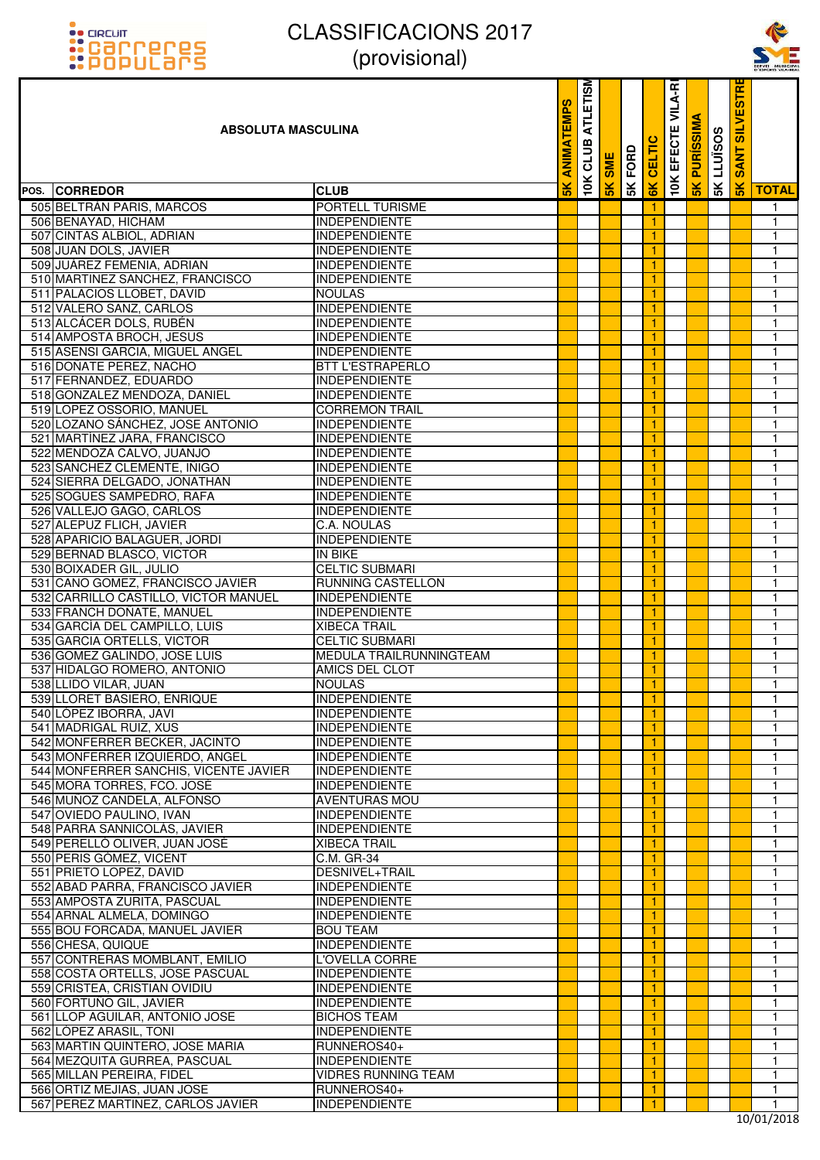



| <u>::PUPULdI'S</u>                                          | $\mu$ וטופוטטוען $\mu$                                  |               |                         |     |         |               |                   |                  |                   |                                  | SERVEI MUNICIPA<br>D'ESPORTS VILA-REA |
|-------------------------------------------------------------|---------------------------------------------------------|---------------|-------------------------|-----|---------|---------------|-------------------|------------------|-------------------|----------------------------------|---------------------------------------|
| <b>ABSOLUTA MASCULINA</b>                                   |                                                         | EMPS<br>ANIM  | <b>ATLETISM</b><br>CLUB | SME | 5K FORD | <b>CELTIC</b> | 10K EFECTE VILA-R | <b>PURISSIMA</b> | <b>SK LLUISOS</b> | <b>IRISE</b><br><b>SANT SILV</b> |                                       |
| POS. CORREDOR                                               | <b>CLUB</b>                                             | $\frac{1}{5}$ | 10K                     | 5K  |         | 6K            |                   | 5K               |                   | $\frac{8}{5}$                    | <b>TOTAL</b>                          |
| 505 BELTRAN PARIS, MARCOS                                   | <b>PORTELL TURISME</b>                                  |               |                         |     |         | 1.            |                   |                  |                   |                                  | $\mathbf{1}$                          |
| 506 BENAYAD, HICHAM                                         | <b>INDEPENDIENTE</b>                                    |               |                         |     |         | 1.            |                   |                  |                   |                                  | $\mathbf{1}$                          |
| 507 CINTAS ALBIOL, ADRIAN                                   | <b>INDEPENDIENTE</b>                                    |               |                         |     |         | 1.            |                   |                  |                   |                                  | 1                                     |
| 508 JUAN DOLS, JAVIER                                       | <b>INDEPENDIENTE</b>                                    |               |                         |     |         | 1.            |                   |                  |                   |                                  | 1                                     |
| 509 JUÁREZ FEMENIA, ADRIAN                                  | <b>INDEPENDIENTE</b>                                    |               |                         |     |         |               |                   |                  |                   |                                  | 1                                     |
| 510 MARTINEZ SANCHEZ, FRANCISCO                             | <b>INDEPENDIENTE</b>                                    |               |                         |     |         | 1.            |                   |                  |                   |                                  | $\mathbf{1}$                          |
| 511 PALACIOS LLOBET, DAVID                                  | <b>NOULAS</b>                                           |               |                         |     |         | 1.            |                   |                  |                   |                                  | 1                                     |
| 512 VALERO SANZ, CARLOS                                     | <b>INDEPENDIENTE</b>                                    |               |                         |     |         | 1.            |                   |                  |                   |                                  | 1                                     |
| 513 ALCACER DOLS, RUBEN                                     | <b>INDEPENDIENTE</b>                                    |               |                         |     |         | 1             |                   |                  |                   |                                  | $\mathbf{1}$                          |
| 514 AMPOSTA BROCH, JESUS                                    | <b>INDEPENDIENTE</b>                                    |               |                         |     |         | 1.            |                   |                  |                   |                                  | $\mathbf{1}$                          |
| 515 ASENSI GARCIA, MIGUEL ANGEL                             | <b>INDEPENDIENTE</b>                                    |               |                         |     |         | 1.            |                   |                  |                   |                                  | 1                                     |
| 516 DOÑATE PEREZ, NACHO                                     | <b>BTT L'ESTRAPERLO</b>                                 |               |                         |     |         | 1.            |                   |                  |                   |                                  | 1                                     |
| 517 FERNANDEZ, EDUARDO                                      | <b>INDEPENDIENTE</b>                                    |               |                         |     |         | 1.            |                   |                  |                   |                                  | 1                                     |
| 518 GONZALEZ MENDOZA, DANIEL                                | <b>INDEPENDIENTE</b>                                    |               |                         |     |         | 1.            |                   |                  |                   |                                  | $\mathbf{1}$                          |
| 519 LOPEZ OSSORIO, MANUEL                                   | <b>CORREMON TRAIL</b>                                   |               |                         |     |         | 1.            |                   |                  |                   |                                  | $\mathbf{1}$                          |
| 520 LOZANO SÁNCHEZ, JOSE ANTONIO                            | <b>INDEPENDIENTE</b>                                    |               |                         |     |         | 1.            |                   |                  |                   |                                  | 1                                     |
| 521 MARTÍNEZ JARA, FRANCISCO                                | <b>INDEPENDIENTE</b>                                    |               |                         |     |         |               |                   |                  |                   |                                  | $\mathbf{1}$                          |
| 522 MENDOZA CALVO, JUANJO                                   | <b>INDEPENDIENTE</b>                                    |               |                         |     |         | 1.            |                   |                  |                   |                                  | $\mathbf{1}$                          |
| 523 SANCHEZ CLEMENTE, IÑIGO                                 | <b>INDEPENDIENTE</b>                                    |               |                         |     |         | 1.            |                   |                  |                   |                                  | $\mathbf{1}$                          |
| 524 SIERRA DELGADO, JONATHAN                                | <b>INDEPENDIENTE</b>                                    |               |                         |     |         | 1.            |                   |                  |                   |                                  | $\mathbf{1}$                          |
| 525 SOGUES SAMPEDRO, RAFA                                   | <b>INDEPENDIENTE</b>                                    |               |                         |     |         |               |                   |                  |                   |                                  | $\mathbf{1}$                          |
| 526 VALLEJO GAGO, CARLOS                                    | <b>INDEPENDIENTE</b>                                    |               |                         |     |         | 1.            |                   |                  |                   |                                  | $\mathbf{1}$                          |
| 527 ALEPUZ FLICH, JAVIER                                    | C.A. NOULAS                                             |               |                         |     |         | 1             |                   |                  |                   |                                  | $\mathbf{1}$                          |
| 528 APARICIO BALAGUER, JORDI                                | <b>INDEPENDIENTE</b>                                    |               |                         |     |         | 1.            |                   |                  |                   |                                  | 1                                     |
| 529 BERNAD BLASCO, VICTOR                                   | <b>IN BIKE</b>                                          |               |                         |     |         |               |                   |                  |                   |                                  | $\mathbf{1}$                          |
| 530 BOIXADER GIL, JULIO                                     | <b>CELTIC SUBMARI</b>                                   |               |                         |     |         | 1.            |                   |                  |                   |                                  | $\mathbf{1}$                          |
| 531 CANO GOMEZ, FRANCISCO JAVIER                            | RUNNING CASTELLON                                       |               |                         |     |         | 1             |                   |                  |                   |                                  | $\mathbf{1}$                          |
| 532 CARRILLO CASTILLO, VICTOR MANUEL                        | <b>INDEPENDIENTE</b>                                    |               |                         |     |         | 1.            |                   |                  |                   |                                  | $\mathbf{1}$                          |
| 533 FRANCH DOÑATE, MANUEL                                   | <b>INDEPENDIENTE</b>                                    |               |                         |     |         | 1.            |                   |                  |                   |                                  | $\mathbf{1}$                          |
| 534 GARCÍA DEL CAMPILLO, LUIS                               | <b>XIBECA TRAIL</b>                                     |               |                         |     |         | 1.            |                   |                  |                   |                                  | $\mathbf{1}$                          |
| 535 GARCIA ORTELLS, VICTOR                                  | <b>CELTIC SUBMARI</b>                                   |               |                         |     |         | 1.            |                   |                  |                   |                                  | $\mathbf{1}$                          |
| 536 GOMEZ GALINDO, JOSE LUIS<br>537 HIDALGO ROMERO, ANTONIO | <b>MEDULA TRAILRUNNINGTEAM</b><br><b>AMICS DEL CLOT</b> |               |                         |     |         | 1.            |                   |                  |                   |                                  | 1<br>$\mathbf{1}$                     |
| 538 LLIDO VILAR, JUAN                                       | <b>NOULAS</b>                                           |               |                         |     |         | 1.            |                   |                  |                   |                                  |                                       |
| 539 LLORET BASIERO, ENRIQUE                                 | <b>INDEPENDIENTE</b>                                    |               |                         |     |         | 1.<br>1.      |                   |                  |                   |                                  | 1<br>$\mathbf{1}$                     |
| 540 LÓPEZ IBORRA, JAVI                                      | <b>INDEPENDIENTE</b>                                    |               |                         |     |         | 1.            |                   |                  |                   |                                  | 1                                     |
| 541 MADRIGAL RUIZ, XUS                                      | <b>INDEPENDIENTE</b>                                    |               |                         |     |         | 1.            |                   |                  |                   |                                  | 1                                     |
| 542 MONFERRER BECKER, JACINTO                               | <b>INDEPENDIENTE</b>                                    |               |                         |     |         | 1.            |                   |                  |                   |                                  | 1                                     |
| 543 MONFERRER IZQUIERDO, ANGEL                              | <b>INDEPENDIENTE</b>                                    |               |                         |     |         | 1.            |                   |                  |                   |                                  | 1                                     |
| 544 MONFERRER SANCHIS, VICENTE JAVIER                       | <b>INDEPENDIENTE</b>                                    |               |                         |     |         | 1.            |                   |                  |                   |                                  | 1                                     |
| 545 MORA TORRES, FCO. JOSÉ                                  | <b>INDEPENDIENTE</b>                                    |               |                         |     |         |               |                   |                  |                   |                                  | $\mathbf{1}$                          |
| 546 MUÑOZ CANDELA, ALFONSO                                  | <b>AVENTURAS MOU</b>                                    |               |                         |     |         | 1.            |                   |                  |                   |                                  | $\mathbf{1}$                          |
| 547 OVIEDO PAULINO, IVAN                                    | <b>INDEPENDIENTE</b>                                    |               |                         |     |         | 1.            |                   |                  |                   |                                  | 1                                     |
| 548 PARRA SANNICOLÁS, JAVIER                                | <b>INDEPENDIENTE</b>                                    |               |                         |     |         | 1.            |                   |                  |                   |                                  | 1                                     |
| 549 PERELLÓ OLIVER, JUAN JOSÉ                               | <b>XIBECA TRAIL</b>                                     |               |                         |     |         | 1.            |                   |                  |                   |                                  | 1                                     |
| 550 PERIS GÓMEZ, VICENT                                     | C.M. GR-34                                              |               |                         |     |         | 1.            |                   |                  |                   |                                  | $\mathbf{1}$                          |
| 551 PRIETO LOPEZ, DAVID                                     | DESNIVEL+TRAIL                                          |               |                         |     |         | 1.            |                   |                  |                   |                                  | 1                                     |
| 552 ABAD PARRA, FRANCISCO JAVIER                            | <b>INDEPENDIENTE</b>                                    |               |                         |     |         | 1.            |                   |                  |                   |                                  | 1                                     |
| 553 AMPOSTA ZURITA, PASCUAL                                 | <b>INDEPENDIENTE</b>                                    |               |                         |     |         | 1.            |                   |                  |                   |                                  | 1                                     |
| 554 ARNAL ALMELA, DOMINGO                                   | <b>INDEPENDIENTE</b>                                    |               |                         |     |         | 1.            |                   |                  |                   |                                  | $\mathbf{1}$                          |
| 555 BOU FORCADA, MANUEL JAVIER                              | <b>BOU TEAM</b>                                         |               |                         |     |         | 1.            |                   |                  |                   |                                  | 1                                     |
| 556 CHESA, QUIQUE                                           | <b>INDEPENDIENTE</b>                                    |               |                         |     |         | 1.            |                   |                  |                   |                                  | 1                                     |
| 557 CONTRERAS MOMBLANT, EMILIO                              | L'OVELLA CORRE                                          |               |                         |     |         | 1.            |                   |                  |                   |                                  | 1                                     |
| 558 COSTA ORTELLS, JOSE PASCUAL                             | <b>INDEPENDIENTE</b>                                    |               |                         |     |         | 1.            |                   |                  |                   |                                  | 1                                     |
| 559 CRISTEA, CRISTIAN OVIDIU                                | <b>INDEPENDIENTE</b>                                    |               |                         |     |         | 1.            |                   |                  |                   |                                  | 1                                     |
| 560 FORTUÑO GIL, JAVIER                                     | <b>INDEPENDIENTE</b>                                    |               |                         |     |         | 1.            |                   |                  |                   |                                  | 1                                     |
| 561 LLOP AGUILAR, ANTONIO JOSE                              | <b>BICHOS TEAM</b>                                      |               |                         |     |         |               |                   |                  |                   |                                  | 1                                     |
| 562 LÓPEZ ARASIL, TONI                                      | <b>INDEPENDIENTE</b>                                    |               |                         |     |         | 1.            |                   |                  |                   |                                  | $\mathbf{1}$                          |
| 563 MARTIN QUINTERO, JOSE MARIA                             | RUNNEROS40+                                             |               |                         |     |         | 1.            |                   |                  |                   |                                  | 1                                     |
| 564 MEZQUITA GURREA, PASCUAL                                | <b>INDEPENDIENTE</b>                                    |               |                         |     |         | 1.            |                   |                  |                   |                                  | 1                                     |
| 565 MILLAN PEREIRA, FIDEL                                   | <b>VIDRES RUNNING TEAM</b>                              |               |                         |     |         | 1.            |                   |                  |                   |                                  | 1                                     |
| 566 ORTIZ MEJIAS, JUAN JOSE                                 | RUNNEROS40+                                             |               |                         |     |         | 1.            |                   |                  |                   |                                  | $\mathbf{1}$                          |
| 567 PEREZ MARTINEZ, CARLOS JAVIER                           | <b>INDEPENDIENTE</b>                                    |               |                         |     |         | 1.            |                   |                  |                   |                                  | $\mathbf{1}$                          |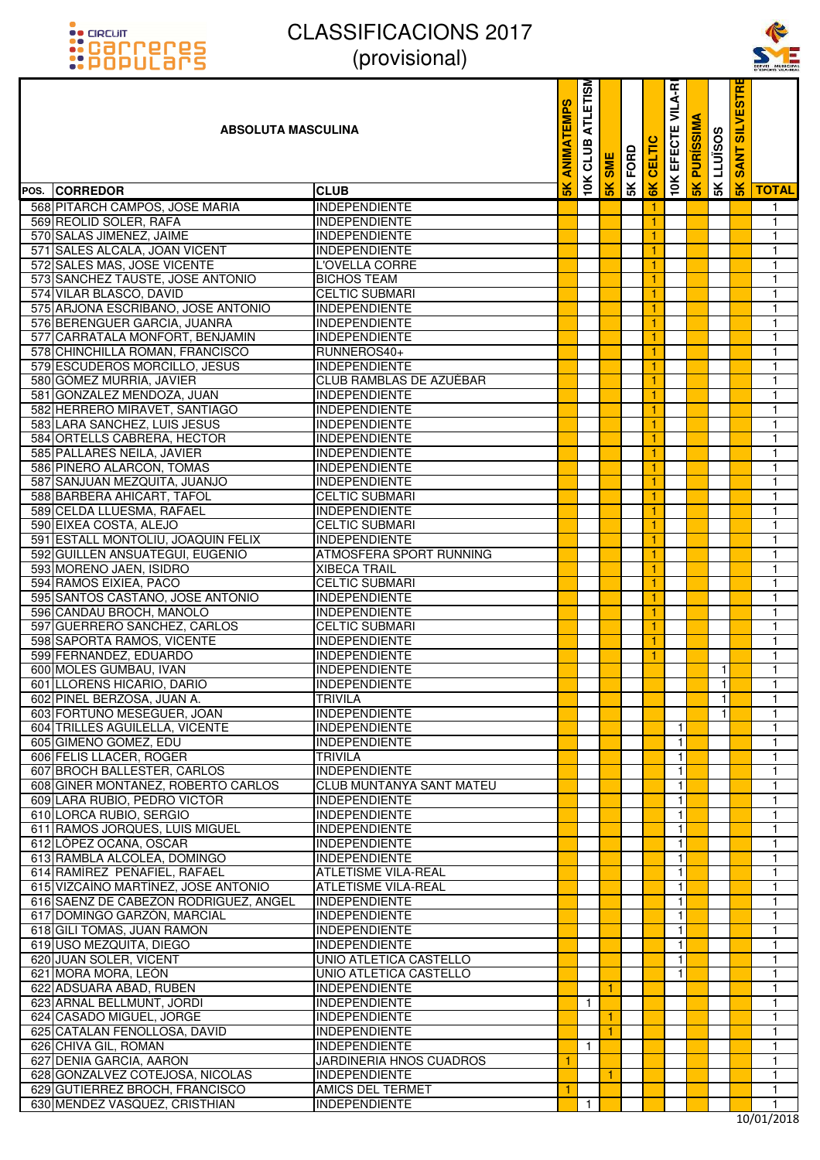# :: arcuit<br>:: Carreres<br>:: POPULars

## CLASSIFICACIONS 2017 (provisional)



| <u>::PUPULdI'S</u>                                                 | $ V $ וטוסו $ V $                              |               |                         |              |      |         |                              |                  |                    |                      | SERVEI MUNICIPA<br>D'ESPORTS VILA-REA |
|--------------------------------------------------------------------|------------------------------------------------|---------------|-------------------------|--------------|------|---------|------------------------------|------------------|--------------------|----------------------|---------------------------------------|
| <b>ABSOLUTA MASCULINA</b>                                          |                                                | EMPS          | <b>ATLETISM</b><br>CLUB | мз           | FORD | CELTIC  | VILA-RI<br>EFECTE            | <b>PURISSIMA</b> | <b>SK LLUISOS</b>  | <b>SANT SILVESTR</b> |                                       |
| POS. CORREDOR                                                      | <b>CLUB</b>                                    | $\frac{1}{2}$ | 10K                     | 5K           | 5K   | 6K      | 10K                          | 5K               |                    | $\frac{8}{10}$       | <b>TOTAL</b>                          |
| 568 PITARCH CAMPOS, JOSE MARIA                                     | <b>INDEPENDIENTE</b>                           |               |                         |              |      |         |                              |                  |                    |                      | $\mathbf{1}$                          |
| 569 REOLID SOLER, RAFA                                             | <b>INDEPENDIENTE</b>                           |               |                         |              |      | ◆       |                              |                  |                    |                      | $\mathbf{1}$                          |
| 570 SALAS JIMENEZ, JAIME                                           | <b>INDEPENDIENTE</b>                           |               |                         |              |      | 1.      |                              |                  |                    |                      | $\mathbf{1}$                          |
| 571 SALES ALCALA, JOAN VICENT                                      | <b>INDEPENDIENTE</b>                           |               |                         |              |      |         |                              |                  |                    |                      | $\mathbf{1}$                          |
| 572 SALES MAS, JOSE VICENTE                                        | L'OVELLA CORRE                                 |               |                         |              |      |         |                              |                  |                    |                      | $\mathbf{1}$                          |
| 573 SANCHEZ TAUSTE, JOSE ANTONIO                                   | <b>BICHOS TEAM</b>                             |               |                         |              |      | 1.      |                              |                  |                    |                      | $\overline{1}$                        |
| 574 VILAR BLASCO, DAVID                                            | <b>CELTIC SUBMARI</b>                          |               |                         |              |      | 1.      |                              |                  |                    |                      | $\mathbf{1}$                          |
| 575 ARJONA ESCRIBANO, JOSE ANTONIO                                 | <b>INDEPENDIENTE</b>                           |               |                         |              |      | 1       |                              |                  |                    |                      | $\mathbf{1}$                          |
| 576 BERENGUER GARCIA, JUANRA                                       | <b>INDEPENDIENTE</b>                           |               |                         |              |      |         |                              |                  |                    |                      | $\overline{1}$                        |
| 577 CARRATALA MONFORT, BENJAMIN<br>578 CHINCHILLA ROMAN, FRANCISCO | <b>INDEPENDIENTE</b><br>RUNNEROS40+            |               |                         |              |      | 1<br>1. |                              |                  |                    |                      | $\overline{1}$<br>$\mathbf{1}$        |
| 579 ESCUDEROS MORCILLO, JESUS                                      | <b>INDEPENDIENTE</b>                           |               |                         |              |      | 1       |                              |                  |                    |                      | $\mathbf{1}$                          |
| 580 GÓMEZ MURRIA, JAVIER                                           | <b>CLUB RAMBLAS DE AZUÉBAR</b>                 |               |                         |              |      |         |                              |                  |                    |                      | $\mathbf{1}$                          |
| 581 GONZALEZ MENDOZA, JUAN                                         | <b>INDEPENDIENTE</b>                           |               |                         |              |      | 1.      |                              |                  |                    |                      | $\mathbf{1}$                          |
| 582 HERRERO MIRAVET, SANTIAGO                                      | <b>INDEPENDIENTE</b>                           |               |                         |              |      | 1.      |                              |                  |                    |                      | $\mathbf{1}$                          |
| 583 LARA SANCHEZ, LUIS JESUS                                       | INDEPENDIENTE                                  |               |                         |              |      | 1       |                              |                  |                    |                      | $\mathbf{1}$                          |
| 584 ORTELLS CABRERA, HECTOR                                        | <b>INDEPENDIENTE</b>                           |               |                         |              |      |         |                              |                  |                    |                      | $\mathbf{1}$                          |
| 585 PALLARES NEILA, JAVIER                                         | <b>INDEPENDIENTE</b>                           |               |                         |              |      | 1.      |                              |                  |                    |                      | $\mathbf{1}$                          |
| 586 PIÑERO ALARCON, TOMAS                                          | <b>INDEPENDIENTE</b>                           |               |                         |              |      | 1.      |                              |                  |                    |                      | $\mathbf{1}$                          |
| 587 SANJUAN MEZQUITA, JUANJO                                       | INDEPENDIENTE                                  |               |                         |              |      | 1       |                              |                  |                    |                      | $\mathbf{1}$                          |
| 588 BARBERA AHICART, TAFOL                                         | <b>CELTIC SUBMARI</b>                          |               |                         |              |      | 1       |                              |                  |                    |                      | $\mathbf{1}$                          |
| 589 CELDA LLUESMA, RAFAEL                                          | <b>INDEPENDIENTE</b>                           |               |                         |              |      | 1.      |                              |                  |                    |                      | $\mathbf{1}$                          |
| 590 EIXEA COSTA, ALEJO                                             | <b>CELTIC SUBMARI</b>                          |               |                         |              |      | 1.      |                              |                  |                    |                      | $\mathbf{1}$                          |
| 591 ESTALL MONTOLIU, JOAQUIN FELIX                                 | INDEPENDIENTE                                  |               |                         |              |      | 1       |                              |                  |                    |                      | $\mathbf{1}$                          |
| 592 GUILLEN ANSUATEGUI, EUGENIO<br>593 MORENO JAEN, ISIDRO         | ATMOSFERA SPORT RUNNING<br><b>XIBECA TRAIL</b> |               |                         |              |      | 1.      |                              |                  |                    |                      | $\mathbf{1}$<br>$\mathbf{1}$          |
| 594 RAMOS EIXIEA, PACO                                             | <b>CELTIC SUBMARI</b>                          |               |                         |              |      | 1.      |                              |                  |                    |                      | $\mathbf{1}$                          |
| 595 SANTOS CASTAÑO, JOSE ANTONIO                                   | <b>INDEPENDIENTE</b>                           |               |                         |              |      | 1       |                              |                  |                    |                      | $\mathbf{1}$                          |
| 596 CANDAU BROCH, MANOLO                                           | <b>INDEPENDIENTE</b>                           |               |                         |              |      | 1       |                              |                  |                    |                      | $\mathbf{1}$                          |
| 597 GUERRERO SANCHEZ, CARLOS                                       | <b>CELTIC SUBMARI</b>                          |               |                         |              |      | 1.      |                              |                  |                    |                      | $\mathbf{1}$                          |
| 598 SAPORTA RAMOS, VICENTE                                         | INDEPENDIENTE                                  |               |                         |              |      | 1.      |                              |                  |                    |                      | $\mathbf{1}$                          |
| 599 FERNANDEZ, EDUARDO                                             | <b>INDEPENDIENTE</b>                           |               |                         |              |      | 1       |                              |                  |                    |                      | 1                                     |
| 600 MOLES GUMBAU, IVAN                                             | <b>INDEPENDIENTE</b>                           |               |                         |              |      |         |                              |                  | 1                  |                      | $\mathbf{1}$                          |
| 601 LLORENS HICARIO, DARIO<br>602 PINEL BERZOSA, JUAN A.           | INDEPENDIENTE<br><b>TRIVILA</b>                |               |                         |              |      |         |                              |                  | 11<br>$\mathbf{1}$ |                      | $\mathbf{1}$<br>$\mathbf{1}$          |
| 603 FORTUÑO MESEGUER, JOAN                                         | <b>INDEPENDIENTE</b>                           |               |                         |              |      |         |                              |                  | 1                  |                      | 1                                     |
| 604 TRILLES AGUILELLA, VICENTE                                     | <b>INDEPENDIENTE</b>                           |               |                         |              |      |         | 1                            |                  |                    |                      | $\mathbf{1}$                          |
| 605 GIMENO GOMEZ, EDU                                              | <b>INDEPENDIENTE</b>                           |               |                         |              |      |         | $\mathbf{1}$                 |                  |                    |                      | $\mathbf{1}$                          |
| 606 FELIS LLACER, ROGER                                            | <b>TRIVILA</b>                                 |               |                         |              |      |         | 1                            |                  |                    |                      | $\mathbf{1}$                          |
| 607 BROCH BALLESTER, CARLOS                                        | <b>INDEPENDIENTE</b>                           |               |                         |              |      |         | $\mathbf{1}$                 |                  |                    |                      | 1                                     |
| 608 GINER MONTAÑEZ, ROBERTO CARLOS                                 | <b>CLUB MUNTANYA SANT MATEU</b>                |               |                         |              |      |         | $\mathbf{1}$                 |                  |                    |                      | $\mathbf{1}$                          |
| 609 LARA RUBIO, PEDRO VICTOR                                       | <b>INDEPENDIENTE</b>                           |               |                         |              |      |         | $\mathbf{1}$                 |                  |                    |                      | $\mathbf{1}$                          |
| 610 LORCA RUBIO, SERGIO                                            | <b>INDEPENDIENTE</b>                           |               |                         |              |      |         | 1                            |                  |                    |                      | $\mathbf{1}$                          |
| 611 RAMOS JORQUES, LUIS MIGUEL<br>612 LÓPEZ OCAÑA, OSCAR           | <b>INDEPENDIENTE</b><br><b>INDEPENDIENTE</b>   |               |                         |              |      |         | $\mathbf{1}$<br>$\mathbf{1}$ |                  |                    |                      | $\mathbf{1}$<br>$\mathbf{1}$          |
| 613 RAMBLA ALCOLEA, DOMINGO                                        | <b>INDEPENDIENTE</b>                           |               |                         |              |      |         | $\mathbf{1}$                 |                  |                    |                      | $\mathbf{1}$                          |
| 614 RAMÍREZ PEÑAFIEL, RAFAEL                                       | <b>ATLETISME VILA-REAL</b>                     |               |                         |              |      |         | 1                            |                  |                    |                      | $\mathbf{1}$                          |
| 615 VIZCAÍNO MARTÍNEZ, JOSE ANTONIO                                | <b>ATLETISME VILA-REAL</b>                     |               |                         |              |      |         | $\mathbf{1}$                 |                  |                    |                      | $\mathbf{1}$                          |
| 616 SAENZ DE CABEZON RODRIGUEZ, ANGEL                              | INDEPENDIENTE                                  |               |                         |              |      |         | $\mathbf{1}$                 |                  |                    |                      | $\mathbf{1}$                          |
| 617 DOMINGO GARZÓN, MARCIAL                                        | <b>INDEPENDIENTE</b>                           |               |                         |              |      |         | $\mathbf{1}$                 |                  |                    |                      | $\mathbf{1}$                          |
| 618 GILI TOMAS, JUAN RAMON                                         | <b>INDEPENDIENTE</b>                           |               |                         |              |      |         | 1                            |                  |                    |                      | $\mathbf{1}$                          |
| 619 USO MEZQUITA, DIEGO                                            | <b>INDEPENDIENTE</b>                           |               |                         |              |      |         | $\mathbf{1}$                 |                  |                    |                      | 1                                     |
| 620 JUAN SOLER, VICENT                                             | UNIO ATLETICA CASTELLO                         |               |                         |              |      |         | $\mathbf{1}$                 |                  |                    |                      | $\mathbf{1}$                          |
| 621 MORA MORA, LEÓN                                                | UNIO ATLETICA CASTELLO                         |               |                         |              |      |         | $\mathbf{1}$                 |                  |                    |                      | $\mathbf{1}$                          |
| 622 ADSUARA ABAD, RUBEN<br>623 ARNAL BELLMUNT, JORDI               | <b>INDEPENDIENTE</b><br><b>INDEPENDIENTE</b>   |               | $\mathbf{1}$            | -1           |      |         |                              |                  |                    |                      | $\mathbf{1}$<br>$\mathbf{1}$          |
| 624 CASADO MIGUEL, JORGE                                           | <b>INDEPENDIENTE</b>                           |               |                         | -1           |      |         |                              |                  |                    |                      | $\mathbf{1}$                          |
| 625 CATALAN FENOLLOSA, DAVID                                       | <b>INDEPENDIENTE</b>                           |               |                         | $\mathbf{1}$ |      |         |                              |                  |                    |                      | $\mathbf{1}$                          |
| 626 CHIVA GIL, ROMAN                                               | <b>INDEPENDIENTE</b>                           |               | $\mathbf{1}$            |              |      |         |                              |                  |                    |                      | $\mathbf{1}$                          |
| 627 DENIA GARCIA, AARON                                            | JARDINERIA HNOS CUADROS                        | 1             |                         |              |      |         |                              |                  |                    |                      | $\mathbf{1}$                          |
| 628 GONZALVEZ COTEJOSA, NICOLAS                                    | <b>INDEPENDIENTE</b>                           |               |                         | -1           |      |         |                              |                  |                    |                      | $\mathbf{1}$                          |
| 629 GUTIERREZ BROCH, FRANCISCO                                     | <b>AMICS DEL TERMET</b>                        | 1             |                         |              |      |         |                              |                  |                    |                      | $\mathbf{1}$                          |
| 630 MENDEZ VASQUEZ, CRISTHIAN                                      | <b>INDEPENDIENTE</b>                           |               | $\mathbf{1}$            |              |      |         |                              |                  |                    |                      | $\mathbf{1}$                          |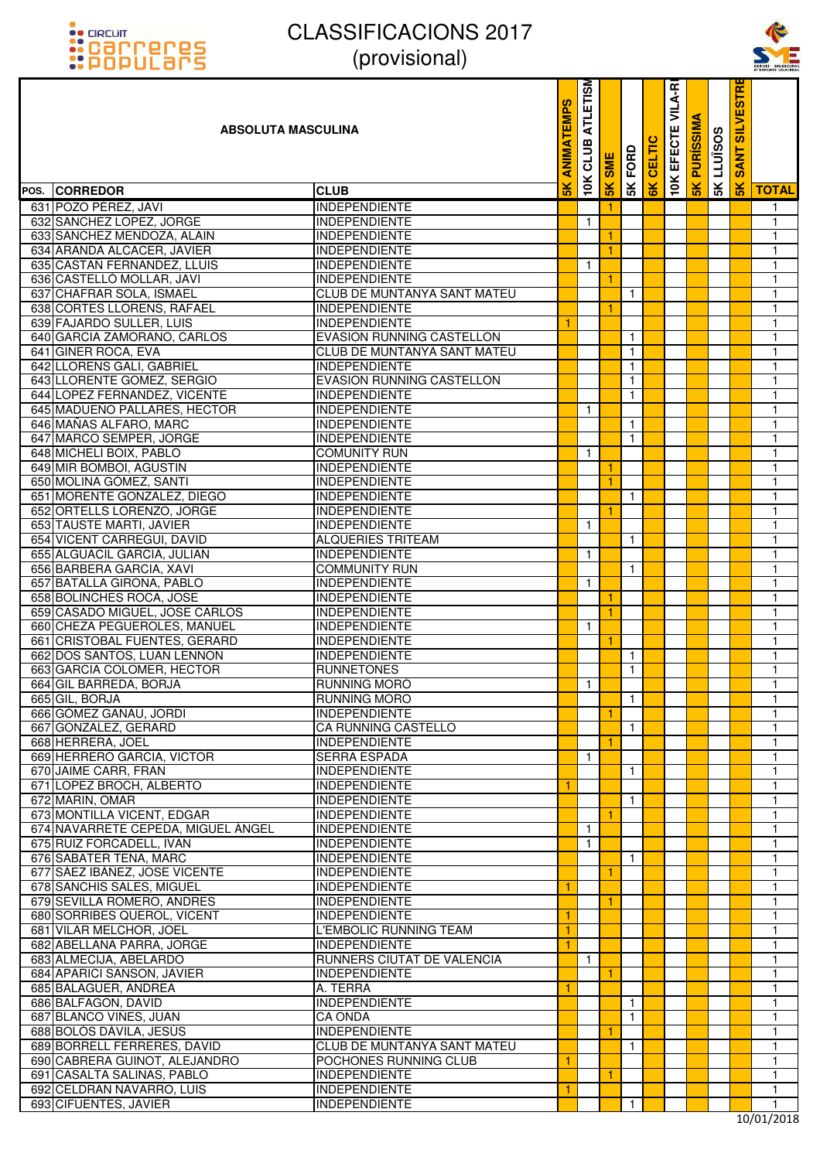



| <u>::PUPULOI'S</u>                 | $\mu$ וטוסווטונ $\mu$              |               |                         |               |              |               |                  |                 |                   |                      | SERVEL MUNICIPA |
|------------------------------------|------------------------------------|---------------|-------------------------|---------------|--------------|---------------|------------------|-----------------|-------------------|----------------------|-----------------|
| <b>ABSOLUTA MASCULINA</b>          |                                    | EMPS<br>MIN   | <b>ATLETISM</b><br>CLUB | <b>SME</b>    | 5K FORD      | <b>CELTIC</b> | VILA-R<br>EFECTE | <b>PURISSIM</b> | <b>SK LLUISOS</b> | <b>SANT SILVESTR</b> |                 |
| POS. CORREDOR                      | <b>CLUB</b>                        | $\frac{1}{2}$ | 10K                     | $\frac{1}{2}$ |              | $\frac{1}{6}$ | 10K              | $\frac{8}{5}$   |                   | $\frac{8}{5}$        | <b>TOTAL</b>    |
| 631 POZO PÉREZ, JAVI               | <b>INDEPENDIENTE</b>               |               |                         |               |              |               |                  |                 |                   |                      | $\mathbf{1}$    |
| 632 SANCHEZ LOPEZ, JORGE           | <b>INDEPENDIENTE</b>               |               | $\mathbf{1}$            |               |              |               |                  |                 |                   |                      | $\mathbf{1}$    |
| 633 SANCHEZ MENDOZA, ALAIN         | <b>INDEPENDIENTE</b>               |               |                         | 1             |              |               |                  |                 |                   |                      | 1               |
| 634 ARANDA ALCACER, JAVIER         | INDEPENDIENTE                      |               |                         | 1             |              |               |                  |                 |                   |                      | 1               |
| 635 CASTAÑ FERNANDEZ, LLUIS        | <b>INDEPENDIENTE</b>               |               | 1                       |               |              |               |                  |                 |                   |                      | 1               |
| 636 CASTELLO MOLLAR, JAVI          | <b>INDEPENDIENTE</b>               |               |                         | $\mathbf{1}$  |              |               |                  |                 |                   |                      | $\mathbf{1}$    |
| 637 CHAFRAR SOLA, ISMAEL           | <b>CLUB DE MUNTANYA SANT MATEU</b> |               |                         |               | $\mathbf{1}$ |               |                  |                 |                   |                      | $\mathbf{1}$    |
| 638 CORTES LLORENS, RAFAEL         | INDEPENDIENTE                      |               |                         | 1             |              |               |                  |                 |                   |                      | 1               |
| 639 FAJARDO SULLER, LUIS           | <b>INDEPENDIENTE</b>               | 1             |                         |               |              |               |                  |                 |                   |                      | $\mathbf{1}$    |
| 640 GARCIA ZAMORANO, CARLOS        | <b>EVASION RUNNING CASTELLON</b>   |               |                         |               | $\mathbf{1}$ |               |                  |                 |                   |                      | $\mathbf{1}$    |
| 641 GINER ROCA, EVA                | <b>CLUB DE MUNTANYA SANT MATEU</b> |               |                         |               | $\mathbf{1}$ |               |                  |                 |                   |                      | 1               |
| 642 LLORENS GALI, GABRIEL          | <b>INDEPENDIENTE</b>               |               |                         |               | $\mathbf{1}$ |               |                  |                 |                   |                      | 1               |
| 643 LLORENTE GOMEZ, SERGIO         | <b>EVASION RUNNING CASTELLON</b>   |               |                         |               | $\mathbf{1}$ |               |                  |                 |                   |                      | $\mathbf{1}$    |
| 644 LOPEZ FERNANDEZ, VICENTE       | <b>INDEPENDIENTE</b>               |               |                         |               | $\mathbf{1}$ |               |                  |                 |                   |                      | $\mathbf{1}$    |
| 645 MADUEÑO PALLARES, HECTOR       | <b>INDEPENDIENTE</b>               |               | $\mathbf{1}$            |               |              |               |                  |                 |                   |                      | $\mathbf{1}$    |
| 646 MAÑAS ALFARO, MARC             | <b>INDEPENDIENTE</b>               |               |                         |               | $\mathbf{1}$ |               |                  |                 |                   |                      | $\mathbf{1}$    |
| 647 MARCO SEMPER, JORGE            | <b>INDEPENDIENTE</b>               |               |                         |               | $\mathbf{1}$ |               |                  |                 |                   |                      | $\mathbf{1}$    |
| 648 MICHELI BOIX, PABLO            | <b>COMUNITY RUN</b>                |               | $\mathbf{1}$            |               |              |               |                  |                 |                   |                      | $\mathbf{1}$    |
| 649 MIR BOMBOI, AGUSTIN            | <b>INDEPENDIENTE</b>               |               |                         | 1             |              |               |                  |                 |                   |                      | $\mathbf{1}$    |
| 650 MOLINA GÓMEZ, SANTI            | <b>INDEPENDIENTE</b>               |               |                         | 1             |              |               |                  |                 |                   |                      | $\mathbf{1}$    |
| 651 MORENTE GONZALEZ, DIEGO        | <b>INDEPENDIENTE</b>               |               |                         |               | $\mathbf{1}$ |               |                  |                 |                   |                      | $\mathbf{1}$    |
| 652 ORTELLS LORENZO, JORGE         | <b>INDEPENDIENTE</b>               |               |                         | 1             |              |               |                  |                 |                   |                      | $\mathbf{1}$    |
| 653 TAUSTE MARTI, JAVIER           | <b>INDEPENDIENTE</b>               |               | $\mathbf{1}$            |               |              |               |                  |                 |                   |                      | $\mathbf{1}$    |
| 654 VICENT CARREGUI, DAVID         | ALQUERIES TRITEAM                  |               |                         |               | $\mathbf{1}$ |               |                  |                 |                   |                      | $\mathbf{1}$    |
| 655 ALGUACIL GARCIA, JULIAN        | <b>INDEPENDIENTE</b>               |               | $\mathbf{1}$            |               |              |               |                  |                 |                   |                      | $\mathbf{1}$    |
| 656 BARBERA GARCIA, XAVI           | <b>COMMUNITY RUN</b>               |               |                         |               | $\mathbf{1}$ |               |                  |                 |                   |                      | $\mathbf{1}$    |
| 657 BATALLA GIRONA, PABLO          | <b>INDEPENDIENTE</b>               |               | $\mathbf{1}$            |               |              |               |                  |                 |                   |                      | $\mathbf{1}$    |
| 658 BOLINCHES ROCA, JOSE           | INDEPENDIENTE                      |               |                         | 1             |              |               |                  |                 |                   |                      | $\mathbf{1}$    |
| 659 CASADO MIGUEL, JOSE CARLOS     | <b>INDEPENDIENTE</b>               |               |                         |               |              |               |                  |                 |                   |                      | $\mathbf{1}$    |
| 660 CHEZA PEGUEROLES, MANUEL       | <b>INDEPENDIENTE</b>               |               | $\mathbf{1}$            |               |              |               |                  |                 |                   |                      | $\mathbf{1}$    |
| 661 CRISTOBAL FUENTES, GERARD      | <b>INDEPENDIENTE</b>               |               |                         | 1             |              |               |                  |                 |                   |                      | $\mathbf{1}$    |
| 662 DOS SANTOS, LUAN LENNON        | <b>INDEPENDIENTE</b>               |               |                         |               | $\mathbf{1}$ |               |                  |                 |                   |                      | 1               |
| 663 GARCIA COLOMER, HECTOR         | <b>RUNNETONES</b>                  |               |                         |               | $\mathbf{1}$ |               |                  |                 |                   |                      | $\mathbf{1}$    |
| 664 GIL BARREDA, BORJA             | RUNNING MORO                       |               | $\mathbf{1}$            |               |              |               |                  |                 |                   |                      | 1               |
| 665 GIL, BORJA                     | <b>RUNNING MORO</b>                |               |                         |               | $\mathbf{1}$ |               |                  |                 |                   |                      | 1               |
| 666 GÓMEZ GANAU, JORDI             | <b>INDEPENDIENTE</b>               |               |                         | 1             |              |               |                  |                 |                   |                      | 1               |
| 667 GONZALEZ, GERARD               | CA RUNNING CASTELLO                |               |                         |               | $\mathbf{1}$ |               |                  |                 |                   |                      | 1               |
| 668 HERRERA, JOEL                  | <b>INDEPENDIENTE</b>               |               |                         | $\mathbf{1}$  |              |               |                  |                 |                   |                      | 1               |
| 669 HERRERO GARCIA, VICTOR         | <b>SERRA ESPADA</b>                |               | $\mathbf{1}$            |               |              |               |                  |                 |                   |                      | 1               |
| 670 JAIME CARR, FRAN               | <b>INDEPENDIENTE</b>               |               |                         |               | $\mathbf{1}$ |               |                  |                 |                   |                      | 1               |
| 671 LOPEZ BROCH, ALBERTO           | <b>INDEPENDIENTE</b>               | 1             |                         |               |              |               |                  |                 |                   |                      | 1               |
| 672 MARIN, OMAR                    | <b>INDEPENDIENTE</b>               |               |                         |               | $\mathbf{1}$ |               |                  |                 |                   |                      | $\mathbf{1}$    |
| 673 MONTILLA VICENT, EDGAR         | <b>INDEPENDIENTE</b>               |               |                         | 1             |              |               |                  |                 |                   |                      | 1               |
| 674 NAVARRETE CEPEDA, MIGUEL ÁNGEL | <b>INDEPENDIENTE</b>               |               | $\mathbf{1}$            |               |              |               |                  |                 |                   |                      | 1               |
| 675 RUIZ FORCADELL, IVAN           | <b>INDEPENDIENTE</b>               |               | $\mathbf{1}$            |               |              |               |                  |                 |                   |                      | 1               |
| 676 SABATER TENA, MARC             | <b>INDEPENDIENTE</b>               |               |                         |               | $\mathbf{1}$ |               |                  |                 |                   |                      | $\mathbf{1}$    |
| 677 SÁEZ IBÁÑEZ, JOSE VICENTE      | <b>INDEPENDIENTE</b>               |               |                         | 1             |              |               |                  |                 |                   |                      | 1               |
| 678 SANCHIS SALES, MIGUEL          | <b>INDEPENDIENTE</b>               | 1             |                         |               |              |               |                  |                 |                   |                      | 1               |
| 679 SEVILLA ROMERO, ANDRES         | <b>INDEPENDIENTE</b>               |               |                         |               |              |               |                  |                 |                   |                      | 1               |
| 680 SORRIBES QUEROL, VICENT        | <b>INDEPENDIENTE</b>               | 1             |                         |               |              |               |                  |                 |                   |                      | $\mathbf{1}$    |
| 681 VILAR MELCHOR, JOEL            | L'EMBOLIC RUNNING TEAM             | 1             |                         |               |              |               |                  |                 |                   |                      | 1               |
| 682 ABELLANA PARRA, JORGE          | <b>INDEPENDIENTE</b>               | $\mathbf{1}$  |                         |               |              |               |                  |                 |                   |                      | 1               |
| 683 ALMECIJA, ABELARDO             | RUNNERS CIUTAT DE VALENCIA         |               | $\mathbf{1}$            |               |              |               |                  |                 |                   |                      | 1               |
| 684 APARICI SANSON, JAVIER         | <b>INDEPENDIENTE</b>               |               |                         | 1             |              |               |                  |                 |                   |                      | $\mathbf{1}$    |
| 685 BALAGUER, ANDREA               | A. TERRA                           | 1             |                         |               |              |               |                  |                 |                   |                      | 1               |
| 686 BALFAGON, DAVID                | <b>INDEPENDIENTE</b>               |               |                         |               | $\mathbf{1}$ |               |                  |                 |                   |                      | 1               |
| 687 BLANCO VIÑES, JUAN             | <b>CA ONDA</b>                     |               |                         |               | $\mathbf{1}$ |               |                  |                 |                   |                      | 1               |
| 688 BOLÓS DÁVILA, JESÚS            | <b>INDEPENDIENTE</b>               |               |                         | $\mathbf{1}$  |              |               |                  |                 |                   |                      | $\mathbf{1}$    |
| 689 BORRELL FERRERES, DAVID        | <b>CLUB DE MUNTANYA SANT MATEU</b> |               |                         |               | $\mathbf{1}$ |               |                  |                 |                   |                      | 1               |
| 690 CABRERA GUINOT, ALEJANDRO      | POCHONES RUNNING CLUB              | 1             |                         |               |              |               |                  |                 |                   |                      | 1               |
| 691 CASALTA SALINAS, PABLO         | <b>INDEPENDIENTE</b>               |               |                         | 1             |              |               |                  |                 |                   |                      | $\mathbf{1}$    |
| 692 CELDRAN NAVARRO, LUIS          | <b>INDEPENDIENTE</b>               | 1             |                         |               |              |               |                  |                 |                   |                      | $\mathbf{1}$    |
| 693 CIFUENTES, JAVIER              | <b>INDEPENDIENTE</b>               |               |                         |               | $\mathbf{1}$ |               |                  |                 |                   |                      | 1               |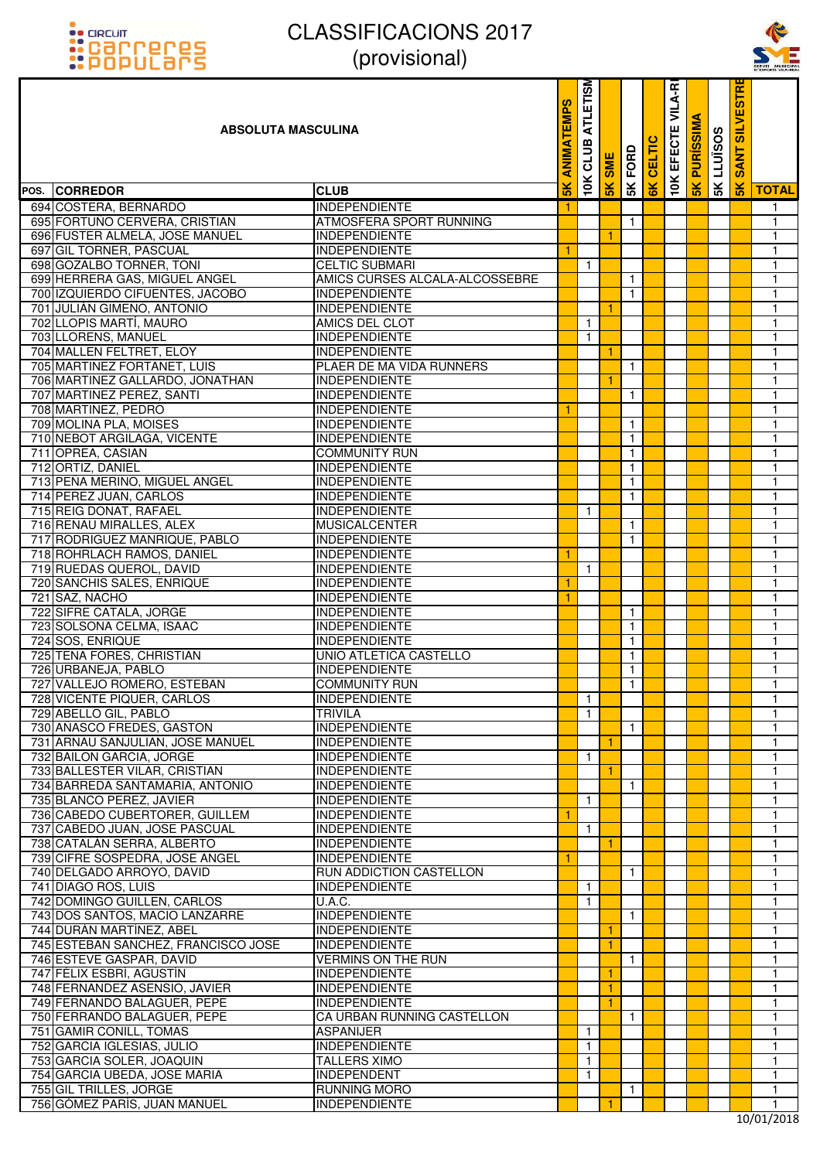



| <u>::PUPULdI'S</u>                                              | $ V $ וטוסו $ V $                              |                      |                         |            |                              |               |                   |                  |                   |                      | SERVEI MUNICIPA              |
|-----------------------------------------------------------------|------------------------------------------------|----------------------|-------------------------|------------|------------------------------|---------------|-------------------|------------------|-------------------|----------------------|------------------------------|
| <b>ABSOLUTA MASCULINA</b>                                       |                                                | <b>ATEMPS</b><br>MIN | <b>ATLETISM</b><br>CLUB | <b>SME</b> | FORD                         | <b>CELTIC</b> | VILA-RI<br>EFECTE | <b>PURISSIMA</b> | <b>SK LLUISOS</b> | <b>SANT SILVESTR</b> |                              |
| POS. CORREDOR                                                   | <b>CLUB</b>                                    | $\frac{2}{3}$        | <b>10K</b>              | 5K         | 5K                           | 6K            | 10K               | $\frac{1}{5}$    |                   | 5K                   | <b>TOTAL</b>                 |
| 694 COSTERA, BERNARDO                                           | <b>INDEPENDIENTE</b>                           | -1                   |                         |            |                              |               |                   |                  |                   |                      | $\mathbf{1}$                 |
| 695 FORTUÑO CERVERA, CRISTIAN                                   | ATMOSFERA SPORT RUNNING                        |                      |                         |            | $\mathbf{1}$                 |               |                   |                  |                   |                      | $\mathbf{1}$                 |
| 696 FUSTER ALMELA, JOSE MANUEL                                  | <b>INDEPENDIENTE</b>                           |                      |                         | 1          |                              |               |                   |                  |                   |                      | 1                            |
| 697 GIL TORNER, PASCUAL                                         | <b>INDEPENDIENTE</b>                           | 1                    |                         |            |                              |               |                   |                  |                   |                      | 1                            |
| 698 GOZALBO TORNER, TONI                                        | <b>CELTIC SUBMARI</b>                          |                      | $\mathbf{1}$            |            |                              |               |                   |                  |                   |                      | $\mathbf{1}$                 |
| 699 HERRERA GAS, MIGUEL ANGEL                                   | AMICS CURSES ALCALA-ALCOSSEBRE                 |                      |                         |            | $\mathbf{1}$                 |               |                   |                  |                   |                      | $\overline{1}$               |
| 700 IZQUIERDO CIFUENTES, JACOBO<br>701 JULIÁN GIMENO, ANTONIO   | <b>INDEPENDIENTE</b><br><b>INDEPENDIENTE</b>   |                      |                         | 1          | $\mathbf{1}$                 |               |                   |                  |                   |                      | $\mathbf{1}$<br>1            |
| 702 LLOPIS MARTI, MAURO                                         | AMICS DEL CLOT                                 |                      | $\mathbf{1}$            |            |                              |               |                   |                  |                   |                      | $\mathbf{1}$                 |
| 703 LLORENS, MANUEL                                             | <b>INDEPENDIENTE</b>                           |                      | 1.                      |            |                              |               |                   |                  |                   |                      | $\mathbf{1}$                 |
| 704 MALLEN FELTRET, ELOY                                        | <b>INDEPENDIENTE</b>                           |                      |                         | 1          |                              |               |                   |                  |                   |                      | $\mathbf{1}$                 |
| 705 MARTINEZ FORTANET, LUIS                                     | PLAER DE MA VIDA RUNNERS                       |                      |                         |            | $\mathbf{1}$                 |               |                   |                  |                   |                      | 1                            |
| 706 MARTINEZ GALLARDO, JONATHAN                                 | <b>INDEPENDIENTE</b>                           |                      |                         |            |                              |               |                   |                  |                   |                      | $\mathbf{1}$                 |
| 707 MARTINEZ PEREZ, SANTI                                       | <b>INDEPENDIENTE</b>                           |                      |                         |            | $\mathbf{1}$                 |               |                   |                  |                   |                      | $\mathbf{1}$                 |
| 708 MARTINEZ, PEDRO                                             | <b>INDEPENDIENTE</b>                           | 1                    |                         |            |                              |               |                   |                  |                   |                      | $\mathbf{1}$                 |
| 709 MOLINA PLA, MOISES                                          | <b>INDEPENDIENTE</b>                           |                      |                         |            | $\mathbf{1}$                 |               |                   |                  |                   |                      | 1                            |
| 710 NEBOT ARGILAGA, VICENTE                                     | <b>INDEPENDIENTE</b>                           |                      |                         |            | $\mathbf{1}$                 |               |                   |                  |                   |                      | $\mathbf{1}$                 |
| 711 OPREA, CASIAN                                               | <b>COMMUNITY RUN</b>                           |                      |                         |            | $\mathbf{1}$                 |               |                   |                  |                   |                      | $\mathbf{1}$                 |
| 712 ORTIZ, DANIEL<br>713 PEÑA MERINO, MIGUEL ANGEL              | <b>INDEPENDIENTE</b>                           |                      |                         |            | $\mathbf{1}$                 |               |                   |                  |                   |                      | $\mathbf{1}$<br>$\mathbf{1}$ |
| 714 PEREZ JUAN, CARLOS                                          | INDEPENDIENTE<br><b>INDEPENDIENTE</b>          |                      |                         |            | $\mathbf{1}$<br>$\mathbf{1}$ |               |                   |                  |                   |                      | $\mathbf{1}$                 |
| 715 REIG DONAT, RAFAEL                                          | <b>INDEPENDIENTE</b>                           |                      | $\mathbf{1}$            |            |                              |               |                   |                  |                   |                      | $\mathbf{1}$                 |
| 716 RENAU MIRALLES, ALEX                                        | <b>MUSICALCENTER</b>                           |                      |                         |            | $\mathbf{1}$                 |               |                   |                  |                   |                      | $\mathbf{1}$                 |
| 717 RODRIGUEZ MANRIQUE, PABLO                                   | INDEPENDIENTE                                  |                      |                         |            | $\mathbf{1}$                 |               |                   |                  |                   |                      | 1                            |
| 718 ROHRLACH RAMOS, DANIEL                                      | <b>INDEPENDIENTE</b>                           | 1                    |                         |            |                              |               |                   |                  |                   |                      | $\mathbf{1}$                 |
| 719 RUEDAS QUEROL, DAVID                                        | <b>INDEPENDIENTE</b>                           |                      | $\mathbf{1}$            |            |                              |               |                   |                  |                   |                      | $\mathbf{1}$                 |
| 720 SANCHIS SALES, ENRIQUE                                      | INDEPENDIENTE                                  | -1                   |                         |            |                              |               |                   |                  |                   |                      | $\mathbf{1}$                 |
| 721 SAZ, NACHO                                                  | <b>INDEPENDIENTE</b>                           | 1                    |                         |            |                              |               |                   |                  |                   |                      | 1                            |
| 722 SIFRE CATALA, JORGE                                         | <b>INDEPENDIENTE</b>                           |                      |                         |            | $\mathbf{1}$                 |               |                   |                  |                   |                      | $\mathbf{1}$                 |
| 723 SOLSONA CELMA, ISAAC                                        | <b>INDEPENDIENTE</b>                           |                      |                         |            | $\mathbf{1}$                 |               |                   |                  |                   |                      | $\mathbf{1}$                 |
| 724 SOS, ENRIQUE                                                | <b>INDEPENDIENTE</b>                           |                      |                         |            | $\mathbf{1}$                 |               |                   |                  |                   |                      | $\mathbf{1}$                 |
| 725 TENA FORES, CHRISTIAN<br>726 URBANEJA, PABLO                | UNIO ATLETICA CASTELLO<br><b>INDEPENDIENTE</b> |                      |                         |            | $\mathbf{1}$<br>$\mathbf{1}$ |               |                   |                  |                   |                      | 1<br>$\mathbf{1}$            |
| 727 VALLEJO ROMERO, ESTEBAN                                     | <b>COMMUNITY RUN</b>                           |                      |                         |            | $\mathbf{1}$                 |               |                   |                  |                   |                      | 1                            |
| 728 VICENTE PIQUER, CARLOS                                      | <b>INDEPENDIENTE</b>                           |                      | $\mathbf{1}$            |            |                              |               |                   |                  |                   |                      | $\mathbf{1}$                 |
| 729 ABELLO GIL, PABLO                                           | <b>TRIVILA</b>                                 |                      | $\mathbf{1}$            |            |                              |               |                   |                  |                   |                      | 1                            |
| 730 AÑASCO FREDES, GASTON                                       | <b>INDEPENDIENTE</b>                           |                      |                         |            | $\mathbf{1}$                 |               |                   |                  |                   |                      | $\mathbf{1}$                 |
| 731 ARNAU SANJULIAN, JOSE MANUEL                                | <b>INDEPENDIENTE</b>                           |                      |                         | 1          |                              |               |                   |                  |                   |                      | 1                            |
| 732 BAILON GARCIA, JORGE                                        | <b>INDEPENDIENTE</b>                           |                      | $\mathbf{1}$            |            |                              |               |                   |                  |                   |                      | 1                            |
| 733 BALLESTER VILAR, CRISTIAN                                   | <b>INDEPENDIENTE</b>                           |                      |                         | 1          |                              |               |                   |                  |                   |                      | 1                            |
| 734 BARREDA SANTAMARIA, ANTONIO                                 | <b>INDEPENDIENTE</b>                           |                      |                         |            | $\mathbf{1}$                 |               |                   |                  |                   |                      | $\mathbf{1}$                 |
| 735 BLANCO PEREZ, JAVIER                                        | <b>INDEPENDIENTE</b>                           |                      | $\mathbf{1}$            |            |                              |               |                   |                  |                   |                      | 1                            |
| 736 CABEDO CUBERTORER, GUILLEM<br>737 CABEDO JUAN, JOSE PASCUAL | <b>INDEPENDIENTE</b><br><b>INDEPENDIENTE</b>   | $\mathbf{1}$         | $\mathbf{1}$            |            |                              |               |                   |                  |                   |                      | 1<br>1                       |
| 738 CATALÁN SERRA, ALBERTO                                      | <b>INDEPENDIENTE</b>                           |                      |                         | 1          |                              |               |                   |                  |                   |                      | $\mathbf{1}$                 |
| 739 CIFRE SOSPEDRA, JOSE ANGEL                                  | <b>INDEPENDIENTE</b>                           | 1                    |                         |            |                              |               |                   |                  |                   |                      | 1                            |
| 740 DELGADO ARROYO, DAVID                                       | <b>RUN ADDICTION CASTELLON</b>                 |                      |                         |            | $\mathbf{1}$                 |               |                   |                  |                   |                      | 1                            |
| 741 DIAGO ROS, LUIS                                             | <b>INDEPENDIENTE</b>                           |                      | $\mathbf{1}$            |            |                              |               |                   |                  |                   |                      | 1                            |
| 742 DOMINGO GUILLEN, CARLOS                                     | $\overline{U.A.C.}$                            |                      | $\mathbf{1}$            |            |                              |               |                   |                  |                   |                      | $\mathbf{1}$                 |
| 743 DOS SANTOS, MACIO LANZARRE                                  | <b>INDEPENDIENTE</b>                           |                      |                         |            | $\mathbf{1}$                 |               |                   |                  |                   |                      | 1                            |
| 744 DURÁN MARTÍNEZ, ABEL                                        | <b>INDEPENDIENTE</b>                           |                      |                         | 1          |                              |               |                   |                  |                   |                      | 1                            |
| 745 ESTEBAN SANCHEZ, FRANCISCO JOSE                             | <b>INDEPENDIENTE</b>                           |                      |                         | 1          |                              |               |                   |                  |                   |                      | 1                            |
| 746 ESTEVE GASPAR, DAVID                                        | <b>VERMINS ON THE RUN</b>                      |                      |                         |            | $\mathbf{1}$                 |               |                   |                  |                   |                      | $\mathbf{1}$                 |
| 747 FÉLIX ESBRÍ, AGUSTÍN                                        | <b>INDEPENDIENTE</b>                           |                      |                         | 1          |                              |               |                   |                  |                   |                      | 1                            |
| 748 FERNANDEZ ASENSIO, JAVIER<br>749 FERNANDO BALAGUER, PEPE    | <b>INDEPENDIENTE</b><br><b>INDEPENDIENTE</b>   |                      |                         | 1<br>1     |                              |               |                   |                  |                   |                      | 1<br>1                       |
| 750 FERRANDO BALAGUER, PEPE                                     | CA URBAN RUNNING CASTELLON                     |                      |                         |            | $\mathbf{1}$                 |               |                   |                  |                   |                      | $\mathbf{1}$                 |
| 751 GAMIR CONILL, TOMAS                                         | <b>ASPANIJER</b>                               |                      | $\mathbf{1}$            |            |                              |               |                   |                  |                   |                      | 1                            |
| 752 GARCIA IGLESIAS, JULIO                                      | <b>INDEPENDIENTE</b>                           |                      | $\mathbf{1}$            |            |                              |               |                   |                  |                   |                      | 1                            |
| 753 GARCIA SOLER, JOAQUIN                                       | <b>TALLERS XIMO</b>                            |                      | $\mathbf{1}$            |            |                              |               |                   |                  |                   |                      | 1                            |
| 754 GARCIA UBEDA, JOSE MARIA                                    | <b>INDEPENDENT</b>                             |                      | $\mathbf{1}$            |            |                              |               |                   |                  |                   |                      | $\mathbf{1}$                 |
| 755 GIL TRILLES, JORGE                                          | <b>RUNNING MORO</b>                            |                      |                         |            | $\mathbf{1}$                 |               |                   |                  |                   |                      | 1                            |
| 756 GÓMEZ PARÍS, JUAN MANUEL                                    | <b>INDEPENDIENTE</b>                           |                      |                         |            |                              |               |                   |                  |                   |                      | 1                            |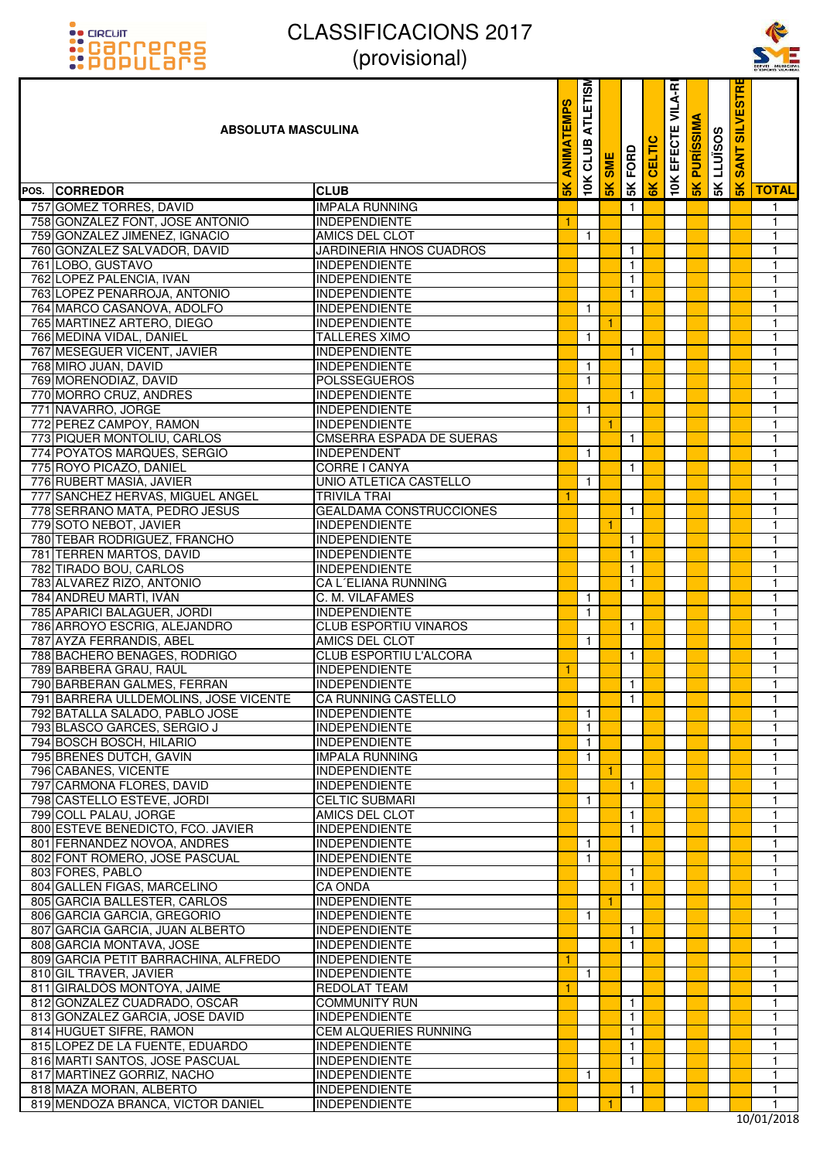



| <u>::PUPULdI'S</u>                                               | $\mu$ וטוסווטונ $\mu$                        |               |                  |            |              |        |                   |                  |                   |                                  | SERVEI MUNICIPA<br>D'ESPORTS VILA-REA |
|------------------------------------------------------------------|----------------------------------------------|---------------|------------------|------------|--------------|--------|-------------------|------------------|-------------------|----------------------------------|---------------------------------------|
| <b>ABSOLUTA MASCULINA</b>                                        |                                              | <b>ATEMPS</b> | ATLETISM<br>CLUB | <b>SME</b> | FORD         | CELTIC | VILA-RI<br>EFECTE | <b>PURISSIMA</b> | <b>SK LLUISOS</b> | <b>ESTRI</b><br><b>SANT SILV</b> |                                       |
| POS. CORREDOR                                                    | <b>CLUB</b>                                  | $\frac{1}{2}$ | 10K              | 5K         | 5K           | 6K     | <b>10K</b>        | 5K               |                   | 5K                               | <b>TOTAL</b>                          |
| 757 GOMEZ TORRES, DAVID                                          | <b>IMPALA RUNNING</b>                        |               |                  |            | $\mathbf{1}$ |        |                   |                  |                   |                                  | $\mathbf{1}$                          |
| 758 GONZALEZ FONT, JOSE ANTONIO                                  | <b>INDEPENDIENTE</b>                         | 1             |                  |            |              |        |                   |                  |                   |                                  | $\mathbf{1}$                          |
| 759 GONZALEZ JIMENEZ, IGNACIO                                    | AMICS DEL CLOT                               |               | $\mathbf{1}$     |            |              |        |                   |                  |                   |                                  | 1                                     |
| 760 GONZALEZ SALVADOR, DAVID                                     | JARDINERIA HNOS CUADROS                      |               |                  |            | $\mathbf{1}$ |        |                   |                  |                   |                                  | $\mathbf{1}$                          |
| 761 LOBO, GUSTAVO                                                | <b>INDEPENDIENTE</b>                         |               |                  |            | $\mathbf{1}$ |        |                   |                  |                   |                                  | $\mathbf{1}$                          |
| 762 LOPEZ PALENCIA, IVAN                                         | <b>INDEPENDIENTE</b>                         |               |                  |            | $\mathbf{1}$ |        |                   |                  |                   |                                  | $\overline{1}$                        |
| 763 LOPEZ PEÑARROJA, ANTONIO                                     | <b>INDEPENDIENTE</b>                         |               |                  |            | 1            |        |                   |                  |                   |                                  | $\mathbf{1}$                          |
| 764 MARCO CASANOVA, ADOLFO                                       | <b>INDEPENDIENTE</b>                         |               | -1               |            |              |        |                   |                  |                   |                                  | $\mathbf{1}$                          |
| 765 MARTINEZ ARTERO, DIEGO                                       | <b>INDEPENDIENTE</b>                         |               |                  |            |              |        |                   |                  |                   |                                  | $\overline{1}$                        |
| 766 MEDINA VIDAL, DANIEL                                         | <b>TALLERES XIMO</b>                         |               | $\mathbf{1}$     |            |              |        |                   |                  |                   |                                  | $\overline{1}$                        |
| 767 MESEGUER VICENT, JAVIER                                      | <b>INDEPENDIENTE</b>                         |               |                  |            | $\mathbf{1}$ |        |                   |                  |                   |                                  | $\mathbf{1}$                          |
| 768 MIRO JUAN, DAVID                                             | <b>INDEPENDIENTE</b>                         |               | $\mathbf{1}$     |            |              |        |                   |                  |                   |                                  | $\mathbf{1}$                          |
| 769 MORENODIAZ, DAVID                                            | POLSSEGUEROS                                 |               | $\mathbf{1}$     |            |              |        |                   |                  |                   |                                  | $\overline{1}$                        |
| 770 MORRO CRUZ, ANDRES                                           | <b>INDEPENDIENTE</b>                         |               |                  |            | $\mathbf{1}$ |        |                   |                  |                   |                                  | $\mathbf{1}$                          |
| 771 NAVARRO, JORGE                                               | <b>INDEPENDIENTE</b>                         |               | $\mathbf{1}$     |            |              |        |                   |                  |                   |                                  | $\mathbf{1}$                          |
| 772 PEREZ CAMPOY, RAMON                                          | <b>INDEPENDIENTE</b>                         |               |                  | 1          |              |        |                   |                  |                   |                                  | $\mathbf{1}$                          |
| 773 PIQUER MONTOLIU, CARLOS                                      | <b>CMSERRA ESPADA DE SUERAS</b>              |               |                  |            | $\mathbf{1}$ |        |                   |                  |                   |                                  | $\mathbf{1}$<br>$\mathbf{1}$          |
| 774 POYATOS MARQUES, SERGIO                                      | INDEPENDENT                                  |               | $\mathbf{1}$     |            |              |        |                   |                  |                   |                                  | $\mathbf{1}$                          |
| 775 ROYO PICAZO, DANIEL                                          | CORRE I CANYA<br>UNIO ATLETICA CASTELLO      |               |                  |            | $\mathbf{1}$ |        |                   |                  |                   |                                  | $\mathbf{1}$                          |
| 776 RUBERT MASIÁ, JAVIER<br>777 SANCHEZ HERVAS, MIGUEL ANGEL     | <b>TRIVILA TRAI</b>                          | 1             | $\mathbf{1}$     |            |              |        |                   |                  |                   |                                  | $\mathbf{1}$                          |
| 778 SERRANO MATA, PEDRO JESUS                                    | <b>GEALDAMA CONSTRUCCIONES</b>               |               |                  |            | $\mathbf{1}$ |        |                   |                  |                   |                                  | $\mathbf{1}$                          |
| 779 SOTO NEBOT, JAVIER                                           | <b>INDEPENDIENTE</b>                         |               |                  | 1          |              |        |                   |                  |                   |                                  | $\mathbf{1}$                          |
| 780 TEBAR RODRIGUEZ, FRANCHO                                     | <b>INDEPENDIENTE</b>                         |               |                  |            | $\mathbf{1}$ |        |                   |                  |                   |                                  | $\mathbf{1}$                          |
| 781 TERREN MARTOS, DAVID                                         | <b>INDEPENDIENTE</b>                         |               |                  |            | $\mathbf{1}$ |        |                   |                  |                   |                                  | $\mathbf{1}$                          |
| 782 TIRADO BOU, CARLOS                                           | <b>INDEPENDIENTE</b>                         |               |                  |            | $\mathbf{1}$ |        |                   |                  |                   |                                  | $\mathbf{1}$                          |
| 783 ALVAREZ RIZO, ANTONIO                                        | CA L'ELIANA RUNNING                          |               |                  |            | $\mathbf{1}$ |        |                   |                  |                   |                                  | $\mathbf{1}$                          |
| 784 ANDREU MARTÍ, IVÁN                                           | C. M. VILAFAMES                              |               | $\mathbf{1}$     |            |              |        |                   |                  |                   |                                  | $\mathbf{1}$                          |
| 785 APARICI BALAGUER, JORDI                                      | <b>INDEPENDIENTE</b>                         |               | $\mathbf{1}$     |            |              |        |                   |                  |                   |                                  | $\mathbf{1}$                          |
| 786 ARROYO ESCRIG, ALEJANDRO                                     | <b>CLUB ESPORTIU VINAROS</b>                 |               |                  |            | $\mathbf{1}$ |        |                   |                  |                   |                                  | $\mathbf{1}$                          |
| 787 AYZA FERRANDIS, ABEL                                         | AMICS DEL CLOT                               |               | $\mathbf{1}$     |            |              |        |                   |                  |                   |                                  | $\mathbf{1}$                          |
| 788 BACHERO BENAGES, RODRIGO                                     | CLUB ESPORTIU L'ALCORA                       |               |                  |            | $\mathbf{1}$ |        |                   |                  |                   |                                  | 1                                     |
| 789 BARBERÁ GRAU, RAÚL                                           | <b>INDEPENDIENTE</b>                         | 1             |                  |            |              |        |                   |                  |                   |                                  | $\mathbf{1}$                          |
| 790 BARBERAN GALMES, FERRAN                                      | <b>INDEPENDIENTE</b>                         |               |                  |            | $\mathbf{1}$ |        |                   |                  |                   |                                  | $\mathbf{1}$                          |
| 791 BARRERA ULLDEMOLINS, JOSE VICENTE                            | <b>CA RUNNING CASTELLO</b>                   |               |                  |            | $\mathbf{1}$ |        |                   |                  |                   |                                  | $\mathbf{1}$                          |
| 792 BATALLA SALADO, PABLO JOSE                                   | <b>INDEPENDIENTE</b>                         |               | $\mathbf{1}$     |            |              |        |                   |                  |                   |                                  | 1                                     |
| 793 BLASCO GARCES, SERGIO J                                      | <b>INDEPENDIENTE</b>                         |               | $\mathbf{1}$     |            |              |        |                   |                  |                   |                                  | $\mathbf{1}$                          |
| 794 BOSCH BOSCH, HILARIO                                         | <b>INDEPENDIENTE</b>                         |               | $\mathbf{1}$     |            |              |        |                   |                  |                   |                                  | $\mathbf{1}$                          |
| 795 BRENES DUTCH, GAVIN                                          | <b>IMPALA RUNNING</b>                        |               | $\mathbf{1}$     |            |              |        |                   |                  |                   |                                  | 1                                     |
| 796 CABANES, VICENTE                                             | <b>INDEPENDIENTE</b>                         |               |                  | 1          |              |        |                   |                  |                   |                                  | 1                                     |
| 797 CARMONA FLORES, DAVID                                        | <b>INDEPENDIENTE</b>                         |               |                  |            | $\mathbf{1}$ |        |                   |                  |                   |                                  | $\mathbf{1}$                          |
| 798 CASTELLO ESTEVE, JORDI                                       | <b>CELTIC SUBMARI</b>                        |               | $\mathbf{1}$     |            |              |        |                   |                  |                   |                                  | $\mathbf{1}$                          |
| 799 COLL PALAU, JORGE                                            | AMICS DEL CLOT                               |               |                  |            | $\mathbf{1}$ |        |                   |                  |                   |                                  | $\mathbf{1}$                          |
| 800 ESTEVE BENEDICTO, FCO. JAVIER<br>801 FERNANDEZ NOVOA, ANDRES | <b>INDEPENDIENTE</b><br><b>INDEPENDIENTE</b> |               | $\mathbf{1}$     |            | $\mathbf{1}$ |        |                   |                  |                   |                                  | 1<br>$\mathbf{1}$                     |
| 802 FONT ROMERO, JOSE PASCUAL                                    | <b>INDEPENDIENTE</b>                         |               | $\mathbf{1}$     |            |              |        |                   |                  |                   |                                  | $\mathbf{1}$                          |
| 803 FORES, PABLO                                                 | <b>INDEPENDIENTE</b>                         |               |                  |            | $\mathbf{1}$ |        |                   |                  |                   |                                  | 1                                     |
| 804 GALLEN FIGAS, MARCELINO                                      | <b>CA ONDA</b>                               |               |                  |            | $\mathbf{1}$ |        |                   |                  |                   |                                  | 1                                     |
| 805 GARCIA BALLESTER, CARLOS                                     | <b>INDEPENDIENTE</b>                         |               |                  | 1          |              |        |                   |                  |                   |                                  | $\mathbf{1}$                          |
| 806 GARCIA GARCIA, GREGORIO                                      | <b>INDEPENDIENTE</b>                         |               | $\mathbf{1}$     |            |              |        |                   |                  |                   |                                  | $\mathbf{1}$                          |
| 807 GARCIA GARCIA, JUAN ALBERTO                                  | <b>INDEPENDIENTE</b>                         |               |                  |            | $\mathbf{1}$ |        |                   |                  |                   |                                  | $\mathbf{1}$                          |
| 808 GARCIA MONTAVA, JOSE                                         | <b>INDEPENDIENTE</b>                         |               |                  |            | $\mathbf{1}$ |        |                   |                  |                   |                                  | 1                                     |
| 809 GARCIA PETIT BARRACHINA, ALFREDO                             | <b>INDEPENDIENTE</b>                         | 1             |                  |            |              |        |                   |                  |                   |                                  | $\mathbf{1}$                          |
| 810 GIL TRAVER, JAVIER                                           | <b>INDEPENDIENTE</b>                         |               | $\mathbf{1}$     |            |              |        |                   |                  |                   |                                  | $\mathbf{1}$                          |
| 811 GIRALDÓS MONTOYA, JAIME                                      | REDOLAT TEAM                                 | -1            |                  |            |              |        |                   |                  |                   |                                  | 1                                     |
| 812 GONZALEZ CUADRADO, OSCAR                                     | <b>COMMUNITY RUN</b>                         |               |                  |            | $\mathbf{1}$ |        |                   |                  |                   |                                  | 1                                     |
| 813 GONZALEZ GARCIA, JOSE DAVID                                  | <b>INDEPENDIENTE</b>                         |               |                  |            | $\mathbf{1}$ |        |                   |                  |                   |                                  | $\mathbf{1}$                          |
| 814 HUGUET SIFRE, RAMON                                          | <b>CEM ALQUERIES RUNNING</b>                 |               |                  |            | $\mathbf{1}$ |        |                   |                  |                   |                                  | $\mathbf{1}$                          |
| 815 LOPEZ DE LA FUENTE, EDUARDO                                  | <b>INDEPENDIENTE</b>                         |               |                  |            | $\mathbf{1}$ |        |                   |                  |                   |                                  | 1                                     |
| 816 MARTI SANTOS, JOSE PASCUAL                                   | <b>INDEPENDIENTE</b>                         |               |                  |            | $\mathbf{1}$ |        |                   |                  |                   |                                  | 1                                     |
| 817 MARTÍNEZ GORRIZ, NACHO                                       | <b>INDEPENDIENTE</b>                         |               | $\mathbf{1}$     |            |              |        |                   |                  |                   |                                  | $\mathbf{1}$                          |
| 818 MAZA MORAN, ALBERTO                                          | <b>INDEPENDIENTE</b>                         |               |                  |            | $\mathbf{1}$ |        |                   |                  |                   |                                  | $\mathbf{1}$                          |
| 819 MENDOZA BRANCA, VICTOR DANIEL                                | <b>INDEPENDIENTE</b>                         |               |                  | 1          |              |        |                   |                  |                   |                                  | $\mathbf{1}$                          |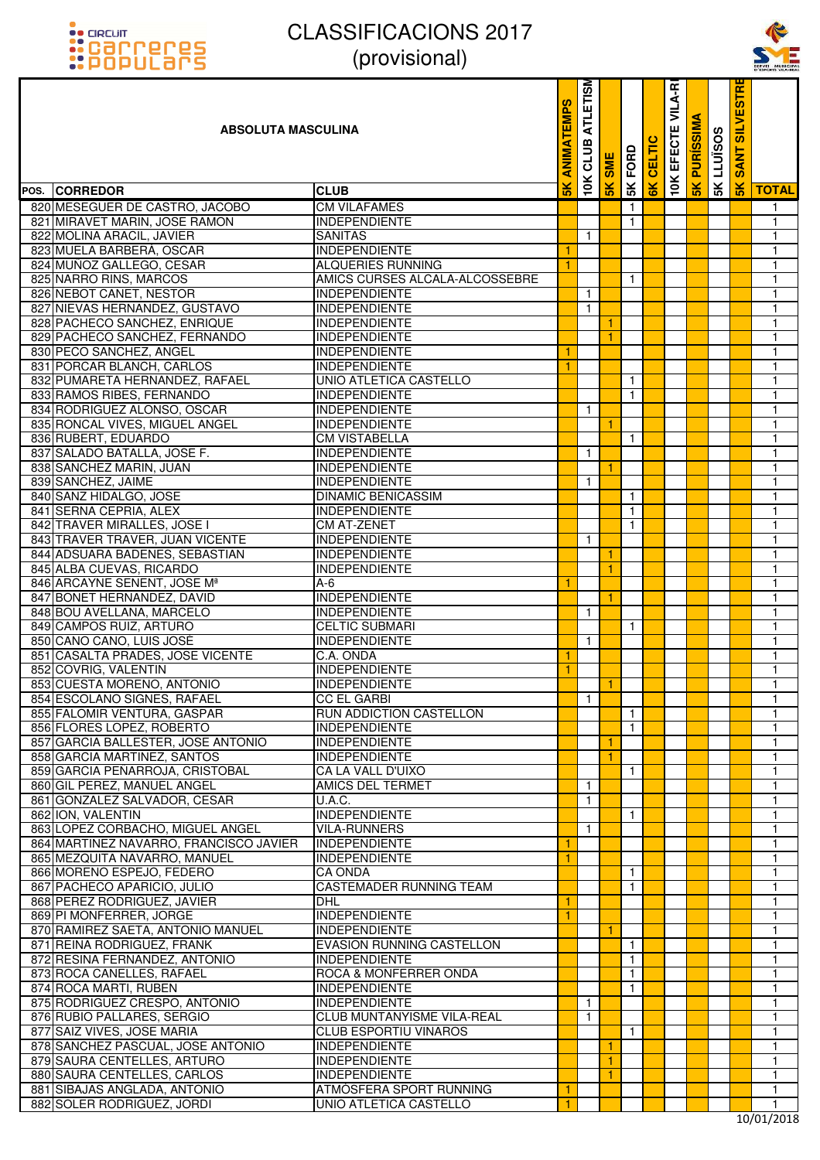



| <u>::PUPULdI'S</u>                                       | $\mu$ וטוסווטונ $\mu$                                |               |                         |            |                |        |               |                  |                   |                               | SERVEI MUNICIPA<br>D'ESPORTS VILA-REA |
|----------------------------------------------------------|------------------------------------------------------|---------------|-------------------------|------------|----------------|--------|---------------|------------------|-------------------|-------------------------------|---------------------------------------|
| <b>ABSOLUTA MASCULINA</b>                                |                                                      |               | <b>ATLETISM</b><br>CLUB | <b>SME</b> | <b>SK FORD</b> | CELTIC | EFECTE VILA-R | <b>PURISSIMA</b> | <b>SK LLUISOS</b> | <b>SILVESTR</b><br><b>ANT</b> |                                       |
| POS. CORREDOR                                            | <b>CLUB</b>                                          | $\frac{1}{2}$ | 10K                     | 5K         |                | 6K     | <b>10K</b>    | $\frac{1}{5}$    |                   | $\frac{1}{5}$                 | <b>TOTAL</b>                          |
| 820 MESEGUER DE CASTRO, JACOBO                           | <b>CM VILAFAMES</b>                                  |               |                         |            | $\mathbf{1}$   |        |               |                  |                   |                               | $\mathbf{1}$                          |
| 821 MIRAVET MARIN, JOSE RAMON                            | <b>INDEPENDIENTE</b>                                 |               |                         |            | $\mathbf{1}$   |        |               |                  |                   |                               | $\mathbf{1}$                          |
| 822 MOLINA ARACIL, JAVIER                                | <b>SANITAS</b>                                       |               | 1.                      |            |                |        |               |                  |                   |                               | $\mathbf{1}$                          |
| 823 MUELA BARBERA, OSCAR                                 | <b>INDEPENDIENTE</b>                                 | -1            |                         |            |                |        |               |                  |                   |                               | $\mathbf{1}$                          |
| 824 MUÑOZ GALLEGO, CESAR                                 | <b>ALQUERIES RUNNING</b>                             | -1            |                         |            |                |        |               |                  |                   |                               | $\mathbf{1}$                          |
| 825 NARRO RINS, MARCOS                                   | AMICS CURSES ALCALA-ALCOSSEBRE                       |               |                         |            | $\mathbf{1}$   |        |               |                  |                   |                               | $\mathbf{1}$                          |
| 826 NEBOT CANET, NESTOR                                  | <b>INDEPENDIENTE</b>                                 |               | 1                       |            |                |        |               |                  |                   |                               | $\mathbf{1}$                          |
| 827 NIEVAS HERNANDEZ, GUSTAVO                            | <b>INDEPENDIENTE</b>                                 |               | $\mathbf{1}$            |            |                |        |               |                  |                   |                               | $\mathbf{1}$                          |
| 828 PACHECO SANCHEZ, ENRIQUE                             | <b>INDEPENDIENTE</b>                                 |               |                         |            |                |        |               |                  |                   |                               | $\mathbf{1}$                          |
| 829 PACHECO SANCHEZ, FERNANDO                            | <b>INDEPENDIENTE</b>                                 |               |                         | 1.         |                |        |               |                  |                   |                               | $\mathbf{1}$                          |
| 830 PECO SANCHEZ, ANGEL                                  | <b>INDEPENDIENTE</b>                                 | 1             |                         |            |                |        |               |                  |                   |                               | $\mathbf{1}$                          |
| 831 PORCAR BLANCH, CARLOS                                | <b>INDEPENDIENTE</b>                                 | -1            |                         |            |                |        |               |                  |                   |                               | $\mathbf{1}$                          |
| 832 PUMARETA HERNANDEZ, RAFAEL                           | UNIO ATLETICA CASTELLO                               |               |                         |            | $\mathbf{1}$   |        |               |                  |                   |                               | $\mathbf{1}$                          |
| 833 RAMOS RIBES, FERNANDO                                | <b>INDEPENDIENTE</b>                                 |               |                         |            | $\mathbf{1}$   |        |               |                  |                   |                               | $\mathbf{1}$                          |
| 834 RODRIGUEZ ALONSO, OSCAR                              | <b>INDEPENDIENTE</b>                                 |               | 1                       |            |                |        |               |                  |                   |                               | $\mathbf{1}$                          |
| 835 RONCAL VIVES, MIGUEL ANGEL                           | <b>INDEPENDIENTE</b>                                 |               |                         |            |                |        |               |                  |                   |                               | $\mathbf{1}$                          |
| 836 RUBERT, EDUARDO                                      | <b>CM VISTABELLA</b>                                 |               |                         |            | $\mathbf{1}$   |        |               |                  |                   |                               | $\mathbf{1}$                          |
| 837 SALADO BATALLA, JOSE F.                              | <b>INDEPENDIENTE</b>                                 |               | $\mathbf{1}$            |            |                |        |               |                  |                   |                               | $\mathbf{1}$                          |
| 838 SANCHEZ MARIN, JUAN                                  | <b>INDEPENDIENTE</b>                                 |               |                         | 1.         |                |        |               |                  |                   |                               | $\mathbf{1}$                          |
| 839 SANCHEZ, JAIME                                       | <b>INDEPENDIENTE</b>                                 |               | $\mathbf{1}$            |            |                |        |               |                  |                   |                               | $\mathbf{1}$                          |
| 840 SANZ HIDALGO, JOSE                                   | <b>DINAMIC BENICASSIM</b>                            |               |                         |            | $\mathbf{1}$   |        |               |                  |                   |                               | $\mathbf{1}$                          |
| 841 SERNA CEPRIA, ALEX                                   | <b>INDEPENDIENTE</b>                                 |               |                         |            | $\mathbf{1}$   |        |               |                  |                   |                               | $\mathbf{1}$                          |
| 842 TRAVER MIRALLES, JOSE I                              | <b>CM AT-ZENET</b>                                   |               |                         |            | $\mathbf{1}$   |        |               |                  |                   |                               | $\mathbf{1}$                          |
| 843 TRAVER TRAVER, JUAN VICENTE                          | <b>INDEPENDIENTE</b>                                 |               | $\mathbf{1}$            |            |                |        |               |                  |                   |                               | $\mathbf{1}$                          |
| 844 ADSUARA BADENES, SEBASTIAN                           | <b>INDEPENDIENTE</b>                                 |               |                         |            |                |        |               |                  |                   |                               | $\mathbf{1}$                          |
| 845 ALBA CUEVAS, RICARDO                                 | <b>INDEPENDIENTE</b>                                 |               |                         | 1          |                |        |               |                  |                   |                               | $\mathbf{1}$                          |
| 846 ARCAYNE SENENT, JOSE Mª                              | $A-6$                                                |               |                         |            |                |        |               |                  |                   |                               | $\mathbf{1}$                          |
| 847 BONET HERNANDEZ, DAVID                               | <b>INDEPENDIENTE</b>                                 |               |                         | -1         |                |        |               |                  |                   |                               | $\mathbf{1}$                          |
| 848 BOU AVELLANA, MARCELO                                | <b>INDEPENDIENTE</b>                                 |               | $\mathbf{1}$            |            |                |        |               |                  |                   |                               | $\mathbf{1}$                          |
| 849 CAMPOS RUIZ, ARTURO                                  | <b>CELTIC SUBMARI</b>                                |               |                         |            | $\mathbf{1}$   |        |               |                  |                   |                               | $\mathbf{1}$                          |
| 850 CANO CANO, LUIS JOSÉ                                 | <b>INDEPENDIENTE</b>                                 |               | 1                       |            |                |        |               |                  |                   |                               | $\mathbf{1}$                          |
| 851 CASALTA PRADES, JOSE VICENTE                         | C.A. ONDA                                            | 1             |                         |            |                |        |               |                  |                   |                               | $\mathbf{1}$                          |
| 852 COVRIG, VALENTIN                                     | <b>INDEPENDIENTE</b>                                 | -1            |                         |            |                |        |               |                  |                   |                               | $\mathbf{1}$                          |
| 853 CUESTA MORENO, ANTONIO                               | <b>INDEPENDIENTE</b>                                 |               |                         | 1.         |                |        |               |                  |                   |                               | 1<br>$\mathbf{1}$                     |
| 854 ESCOLANO SIGNES, RAFAEL                              | <b>CC EL GARBI</b><br><b>RUN ADDICTION CASTELLON</b> |               | $\mathbf{1}$            |            | $\mathbf{1}$   |        |               |                  |                   |                               | $\mathbf{1}$                          |
| 855 FALOMIR VENTURA, GASPAR<br>856 FLORES LOPEZ, ROBERTO | <b>INDEPENDIENTE</b>                                 |               |                         |            | $\mathbf{1}$   |        |               |                  |                   |                               | $\mathbf{1}$                          |
| 857 GARCIA BALLESTER, JOSE ANTONIO                       | <b>INDEPENDIENTE</b>                                 |               |                         | 1          |                |        |               |                  |                   |                               | $\mathbf{1}$                          |
| 858 GARCIA MARTINEZ, SANTOS                              | <b>INDEPENDIENTE</b>                                 |               |                         | 1.         |                |        |               |                  |                   |                               | $\mathbf{1}$                          |
| 859 GARCIA PEÑARROJA, CRISTOBAL                          | CA LA VALL D'UIXO                                    |               |                         |            | $\mathbf{1}$   |        |               |                  |                   |                               | $\mathbf{1}$                          |
| 860 GIL PEREZ, MANUEL ANGEL                              | <b>AMICS DEL TERMET</b>                              |               | 1                       |            |                |        |               |                  |                   |                               | $\mathbf{1}$                          |
| 861 GONZALEZ SALVADOR, CESAR                             | U.A.C.                                               |               | $\mathbf{1}$            |            |                |        |               |                  |                   |                               | $\mathbf{1}$                          |
| 862 ION, VALENTIN                                        | <b>INDEPENDIENTE</b>                                 |               |                         |            | $\mathbf{1}$   |        |               |                  |                   |                               | $\mathbf{1}$                          |
| 863 LOPEZ CORBACHO, MIGUEL ANGEL                         | <b>VILA-RUNNERS</b>                                  |               | $\mathbf{1}$            |            |                |        |               |                  |                   |                               | $\mathbf{1}$                          |
| 864 MARTINEZ NAVARRO, FRANCISCO JAVIER                   | INDEPENDIENTE                                        | 1             |                         |            |                |        |               |                  |                   |                               | $\mathbf{1}$                          |
| 865 MEZQUITA NAVARRO, MANUEL                             | <b>INDEPENDIENTE</b>                                 | 1             |                         |            |                |        |               |                  |                   |                               | $\mathbf{1}$                          |
| 866 MORENO ESPEJO, FEDERO                                | <b>CA ONDA</b>                                       |               |                         |            | $\mathbf{1}$   |        |               |                  |                   |                               | $\mathbf{1}$                          |
| 867 PACHECO APARICIO, JULIO                              | CASTEMADER RUNNING TEAM                              |               |                         |            | $\mathbf{1}$   |        |               |                  |                   |                               | 1                                     |
| 868 PEREZ RODRIGUEZ, JAVIER                              | <b>DHL</b>                                           |               |                         |            |                |        |               |                  |                   |                               | $\mathbf{1}$                          |
| 869 PI MONFERRER, JORGE                                  | <b>INDEPENDIENTE</b>                                 | -1            |                         |            |                |        |               |                  |                   |                               | $\mathbf{1}$                          |
| 870 RAMIREZ SAETA, ANTONIO MANUEL                        | <b>INDEPENDIENTE</b>                                 |               |                         | 1.         |                |        |               |                  |                   |                               | $\mathbf{1}$                          |
| 871 REINA RODRIGUEZ, FRANK                               | <b>EVASION RUNNING CASTELLON</b>                     |               |                         |            | $\mathbf{1}$   |        |               |                  |                   |                               | $\mathbf{1}$                          |
| 872 RESINA FERNANDEZ, ANTONIO                            | <b>INDEPENDIENTE</b>                                 |               |                         |            | $\mathbf{1}$   |        |               |                  |                   |                               | $\mathbf{1}$                          |
| 873 ROCA CANELLES, RAFAEL                                | ROCA & MONFERRER ONDA                                |               |                         |            | $\mathbf{1}$   |        |               |                  |                   |                               | $\mathbf{1}$                          |
| 874 ROCA MARTI, RUBEN                                    | <b>INDEPENDIENTE</b>                                 |               |                         |            | $\mathbf{1}$   |        |               |                  |                   |                               | $\mathbf{1}$                          |
| 875 RODRIGUEZ CRESPO, ANTONIO                            | <b>INDEPENDIENTE</b>                                 |               | $\mathbf{1}$            |            |                |        |               |                  |                   |                               | $\mathbf{1}$                          |
| 876 RUBIO PALLARES, SERGIO                               | CLUB MUNTANYISME VILA-REAL                           |               | $\mathbf{1}$            |            |                |        |               |                  |                   |                               | $\mathbf{1}$                          |
| 877 SAIZ VIVES, JOSE MARIA                               | <b>CLUB ESPORTIU VINAROS</b>                         |               |                         |            | $\mathbf{1}$   |        |               |                  |                   |                               | $\mathbf{1}$                          |
| 878 SANCHEZ PASCUAL, JOSE ANTONIO                        | <b>INDEPENDIENTE</b>                                 |               |                         | -1         |                |        |               |                  |                   |                               | $\mathbf{1}$                          |
| 879 SAURA CENTELLES, ARTURO                              | <b>INDEPENDIENTE</b>                                 |               |                         | 1          |                |        |               |                  |                   |                               | $\mathbf{1}$                          |
| 880 SAURA CENTELLES, CARLOS                              | <b>INDEPENDIENTE</b>                                 |               |                         | 1          |                |        |               |                  |                   |                               | $\mathbf{1}$                          |
| 881 SIBAJAS ANGLADA, ANTONIO                             | ATMÓSFERA SPORT RUNNING                              | 1             |                         |            |                |        |               |                  |                   |                               | 1                                     |
| 882 SOLER RODRIGUEZ, JORDI                               | UNIO ATLETICA CASTELLO                               | 1             |                         |            |                |        |               |                  |                   |                               | 1<br>$0^{104}$                        |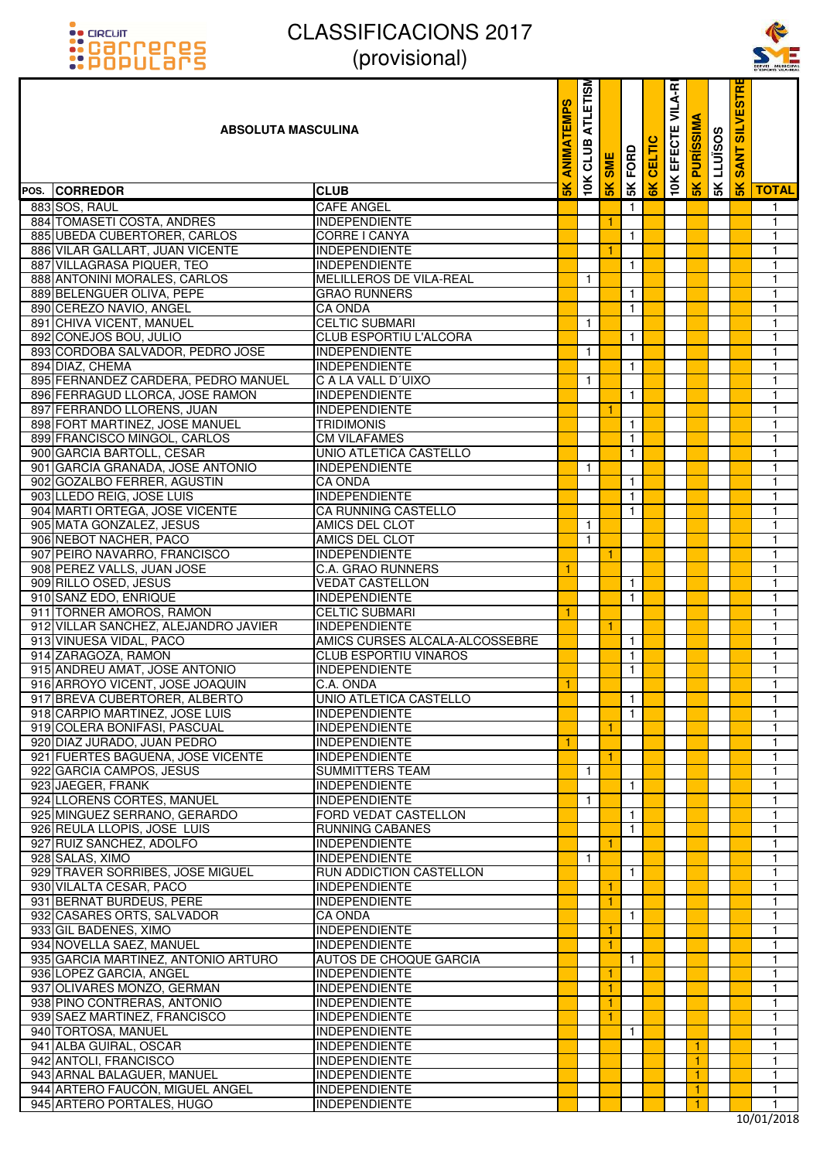



#### **ABSOLUTA MASCULINA**

| <u>::PUPULOI'S</u>                                  | $\mu$ וטופו $\mu$                            |               |              |            |              |               |                   |                  |                  |                      | SERVEI MUNICIPA<br>D'ESPORTS VILA-REA |
|-----------------------------------------------------|----------------------------------------------|---------------|--------------|------------|--------------|---------------|-------------------|------------------|------------------|----------------------|---------------------------------------|
| <b>ABSOLUTA MASCULINA</b>                           |                                              |               |              | <b>SME</b> | FORD         | <b>CELTIC</b> | VILA-RI<br>EFECTE | <b>PURISSIMA</b> | <b>5KLLUISOS</b> | <b>SANT SILVESTR</b> |                                       |
| POS. CORREDOR                                       | <b>CLUB</b>                                  | $\frac{1}{2}$ | 10K          | 5K         | 5K           | 6K            | 10K               | 5K               |                  | 5K                   | <b>TOTAL</b>                          |
| 883 SOS, RAUL                                       | <b>CAFE ANGEL</b>                            |               |              |            | $\mathbf{1}$ |               |                   |                  |                  |                      | $\mathbf{1}$                          |
| 884 TOMASETI COSTA, ANDRES                          | <b>INDEPENDIENTE</b>                         |               |              | 1          |              |               |                   |                  |                  |                      | $\mathbf{1}$                          |
| 885 UBEDA CUBERTORER, CARLOS                        | CORRE I CANYA                                |               |              |            | $\mathbf{1}$ |               |                   |                  |                  |                      | 1                                     |
| 886 VILAR GALLART, JUAN VICENTE                     | <b>INDEPENDIENTE</b>                         |               |              | 1          |              |               |                   |                  |                  |                      | $\mathbf{1}$                          |
| 887 VILLAGRASA PIQUER, TEO                          | <b>INDEPENDIENTE</b>                         |               |              |            | $\mathbf{1}$ |               |                   |                  |                  |                      | $\mathbf{1}$                          |
| 888 ANTONINI MORALES, CARLOS                        | MELILLEROS DE VILA-REAL                      |               | $\mathbf{1}$ |            |              |               |                   |                  |                  |                      | $\mathbf{1}$                          |
| 889 BELENGUER OLIVA, PEPE                           | <b>GRAO RUNNERS</b>                          |               |              |            | 1            |               |                   |                  |                  |                      | $\mathbf{1}$                          |
| 890 CEREZO NAVIO, ANGEL                             | <b>CA ONDA</b>                               |               |              |            | $\mathbf{1}$ |               |                   |                  |                  |                      | $\mathbf{1}$                          |
| 891 CHIVA VICENT, MANUEL                            | <b>CELTIC SUBMARI</b>                        |               | $\mathbf{1}$ |            |              |               |                   |                  |                  |                      | $\overline{1}$                        |
| 892 CONEJOS BOU, JULIO                              | <b>CLUB ESPORTIU L'ALCORA</b>                |               |              |            | $\mathbf{1}$ |               |                   |                  |                  |                      | $\mathbf{1}$                          |
| 893 CORDOBA SALVADOR, PEDRO JOSE                    | <b>INDEPENDIENTE</b>                         |               | 1            |            |              |               |                   |                  |                  |                      | 1                                     |
| 894 DIAZ, CHEMA                                     | <b>INDEPENDIENTE</b>                         |               |              |            | -1           |               |                   |                  |                  |                      | $\mathbf{1}$                          |
| 895 FERNANDEZ CARDERA, PEDRO MANUEL                 | C A LA VALL D'UIXO                           |               | $\mathbf{1}$ |            |              |               |                   |                  |                  |                      | $\mathbf{1}$                          |
| 896 FERRAGUD LLORCA, JOSE RAMON                     | <b>INDEPENDIENTE</b>                         |               |              |            | $\mathbf{1}$ |               |                   |                  |                  |                      | $\mathbf{1}$                          |
| 897 FERRANDO LLORENS, JUAN                          | <b>INDEPENDIENTE</b>                         |               |              | 1          |              |               |                   |                  |                  |                      | $\mathbf{1}$                          |
| 898 FORT MARTINEZ, JOSE MANUEL                      | <b>TRIDIMONIS</b>                            |               |              |            | $\mathbf{1}$ |               |                   |                  |                  |                      | 1                                     |
| 899 FRANCISCO MINGOL, CARLOS                        | <b>CM VILAFAMES</b>                          |               |              |            | $\mathbf{1}$ |               |                   |                  |                  |                      | $\mathbf{1}$                          |
| 900 GARCIA BARTOLL, CESAR                           | <b>UNIO ATLETICA CASTELLO</b>                |               |              |            | $\mathbf{1}$ |               |                   |                  |                  |                      | $\mathbf{1}$                          |
| 901 GARCIA GRANADA, JOSE ANTONIO                    | <b>INDEPENDIENTE</b>                         |               | $\mathbf{1}$ |            |              |               |                   |                  |                  |                      | $\mathbf{1}$                          |
| 902 GOZALBO FERRER, AGUSTIN                         | <b>CA ONDA</b>                               |               |              |            | $\mathbf{1}$ |               |                   |                  |                  |                      | 1                                     |
| 903 LLEDO REIG, JOSE LUIS                           | <b>INDEPENDIENTE</b>                         |               |              |            | $\mathbf{1}$ |               |                   |                  |                  |                      | $\mathbf{1}$                          |
| 904 MARTI ORTEGA, JOSE VICENTE                      | CA RUNNING CASTELLO                          |               |              |            | $\mathbf{1}$ |               |                   |                  |                  |                      | $\mathbf{1}$                          |
| 905 MATA GONZALEZ, JESUS                            | AMICS DEL CLOT                               |               | $\mathbf{1}$ |            |              |               |                   |                  |                  |                      | $\mathbf{1}$                          |
| 906 NEBOT NACHER, PACO                              | AMICS DEL CLOT                               |               | $\mathbf{1}$ |            |              |               |                   |                  |                  |                      | 1                                     |
| 907 PEIRO NAVARRO, FRANCISCO                        | <b>INDEPENDIENTE</b>                         |               |              |            |              |               |                   |                  |                  |                      | $\mathbf{1}$                          |
| 908 PEREZ VALLS, JUAN JOSE                          | C.A. GRAO RUNNERS                            | 1             |              |            |              |               |                   |                  |                  |                      | $\mathbf{1}$                          |
| 909 RILLO OSED, JESUS                               | <b>VEDAT CASTELLON</b>                       |               |              |            | $\mathbf{1}$ |               |                   |                  |                  |                      | $\mathbf{1}$                          |
| 910 SANZ EDO, ENRIQUE                               | <b>INDEPENDIENTE</b>                         |               |              |            | $\mathbf{1}$ |               |                   |                  |                  |                      | 1                                     |
| 911 TORNER AMOROS, RAMON                            | <b>CELTIC SUBMARI</b>                        | 1             |              |            |              |               |                   |                  |                  |                      | $\mathbf{1}$                          |
| 912 VILLAR SANCHEZ, ALEJANDRO JAVIER                | <b>INDEPENDIENTE</b>                         |               |              | 1          |              |               |                   |                  |                  |                      | $\mathbf{1}$                          |
| 913 VINUESA VIDAL, PACO                             | AMICS CURSES ALCALA-ALCOSSEBRE               |               |              |            | $\mathbf{1}$ |               |                   |                  |                  |                      | $\mathbf{1}$                          |
| 914 ZARAGOZA, RAMON                                 | <b>CLUB ESPORTIU VINAROS</b>                 |               |              |            | $\mathbf{1}$ |               |                   |                  |                  |                      | 1                                     |
| 915 ANDREU AMAT, JOSE ANTONIO                       | <b>INDEPENDIENTE</b>                         |               |              |            | $\mathbf{1}$ |               |                   |                  |                  |                      | $\mathbf{1}$                          |
| 916 ARROYO VICENT, JOSE JOAQUIN                     | C.A. ONDA                                    | 1             |              |            |              |               |                   |                  |                  |                      | 1                                     |
| 917 BREVA CUBERTORER, ALBERTO                       | <b>UNIO ATLETICA CASTELLO</b>                |               |              |            | $\mathbf{1}$ |               |                   |                  |                  |                      | $\mathbf{1}$                          |
| 918 CARPIO MARTINEZ, JOSE LUIS                      | <b>INDEPENDIENTE</b>                         |               |              |            | $\mathbf{1}$ |               |                   |                  |                  |                      | 1                                     |
| 919 COLERA BONIFASI, PASCUAL                        | <b>INDEPENDIENTE</b>                         |               |              | 1          |              |               |                   |                  |                  |                      | $\mathbf{1}$                          |
| 920 DIAZ JURADO, JUAN PEDRO                         | <b>INDEPENDIENTE</b>                         | 1             |              |            |              |               |                   |                  |                  |                      | 1                                     |
| 921 FUERTES BAGUENA, JOSE VICENTE                   | <b>INDEPENDIENTE</b>                         |               |              | -1         |              |               |                   |                  |                  |                      | 1                                     |
| 922 GARCIA CAMPOS, JESUS                            | <b>SUMMITTERS TEAM</b>                       |               | $\mathbf{1}$ |            |              |               |                   |                  |                  |                      | 1                                     |
| 923 JAEGER, FRANK                                   | <b>INDEPENDIENTE</b>                         |               |              |            | $\mathbf{1}$ |               |                   |                  |                  |                      | $\mathbf{1}$                          |
| 924 LLORENS CORTES, MANUEL                          | <b>INDEPENDIENTE</b>                         |               | $\mathbf{1}$ |            |              |               |                   |                  |                  |                      | 1                                     |
| 925 MINGUEZ SERRANO, GERARDO                        | FORD VEDAT CASTELLON                         |               |              |            | $\mathbf{1}$ |               |                   |                  |                  |                      | 1                                     |
| 926 REULA LLOPIS, JOSE LUIS                         | <b>RUNNING CABANES</b>                       |               |              |            | $\mathbf{1}$ |               |                   |                  |                  |                      | 1                                     |
| 927 RUIZ SANCHEZ, ADOLFO                            | <b>INDEPENDIENTE</b>                         |               |              | 1          |              |               |                   |                  |                  |                      | $\mathbf{1}$                          |
| 928 SALAS, XIMO                                     | <b>INDEPENDIENTE</b>                         |               | $\mathbf{1}$ |            |              |               |                   |                  |                  |                      | 1                                     |
| 929 TRAVER SORRIBES, JOSE MIGUEL                    | RUN ADDICTION CASTELLON                      |               |              |            | $\mathbf{1}$ |               |                   |                  |                  |                      | 1                                     |
| 930 VILALTA CESAR, PACO                             | <b>INDEPENDIENTE</b>                         |               |              | 1          |              |               |                   |                  |                  |                      | 1                                     |
| 931 BERNAT BURDEUS, PERE                            | <b>INDEPENDIENTE</b>                         |               |              | 1          |              |               |                   |                  |                  |                      | $\mathbf{1}$                          |
| 932 CASARES ORTS, SALVADOR                          | <b>CA ONDA</b>                               |               |              |            | $\mathbf{1}$ |               |                   |                  |                  |                      | 1                                     |
| 933 GIL BADENES, XIMO                               | <b>INDEPENDIENTE</b>                         |               |              | 1          |              |               |                   |                  |                  |                      | 1                                     |
| 934 NOVELLA SAEZ, MANUEL                            | <b>INDEPENDIENTE</b>                         |               |              | 1          |              |               |                   |                  |                  |                      | 1                                     |
| 935 GARCIA MARTINEZ, ANTONIO ARTURO                 | AUTOS DE CHOQUE GARCIA                       |               |              |            | $\mathbf{1}$ |               |                   |                  |                  |                      | $\mathbf{1}$                          |
| 936 LOPEZ GARCIA, ANGEL                             | <b>INDEPENDIENTE</b>                         |               |              | 1          |              |               |                   |                  |                  |                      | 1                                     |
| 937 OLIVARES MONZO, GERMAN                          | <b>INDEPENDIENTE</b>                         |               |              | 1          |              |               |                   |                  |                  |                      | 1                                     |
| 938 PINO CONTRERAS, ANTONIO                         | <b>INDEPENDIENTE</b>                         |               |              | 1          |              |               |                   |                  |                  |                      | 1                                     |
| 939 SAEZ MARTINEZ, FRANCISCO                        | <b>INDEPENDIENTE</b>                         |               |              | 1          |              |               |                   |                  |                  |                      | $\mathbf{1}$                          |
| 940 TORTOSA, MANUEL                                 | <b>INDEPENDIENTE</b>                         |               |              |            | $\mathbf{1}$ |               |                   |                  |                  |                      | 1                                     |
| 941 ALBA GUIRAL, OSCAR                              | <b>INDEPENDIENTE</b>                         |               |              |            |              |               |                   | 1.               |                  |                      | 1                                     |
| 942 ANTOLI, FRANCISCO<br>943 ARNAL BALAGUER, MANUEL | <b>INDEPENDIENTE</b><br><b>INDEPENDIENTE</b> |               |              |            |              |               |                   | 1<br>1           |                  |                      | 1<br>$\mathbf{1}$                     |
| 944 ARTERO FAUCÓN, MIGUEL ANGEL                     | <b>INDEPENDIENTE</b>                         |               |              |            |              |               |                   | $\mathbf{1}$     |                  |                      | 1                                     |
| 945 ARTERO PORTALES, HUGO                           | <b>INDEPENDIENTE</b>                         |               |              |            |              |               |                   | 1                |                  |                      | $\mathbf{1}$                          |
|                                                     |                                              |               |              |            |              |               |                   |                  |                  |                      |                                       |

10/01/2018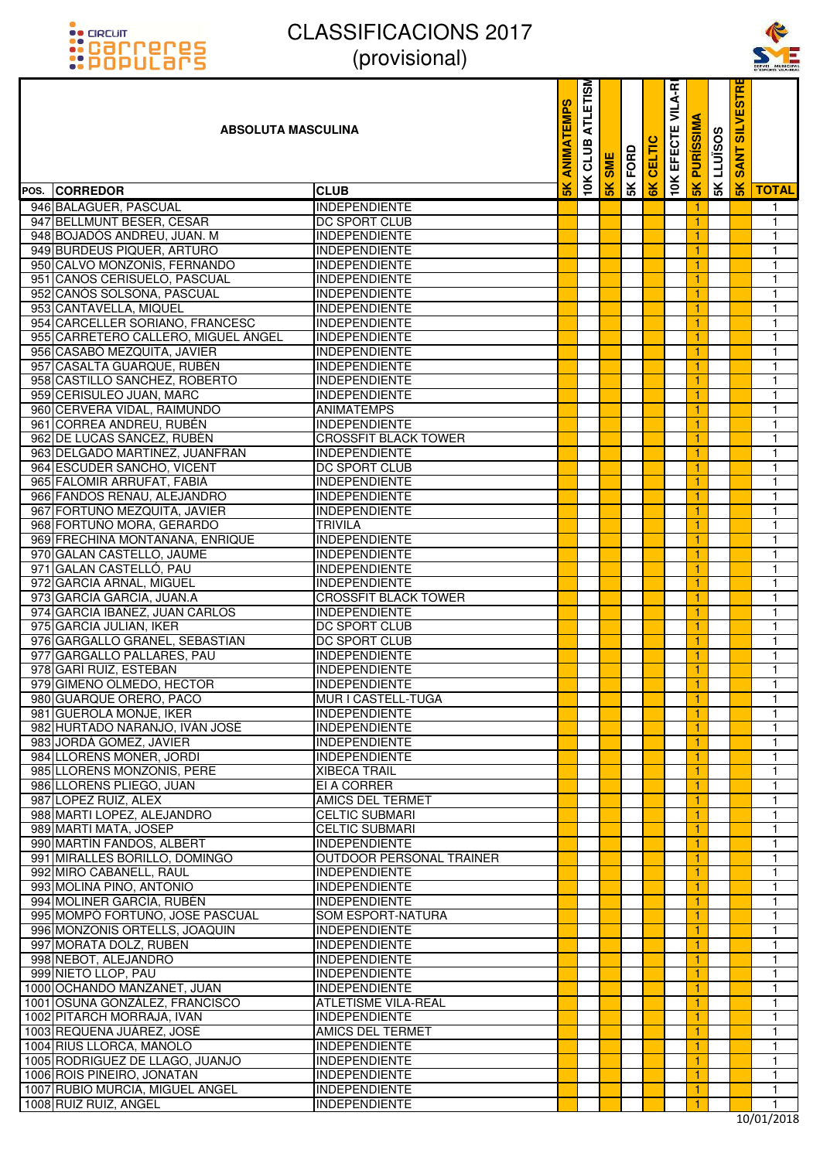



| <u>::PUPULdI'S</u>                  | $\mu$ וטוסווטונ $\mu$       |                |                         |     |      |        |                   |                  |                   |                      | SERVEI MUNICIPA |
|-------------------------------------|-----------------------------|----------------|-------------------------|-----|------|--------|-------------------|------------------|-------------------|----------------------|-----------------|
| <b>ABSOLUTA MASCULINA</b>           |                             | <b>EMPS</b>    | <b>ATLETISM</b><br>CLUB | SME | FORD | CELTIC | VILA-RI<br>EFECTE | <b>PURISSIMA</b> | <b>SK LLUISOS</b> | <b>SANT SILVESTR</b> |                 |
| POS. CORREDOR                       | <b>CLUB</b>                 | $\frac{8}{10}$ | 10K                     | 5K  | 5K   | 6K     | 10K               | 5K               |                   | $\frac{8}{5}$        | <b>TOTAL</b>    |
| 946 BALAGUER, PASCUAL               | <b>INDEPENDIENTE</b>        |                |                         |     |      |        |                   |                  |                   |                      | $\mathbf{1}$    |
| 947 BELLMUNT BESER, CESAR           | DC SPORT CLUB               |                |                         |     |      |        |                   | 1                |                   |                      | $\mathbf{1}$    |
| 948 BOJADÓS ANDREU, JUAN. M         | <b>INDEPENDIENTE</b>        |                |                         |     |      |        |                   |                  |                   |                      | $\mathbf{1}$    |
| 949 BURDEUS PIQUER, ARTURO          | <b>INDEPENDIENTE</b>        |                |                         |     |      |        |                   |                  |                   |                      | $\mathbf{1}$    |
| 950 CALVO MONZONÍS, FERNANDO        | <b>INDEPENDIENTE</b>        |                |                         |     |      |        |                   |                  |                   |                      | $\mathbf{1}$    |
| 951 CANOS CERISUELO, PASCUAL        | <b>INDEPENDIENTE</b>        |                |                         |     |      |        |                   | 1                |                   |                      | $\overline{1}$  |
| 952 CANOS SOLSONA, PASCUAL          | <b>INDEPENDIENTE</b>        |                |                         |     |      |        |                   | 1                |                   |                      | $\mathbf{1}$    |
| 953 CANTAVELLA, MIQUEL              | <b>INDEPENDIENTE</b>        |                |                         |     |      |        |                   | 1                |                   |                      | $\mathbf{1}$    |
| 954 CARCELLER SORIANO, FRANCESC     | <b>INDEPENDIENTE</b>        |                |                         |     |      |        |                   |                  |                   |                      | $\overline{1}$  |
| 955 CARRETERO CALLERO, MIGUEL ANGEL | <b>INDEPENDIENTE</b>        |                |                         |     |      |        |                   | 1                |                   |                      | $\overline{1}$  |
|                                     |                             |                |                         |     |      |        |                   |                  |                   |                      | $\mathbf{1}$    |
| 956 CASABO MEZQUITA, JAVIER         | <b>INDEPENDIENTE</b>        |                |                         |     |      |        |                   | 1                |                   |                      |                 |
| 957 CASALTA GUARQUE, RUBEN          | <b>INDEPENDIENTE</b>        |                |                         |     |      |        |                   |                  |                   |                      | $\mathbf{1}$    |
| 958 CASTILLO SANCHEZ, ROBERTO       | <b>INDEPENDIENTE</b>        |                |                         |     |      |        |                   |                  |                   |                      | $\overline{1}$  |
| 959 CERISULEO JUAN, MARC            | <b>INDEPENDIENTE</b>        |                |                         |     |      |        |                   | 1                |                   |                      | $\mathbf{1}$    |
| 960 CERVERA VIDAL, RAIMUNDO         | <b>ANIMATEMPS</b>           |                |                         |     |      |        |                   | 1                |                   |                      | $\mathbf{1}$    |
| 961 CORREA ANDREU, RUBÉN            | <b>INDEPENDIENTE</b>        |                |                         |     |      |        |                   | 1                |                   |                      | $\mathbf{1}$    |
| 962 DE LUCAS SÁNCEZ, RUBÉN          | <b>CROSSFIT BLACK TOWER</b> |                |                         |     |      |        |                   |                  |                   |                      | $\mathbf{1}$    |
| 963 DELGADO MARTINEZ, JUANFRAN      | <b>INDEPENDIENTE</b>        |                |                         |     |      |        |                   | 1                |                   |                      | $\mathbf{1}$    |
| 964 ESCUDER SANCHO, VICENT          | DC SPORT CLUB               |                |                         |     |      |        |                   |                  |                   |                      | $\mathbf{1}$    |
| 965 FALOMIR ARRUFAT, FABIÀ          | <b>INDEPENDIENTE</b>        |                |                         |     |      |        |                   | 1                |                   |                      | $\mathbf{1}$    |
| 966 FANDOS RENAU, ALEJANDRO         | <b>INDEPENDIENTE</b>        |                |                         |     |      |        |                   |                  |                   |                      | $\mathbf{1}$    |
| 967 FORTUÑO MEZQUITA, JAVIER        | <b>INDEPENDIENTE</b>        |                |                         |     |      |        |                   | 1                |                   |                      | $\mathbf{1}$    |
| 968 FORTUÑO MORA, GERARDO           | <b>TRIVILA</b>              |                |                         |     |      |        |                   |                  |                   |                      | $\mathbf{1}$    |
| 969 FRECHINA MONTAÑANA, ENRIQUE     | <b>INDEPENDIENTE</b>        |                |                         |     |      |        |                   |                  |                   |                      | $\mathbf{1}$    |
| 970 GALAN CASTELLO, JAUME           | <b>INDEPENDIENTE</b>        |                |                         |     |      |        |                   |                  |                   |                      | $\mathbf{1}$    |
| 971 GALAN CASTELLÓ, PAU             | <b>INDEPENDIENTE</b>        |                |                         |     |      |        |                   | 1                |                   |                      | $\mathbf{1}$    |
| 972 GARCIA ARNAL, MIGUEL            | <b>INDEPENDIENTE</b>        |                |                         |     |      |        |                   | 1                |                   |                      | $\mathbf{1}$    |
| 973 GARCIA GARCIA, JUAN.A           | <b>CROSSFIT BLACK TOWER</b> |                |                         |     |      |        |                   | 1                |                   |                      | $\mathbf{1}$    |
| 974 GARCIA IBAÑEZ, JUAN CARLOS      | <b>INDEPENDIENTE</b>        |                |                         |     |      |        |                   |                  |                   |                      | $\mathbf{1}$    |
| 975 GARCIA JULIAN, IKER             | DC SPORT CLUB               |                |                         |     |      |        |                   | 1                |                   |                      | $\mathbf{1}$    |
|                                     |                             |                |                         |     |      |        |                   |                  |                   |                      |                 |
| 976 GARGALLO GRANEL, SEBASTIAN      | DC SPORT CLUB               |                |                         |     |      |        |                   |                  |                   |                      | $\mathbf{1}$    |
| 977 GARGALLO PALLARES, PAU          | <b>INDEPENDIENTE</b>        |                |                         |     |      |        |                   |                  |                   |                      | 1               |
| 978 GARÍ RUIZ, ESTEBAN              | <b>INDEPENDIENTE</b>        |                |                         |     |      |        |                   |                  |                   |                      | $\mathbf{1}$    |
| 979 GIMENO OLMEDO, HECTOR           | <b>INDEPENDIENTE</b>        |                |                         |     |      |        |                   | 1                |                   |                      | $\mathbf{1}$    |
| 980 GUARQUE ORERO, PACO             | MUR I CASTELL-TUGA          |                |                         |     |      |        |                   | 1.               |                   |                      | $\mathbf{1}$    |
| 981 GUEROLA MONJE, IKER             | <b>INDEPENDIENTE</b>        |                |                         |     |      |        |                   |                  |                   |                      | 1               |
| 982 HURTADO NARANJO, IVÁN JOSÉ      | <b>INDEPENDIENTE</b>        |                |                         |     |      |        |                   |                  |                   |                      | $\mathbf{1}$    |
| 983 JORDÁ GOMEZ, JAVIER             | <b>INDEPENDIENTE</b>        |                |                         |     |      |        |                   | 1                |                   |                      | $\mathbf{1}$    |
| 984 LLORENS MONER, JORDI            | <b>INDEPENDIENTE</b>        |                |                         |     |      |        |                   | 1                |                   |                      | $\mathbf{1}$    |
| 985 LLORENS MONZONIS, PERE          | <b>XIBECA TRAIL</b>         |                |                         |     |      |        |                   | 1                |                   |                      | 1               |
| 986 LLORENS PLIEGO, JUAN            | EI A CORRER                 |                |                         |     |      |        |                   |                  |                   |                      | $\mathbf{1}$    |
| 987 LOPEZ RUIZ, ALEX                | <b>AMICS DEL TERMET</b>     |                |                         |     |      |        |                   | 1                |                   |                      | $\mathbf{1}$    |
| 988 MARTI LOPEZ, ALEJANDRO          | <b>CELTIC SUBMARI</b>       |                |                         |     |      |        |                   | 1                |                   |                      | $\mathbf{1}$    |
| 989 MARTI MATA, JOSEP               | <b>CELTIC SUBMARI</b>       |                |                         |     |      |        |                   | 1.               |                   |                      | $\mathbf{1}$    |
| 990 MARTÍN FANDOS, ALBERT           | <b>INDEPENDIENTE</b>        |                |                         |     |      |        |                   |                  |                   |                      | $\mathbf{1}$    |
| 991 MIRALLES BORILLO, DOMINGO       | OUTDOOR PERSONAL TRAINER    |                |                         |     |      |        |                   | 1                |                   |                      | $\mathbf{1}$    |
| 992 MIRO CABANELL, RAUL             | <b>INDEPENDIENTE</b>        |                |                         |     |      |        |                   | 1                |                   |                      | $\mathbf{1}$    |
| 993 MOLINA PINO, ANTONIO            | <b>INDEPENDIENTE</b>        |                |                         |     |      |        |                   | 1                |                   |                      | $\mathbf{1}$    |
| 994 MOLINER GARCÍA, RUBÉN           | <b>INDEPENDIENTE</b>        |                |                         |     |      |        |                   |                  |                   |                      | $\mathbf{1}$    |
| 995 MOMPÓ FORTUÑO, JOSE PASCUAL     | <b>SOM ESPORT-NATURA</b>    |                |                         |     |      |        |                   | 1                |                   |                      | $\mathbf{1}$    |
| 996 MONZONIS ORTELLS, JOAQUIN       | <b>INDEPENDIENTE</b>        |                |                         |     |      |        |                   | 1                |                   |                      | $\mathbf{1}$    |
| 997 MORATA DOLZ, RUBEN              | <b>INDEPENDIENTE</b>        |                |                         |     |      |        |                   | 1.               |                   |                      | $\mathbf{1}$    |
| 998 NEBOT, ALEJANDRO                | <b>INDEPENDIENTE</b>        |                |                         |     |      |        |                   |                  |                   |                      | $\mathbf{1}$    |
| 999 NIETO LLOP, PAU                 | <b>INDEPENDIENTE</b>        |                |                         |     |      |        |                   | 1                |                   |                      | $\mathbf{1}$    |
|                                     |                             |                |                         |     |      |        |                   |                  |                   |                      |                 |
| 1000 OCHANDO MANZANET, JUAN         | <b>INDEPENDIENTE</b>        |                |                         |     |      |        |                   | 1                |                   |                      | $\mathbf{1}$    |
| 1001 OSUNA GONZÁLEZ, FRANCISCO      | <b>ATLETISME VILA-REAL</b>  |                |                         |     |      |        |                   | 1                |                   |                      | $\mathbf{1}$    |
| 1002 PITARCH MORRAJA, IVAN          | <b>INDEPENDIENTE</b>        |                |                         |     |      |        |                   |                  |                   |                      | $\mathbf{1}$    |
| 1003 REQUENA JUÁREZ, JOSÉ           | <b>AMICS DEL TERMET</b>     |                |                         |     |      |        |                   | 1                |                   |                      | $\mathbf{1}$    |
| 1004 RIUS LLORCA, MANOLO            | <b>INDEPENDIENTE</b>        |                |                         |     |      |        |                   | 1                |                   |                      | $\mathbf{1}$    |
| 1005 RODRIGUEZ DE LLAGO, JUANJO     | <b>INDEPENDIENTE</b>        |                |                         |     |      |        |                   | 1                |                   |                      | $\mathbf{1}$    |
| 1006 ROIS PIÑEIRO, JONATAN          | <b>INDEPENDIENTE</b>        |                |                         |     |      |        |                   |                  |                   |                      | $\mathbf{1}$    |
| 1007 RUBIO MURCIA, MIGUEL ANGEL     | <b>INDEPENDIENTE</b>        |                |                         |     |      |        |                   | 1                |                   |                      | $\mathbf{1}$    |
| 1008 RUIZ RUIZ, ANGEL               | <b>INDEPENDIENTE</b>        |                |                         |     |      |        |                   | 1                |                   |                      | $\mathbf{1}$    |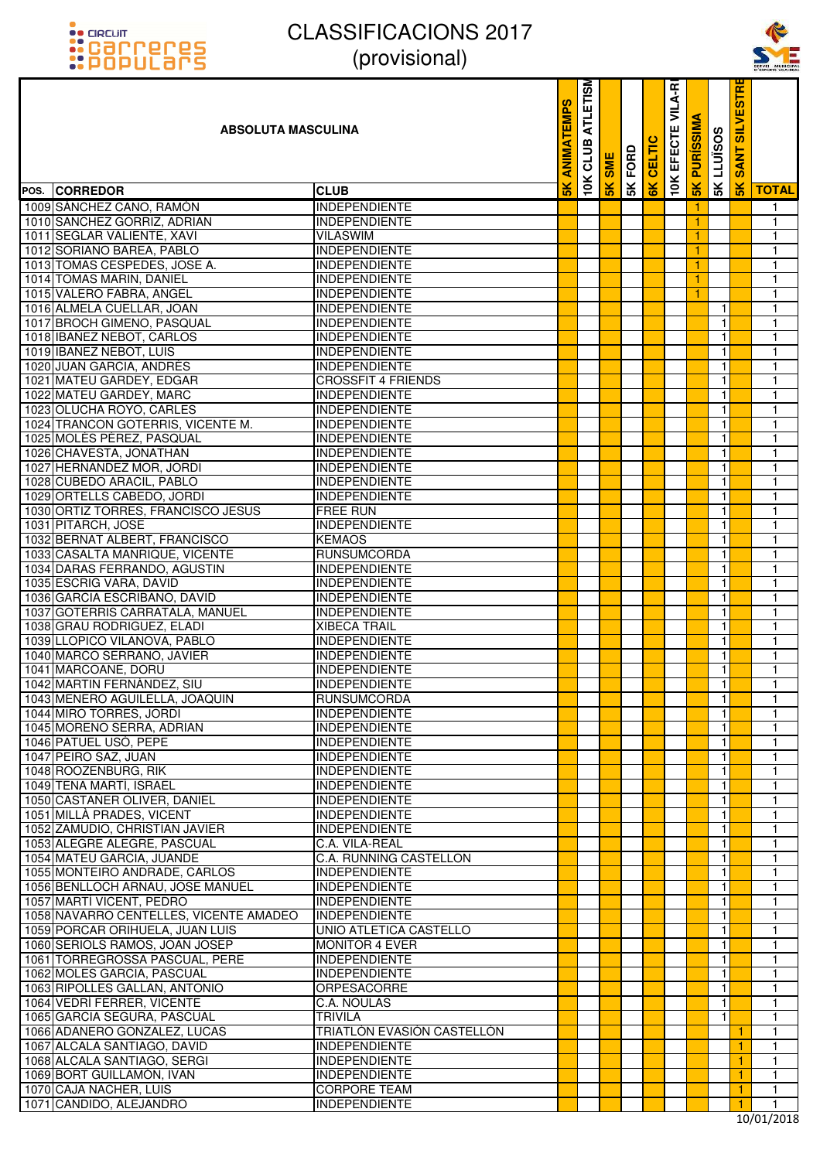



| <u>::PUPULdI'S</u>                     | $\mu$ וטופוטטוען $\mu$        |                    |                                |               |      |               |                  |                  |                   |                                  | SERVEI MUNICIPA<br>D'ESPORTS VILA-REA |
|----------------------------------------|-------------------------------|--------------------|--------------------------------|---------------|------|---------------|------------------|------------------|-------------------|----------------------------------|---------------------------------------|
| <b>ABSOLUTA MASCULINA</b>              |                               | EMPS<br><b>NIN</b> | <b>ATLETISM</b><br>≃<br>m<br>D | <b>SME</b>    | FORD | <b>CELTIC</b> | VILA-R<br>EFECTE | <b>PURISSIMA</b> | <b>SK LLUISOS</b> | <b>IRISE</b><br><b>SANT SILV</b> |                                       |
| POS. CORREDOR                          | <b>CLUB</b>                   | $\frac{1}{2}$      | 10K                            | $\frac{8}{5}$ | 5K   | $\frac{1}{6}$ | 10K              | 5K               |                   | $\frac{2}{5}$                    | <b>TOTAL</b>                          |
| 1009 SÁNCHEZ CANO, RAMÓN               | <b>INDEPENDIENTE</b>          |                    |                                |               |      |               |                  | 1                |                   |                                  | $\mathbf{1}$                          |
| 1010 SANCHEZ GORRIZ, ADRIAN            | <b>INDEPENDIENTE</b>          |                    |                                |               |      |               |                  | 1                |                   |                                  | $\mathbf{1}$                          |
| 1011 SEGLAR VALIENTE, XAVI             | <b>VILASWIM</b>               |                    |                                |               |      |               |                  | 1                |                   |                                  | $\mathbf{1}$                          |
| 1012 SORIANO BAREA, PABLO              | <b>INDEPENDIENTE</b>          |                    |                                |               |      |               |                  | 1                |                   |                                  | 1                                     |
| 1013 TOMAS CESPEDES, JOSE A.           | <b>INDEPENDIENTE</b>          |                    |                                |               |      |               |                  | 1                |                   |                                  | $\mathbf{1}$                          |
| 1014 TOMAS MARIN, DANIEL               | <b>INDEPENDIENTE</b>          |                    |                                |               |      |               |                  | 1                |                   |                                  | $\mathbf{1}$                          |
| 1015 VALERO FABRA, ANGEL               | <b>INDEPENDIENTE</b>          |                    |                                |               |      |               |                  | 1                |                   |                                  | 1                                     |
| 1016 ALMELA CUELLAR, JOAN              | INDEPENDIENTE                 |                    |                                |               |      |               |                  |                  | $\mathbf{1}$      |                                  | $\mathbf{1}$                          |
| 1017 BROCH GIMENO, PASQUAL             | <b>INDEPENDIENTE</b>          |                    |                                |               |      |               |                  |                  | $\overline{1}$    |                                  | $\mathbf{1}$                          |
| 1018 IBANEZ NEBOT, CARLOS              | <b>INDEPENDIENTE</b>          |                    |                                |               |      |               |                  |                  | $\mathbf{1}$      |                                  | $\mathbf{1}$                          |
| 1019 IBANEZ NEBOT, LUIS                | <b>INDEPENDIENTE</b>          |                    |                                |               |      |               |                  |                  | $\mathbf{1}$      |                                  | 1                                     |
| 1020 JUAN GARCIA, ANDRES               | <b>INDEPENDIENTE</b>          |                    |                                |               |      |               |                  |                  | $\mathbf{1}$      |                                  | 1                                     |
| 1021 MATEU GARDEY, EDGAR               | <b>CROSSFIT 4 FRIENDS</b>     |                    |                                |               |      |               |                  |                  | $\mathbf{1}$      |                                  | $\mathbf{1}$                          |
| 1022 MATEU GARDEY, MARC                | <b>INDEPENDIENTE</b>          |                    |                                |               |      |               |                  |                  | $\mathbf{1}$      |                                  | $\mathbf{1}$                          |
| 1023 OLUCHA ROYO, CARLES               | <b>INDEPENDIENTE</b>          |                    |                                |               |      |               |                  |                  | $\mathbf{1}$      |                                  | $\mathbf{1}$                          |
| 1024 TRANCON GOTERRIS, VICENTE M.      | <b>INDEPENDIENTE</b>          |                    |                                |               |      |               |                  |                  | $\mathbf{1}$      |                                  | 1                                     |
| 1025 MOLÉS PÉREZ, PASQUAL              | <b>INDEPENDIENTE</b>          |                    |                                |               |      |               |                  |                  | $\mathbf{1}$      |                                  | $\mathbf{1}$                          |
| 1026 CHAVESTA, JONATHAN                | <b>INDEPENDIENTE</b>          |                    |                                |               |      |               |                  |                  | $\mathbf{1}$      |                                  | $\mathbf{1}$                          |
| 1027 HERNANDEZ MOR, JORDI              | <b>INDEPENDIENTE</b>          |                    |                                |               |      |               |                  |                  | $\mathbf{1}$      |                                  | $\mathbf{1}$                          |
| 1028 CUBEDO ARACIL, PABLO              | <b>INDEPENDIENTE</b>          |                    |                                |               |      |               |                  |                  | $\mathbf{1}$      |                                  | 1                                     |
| 1029 ORTELLS CABEDO, JORDI             | <b>INDEPENDIENTE</b>          |                    |                                |               |      |               |                  |                  | $\mathbf{1}$      |                                  | $\mathbf{1}$                          |
| 1030 ORTIZ TORRES, FRANCISCO JESUS     | <b>FREE RUN</b>               |                    |                                |               |      |               |                  |                  | $\mathbf{1}$      |                                  | $\mathbf{1}$                          |
| 1031 PITARCH, JOSE                     | <b>INDEPENDIENTE</b>          |                    |                                |               |      |               |                  |                  | $\mathbf{1}$      |                                  | 1                                     |
| 1032 BERNAT ALBERT, FRANCISCO          | <b>KEMAOS</b>                 |                    |                                |               |      |               |                  |                  | $\mathbf{1}$      |                                  | 1                                     |
| 1033 CASALTA MANRIQUE, VICENTE         | <b>RUNSUMCORDA</b>            |                    |                                |               |      |               |                  |                  | $\mathbf{1}$      |                                  | $\mathbf{1}$                          |
| 1034 DARAS FERRANDO, AGUSTIN           | <b>INDEPENDIENTE</b>          |                    |                                |               |      |               |                  |                  | $\mathbf{1}$      |                                  | $\mathbf{1}$                          |
| 1035 ESCRIG VARA, DAVID                | <b>INDEPENDIENTE</b>          |                    |                                |               |      |               |                  |                  | 1                 |                                  | $\mathbf{1}$                          |
| 1036 GARCIA ESCRIBANO, DAVID           | <b>INDEPENDIENTE</b>          |                    |                                |               |      |               |                  |                  | $\mathbf{1}$      |                                  | 1                                     |
| 1037 GOTERRIS CARRATALA, MANUEL        | <b>INDEPENDIENTE</b>          |                    |                                |               |      |               |                  |                  | $\mathbf{1}$      |                                  | $\mathbf{1}$                          |
| 1038 GRAU RODRIGUEZ, ELADI             | <b>XIBECA TRAIL</b>           |                    |                                |               |      |               |                  |                  | $\mathbf{1}$      |                                  | $\mathbf{1}$                          |
| 1039 LLOPICO VILANOVA, PABLO           | INDEPENDIENTE                 |                    |                                |               |      |               |                  |                  | $\mathbf{1}$      |                                  | $\mathbf{1}$                          |
| 1040 MARCO SERRANO, JAVIER             | INDEPENDIENTE                 |                    |                                |               |      |               |                  |                  | $\mathbf{1}$      |                                  | 1                                     |
| 1041 MARCOANE, DORU                    | <b>INDEPENDIENTE</b>          |                    |                                |               |      |               |                  |                  | $\mathbf{1}$      |                                  | $\mathbf{1}$                          |
| 1042 MARTIN FERNÁNDEZ, SIU             | <b>INDEPENDIENTE</b>          |                    |                                |               |      |               |                  |                  | $\mathbf{1}$      |                                  | $\mathbf{1}$                          |
| 1043 MENERO AGUILELLA, JOAQUIN         | <b>RUNSUMCORDA</b>            |                    |                                |               |      |               |                  |                  | $\mathbf{1}$      |                                  | $\mathbf{1}$                          |
| 1044 MIRO TORRES, JORDI                | <b>INDEPENDIENTE</b>          |                    |                                |               |      |               |                  |                  | $\mathbf{1}$      |                                  | 1                                     |
| 1045 MORENO SERRA, ADRIAN              | <b>INDEPENDIENTE</b>          |                    |                                |               |      |               |                  |                  | $\mathbf{1}$      |                                  | 1                                     |
| 1046 PATUEL USÓ, PEPE                  | <b>INDEPENDIENTE</b>          |                    |                                |               |      |               |                  |                  | $\mathbf{1}$      |                                  | $\mathbf{1}$                          |
| 1047 PEIRO SAZ, JUAN                   | <b>INDEPENDIENTE</b>          |                    |                                |               |      |               |                  |                  | 1                 |                                  | $\mathbf{1}$                          |
| 1048 ROOZENBURG, RIK                   | <b>INDEPENDIENTE</b>          |                    |                                |               |      |               |                  |                  | 1                 |                                  | 1                                     |
| 1049 TENA MARTÍ, ISRAEL                | <b>INDEPENDIENTE</b>          |                    |                                |               |      |               |                  |                  | 1                 |                                  | 1                                     |
| 1050 CASTAÑER OLIVER, DANIEL           | <b>INDEPENDIENTE</b>          |                    |                                |               |      |               |                  |                  | 1                 |                                  | $\mathbf{1}$                          |
| 1051 MILLÀ PRADES, VICENT              | <b>INDEPENDIENTE</b>          |                    |                                |               |      |               |                  |                  | 1                 |                                  | $\mathbf{1}$                          |
| 1052 ZAMUDIO, CHRISTIAN JAVIER         | <b>INDEPENDIENTE</b>          |                    |                                |               |      |               |                  |                  | 1                 |                                  | 1                                     |
| 1053 ALEGRE ALEGRE, PASCUAL            | C.A. VILA-REAL                |                    |                                |               |      |               |                  |                  | $\mathbf{1}$      |                                  | $\mathbf{1}$                          |
| 1054 MATEU GARCIA, JUANDE              | <b>C.A. RUNNING CASTELLON</b> |                    |                                |               |      |               |                  |                  | 1                 |                                  | $\mathbf{1}$                          |
| 1055 MONTEIRO ANDRADE, CARLOS          | <b>INDEPENDIENTE</b>          |                    |                                |               |      |               |                  |                  | 1                 |                                  | 1                                     |
| 1056 BENLLOCH ARNAU, JOSE MANUEL       | <b>INDEPENDIENTE</b>          |                    |                                |               |      |               |                  |                  | 1                 |                                  | 1                                     |
| 1057 MARTÍ VICENT, PEDRO               | <b>INDEPENDIENTE</b>          |                    |                                |               |      |               |                  |                  | $\mathbf{1}$      |                                  | $\mathbf{1}$                          |
| 1058 NAVARRO CENTELLES, VICENTE AMADEO | INDEPENDIENTE                 |                    |                                |               |      |               |                  |                  | $\mathbf{1}$      |                                  | $\mathbf{1}$                          |
| 1059 PORCAR ORIHUELA, JUAN LUIS        | UNIO ATLETICA CASTELLO        |                    |                                |               |      |               |                  |                  | 1                 |                                  | $\mathbf{1}$                          |
| 1060 SERIOLS RAMOS, JOAN JOSEP         | <b>MONITOR 4 EVER</b>         |                    |                                |               |      |               |                  |                  | 1                 |                                  | 1                                     |
| 1061 TORREGROSSA PASCUAL, PERE         | <b>INDEPENDIENTE</b>          |                    |                                |               |      |               |                  |                  | $\mathbf{1}$      |                                  | 1                                     |
| 1062 MOLES GARCIA, PASCUAL             | <b>INDEPENDIENTE</b>          |                    |                                |               |      |               |                  |                  | 1                 |                                  | $\mathbf{1}$                          |
| 1063 RIPOLLES GALLAN, ANTONIO          | ORPESACORRE                   |                    |                                |               |      |               |                  |                  | 1                 |                                  | $\mathbf{1}$                          |
| 1064 VEDRÍ FERRER, VICENTE             | C.A. NOULAS                   |                    |                                |               |      |               |                  |                  | $\mathbf{1}$      |                                  | 1                                     |
| 1065 GARCIA SEGURA, PASCUAL            | <b>TRIVILA</b>                |                    |                                |               |      |               |                  |                  | $\mathbf{1}$      |                                  | $\mathbf{1}$                          |
| 1066 ADANERO GONZALEZ, LUCAS           | TRIATLÓN EVASIÓN CASTELLÓN    |                    |                                |               |      |               |                  |                  |                   | $\mathbf{1}$                     | $\mathbf{1}$                          |
| 1067 ALCALA SANTIAGO, DAVID            | <b>INDEPENDIENTE</b>          |                    |                                |               |      |               |                  |                  |                   | 1                                | 1                                     |
| 1068 ALCALA SANTIAGO, SERGI            | <b>INDEPENDIENTE</b>          |                    |                                |               |      |               |                  |                  |                   | 1                                | $\mathbf{1}$                          |
| 1069 BORT GUILLAMÓN, IVAN              | <b>INDEPENDIENTE</b>          |                    |                                |               |      |               |                  |                  |                   | 1                                | $\mathbf{1}$                          |
| 1070 CAJA NACHER, LUIS                 | <b>CORPORE TEAM</b>           |                    |                                |               |      |               |                  |                  |                   | $\mathbf{1}$                     | $\mathbf{1}$                          |
| 1071 CANDIDO, ALEJANDRO                | <b>INDEPENDIENTE</b>          |                    |                                |               |      |               |                  |                  |                   | 1                                | $\mathbf{1}$                          |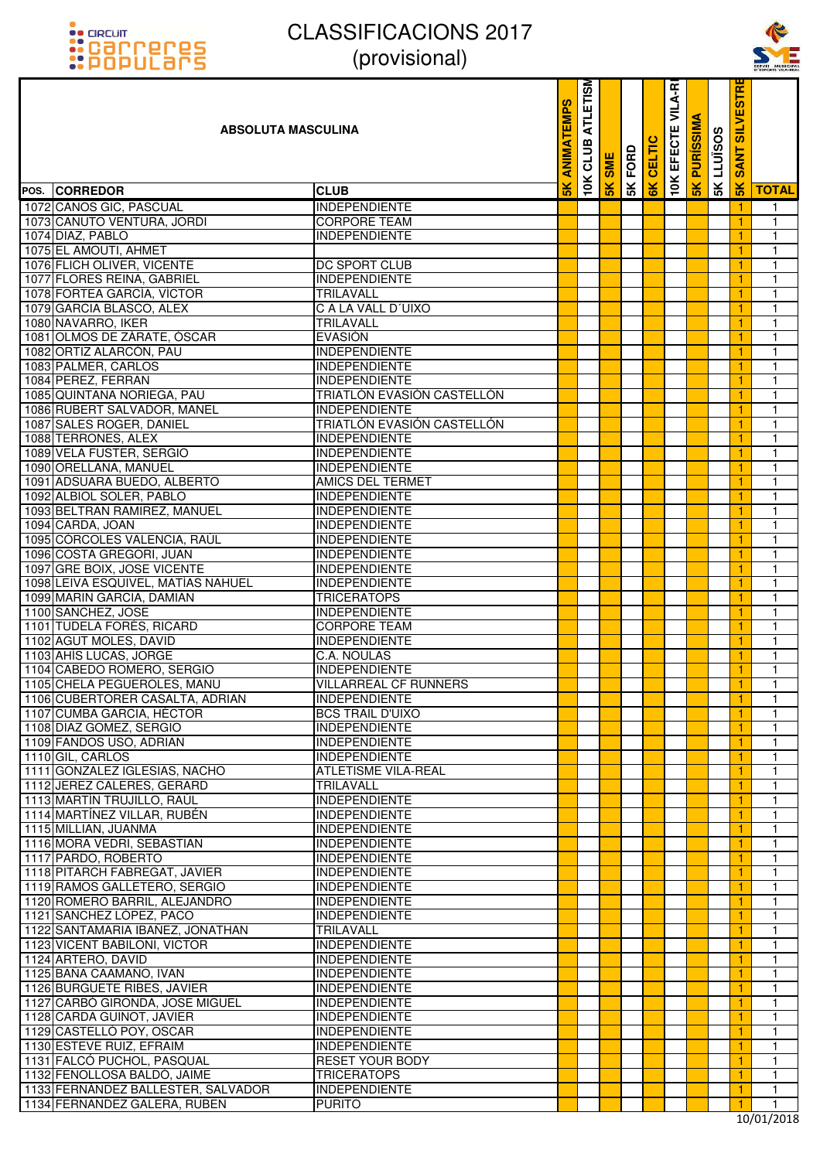# ::acum<br>::Carreres<br>::POPULars

## CLASSIFICACIONS 2017 (provisional)



| <u>::PUPULdI'S</u>                                                | $\mu$ וטופוטטוען $\mu$                       |                 |                  |            |                |        |                          |                     |                   |                                          | SERVEI MUNICIPA<br>D'ESPORTS VILA-REA |
|-------------------------------------------------------------------|----------------------------------------------|-----------------|------------------|------------|----------------|--------|--------------------------|---------------------|-------------------|------------------------------------------|---------------------------------------|
| ABSOLUTA MASCULINA                                                |                                              | စ္မ<br>틸<br>⋖   | ATLETISM<br>CLUB | <b>SME</b> | <b>SK FORD</b> | CELTIC | <b>10K EFECTE VILA-R</b> | <b>SK PURISSIMA</b> | <b>SK LLUISOS</b> | <b>ESTRI</b><br><b>INTIS</b><br>ANT<br>ທ |                                       |
| POS. CORREDOR                                                     | <b>CLUB</b>                                  | $\frac{2}{\pi}$ | <b>10K</b>       | 5K         |                | 6K     |                          |                     |                   | $\frac{1}{5}$                            | <b>TOTAL</b>                          |
| 1072 CANOS GIC, PASCUAL                                           | <b>INDEPENDIENTE</b>                         |                 |                  |            |                |        |                          |                     |                   | -1                                       | $\mathbf{1}$                          |
| 1073 CANUTO VENTURA, JORDI                                        | <b>CORPORE TEAM</b>                          |                 |                  |            |                |        |                          |                     |                   |                                          | $\mathbf{1}$                          |
| 1074 DIAZ, PABLO                                                  | <b>INDEPENDIENTE</b>                         |                 |                  |            |                |        |                          |                     |                   |                                          | $\mathbf{1}$                          |
| 1075 EL AMOUTI, AHMET                                             |                                              |                 |                  |            |                |        |                          |                     |                   |                                          | 1                                     |
| 1076 FLICH OLIVER, VICENTE                                        | DC SPORT CLUB                                |                 |                  |            |                |        |                          |                     |                   |                                          | $\mathbf{1}$                          |
| 1077 FLORES REINA, GABRIEL                                        | <b>INDEPENDIENTE</b>                         |                 |                  |            |                |        |                          |                     |                   | $\mathbf{1}$                             | $\mathbf{1}$                          |
| 1078 FORTEA GARCÍA, VÍCTOR                                        | TRILAVALL                                    |                 |                  |            |                |        |                          |                     |                   | 1                                        | $\mathbf{1}$                          |
| 1079 GARCIA BLASCO, ALEX                                          | C A LA VALL D'UIXO                           |                 |                  |            |                |        |                          |                     |                   | 1                                        | $\mathbf 1$                           |
| 1080 NAVARRO, IKER                                                | <b>TRILAVALL</b>                             |                 |                  |            |                |        |                          |                     |                   | 1                                        | 1                                     |
| 1081 OLMOS DE ZÁRATE, ÓSCAR<br>1082 ORTIZ ALARCON, PAU            | <b>EVASIÓN</b>                               |                 |                  |            |                |        |                          |                     |                   | -1                                       | $\mathbf{1}$                          |
| 1083 PALMER, CARLOS                                               | <b>INDEPENDIENTE</b><br><b>INDEPENDIENTE</b> |                 |                  |            |                |        |                          |                     |                   | 1<br>1                                   | $\mathbf{1}$<br>$\mathbf{1}$          |
| 1084 PEREZ, FERRAN                                                | <b>INDEPENDIENTE</b>                         |                 |                  |            |                |        |                          |                     |                   | 1                                        | $\mathbf{1}$                          |
| 1085 QUINTANA NORIEGA, PAU                                        | TRIATLÓN EVASIÓN CASTELLÓN                   |                 |                  |            |                |        |                          |                     |                   | 1                                        | $\mathbf{1}$                          |
| 1086 RUBERT SALVADOR, MANEL                                       | <b>INDEPENDIENTE</b>                         |                 |                  |            |                |        |                          |                     |                   |                                          | $\mathbf{1}$                          |
| 1087 SALES ROGER, DANIEL                                          | TRIATLÓN EVASIÓN CASTELLÓN                   |                 |                  |            |                |        |                          |                     |                   | 1                                        | $\mathbf{1}$                          |
| 1088 TERRONES, ALEX                                               | <b>INDEPENDIENTE</b>                         |                 |                  |            |                |        |                          |                     |                   |                                          | $\mathbf{1}$                          |
| 1089 VELA FUSTER, SERGIO                                          | <b>INDEPENDIENTE</b>                         |                 |                  |            |                |        |                          |                     |                   | 1                                        | $\mathbf{1}$                          |
| 1090 ORELLANA, MANUEL                                             | <b>INDEPENDIENTE</b>                         |                 |                  |            |                |        |                          |                     |                   | 1                                        | $\mathbf{1}$                          |
| 1091 ADSUARA BUEDO, ALBERTO                                       | <b>AMICS DEL TERMET</b>                      |                 |                  |            |                |        |                          |                     |                   | 1                                        | $\mathbf{1}$                          |
| 1092 ALBIOL SOLER, PABLO                                          | <b>INDEPENDIENTE</b>                         |                 |                  |            |                |        |                          |                     |                   |                                          | $\mathbf{1}$                          |
| 1093 BELTRAN RAMIREZ, MANUEL                                      | <b>INDEPENDIENTE</b>                         |                 |                  |            |                |        |                          |                     |                   | 1                                        | $\mathbf{1}$                          |
| 1094 CARDA, JOAN                                                  | <b>INDEPENDIENTE</b>                         |                 |                  |            |                |        |                          |                     |                   | 1                                        | $\mathbf{1}$                          |
| 1095 CÓRCOLES VALENCIA, RAÚL                                      | INDEPENDIENTE                                |                 |                  |            |                |        |                          |                     |                   |                                          | $\mathbf{1}$                          |
| 1096 COSTA GREGORI, JUAN                                          | <b>INDEPENDIENTE</b>                         |                 |                  |            |                |        |                          |                     |                   |                                          | $\mathbf{1}$                          |
| 1097 GRE BOIX, JOSE VICENTE<br>1098 LEIVA ESQUIVEL, MATÍAS NAHUEL | <b>INDEPENDIENTE</b><br><b>INDEPENDIENTE</b> |                 |                  |            |                |        |                          |                     |                   | 1<br>1                                   | $\mathbf{1}$<br>$\mathbf{1}$          |
| 1099 MARIN GARCIA, DAMIAN                                         | <b>TRICERATOPS</b>                           |                 |                  |            |                |        |                          |                     |                   | 1                                        | $\mathbf{1}$                          |
| 1100 SANCHEZ, JOSE                                                | <b>INDEPENDIENTE</b>                         |                 |                  |            |                |        |                          |                     |                   | 1                                        | $\mathbf{1}$                          |
| 1101 TUDELA FORÉS, RICARD                                         | <b>CORPORE TEAM</b>                          |                 |                  |            |                |        |                          |                     |                   | 1                                        | $\mathbf{1}$                          |
| 1102 AGUT MOLES, DAVID                                            | <b>INDEPENDIENTE</b>                         |                 |                  |            |                |        |                          |                     |                   |                                          | $\mathbf{1}$                          |
| 1103 AHÍS LUCAS, JORGE                                            | C.A. NOULAS                                  |                 |                  |            |                |        |                          |                     |                   | 1                                        | $\mathbf{1}$                          |
| 1104 CABEDO ROMERO, SERGIO                                        | <b>INDEPENDIENTE</b>                         |                 |                  |            |                |        |                          |                     |                   | 1                                        | $\mathbf{1}$                          |
| 1105 CHELA PEGUEROLES, MANU                                       | <b>VILLARREAL CF RUNNERS</b>                 |                 |                  |            |                |        |                          |                     |                   | -1                                       | -1                                    |
| 1106 CUBERTORER CASALTA, ADRIAN                                   | <b>INDEPENDIENTE</b>                         |                 |                  |            |                |        |                          |                     |                   | 1                                        | $\mathbf{1}$                          |
| 1107 CUMBA GARCIA, HÉCTOR                                         | <b>BCS TRAIL D'UIXO</b>                      |                 |                  |            |                |        |                          |                     |                   | 1                                        | $\mathbf{1}$                          |
| 1108 DIAZ GOMEZ, SERGIO<br>1109 FANDOS USO, ADRIAN                | <b>INDEPENDIENTE</b><br><b>INDEPENDIENTE</b> |                 |                  |            |                |        |                          |                     |                   | 1<br>$\mathbf{1}$                        | $\mathbf{1}$<br>$\mathbf{1}$          |
| 1110 GIL, CARLOS                                                  | <b>INDEPENDIENTE</b>                         |                 |                  |            |                |        |                          |                     |                   | 1                                        | $\mathbf{1}$                          |
| 1111 GONZALEZ IGLESIAS, NACHO                                     | <b>ATLETISME VILA-REAL</b>                   |                 |                  |            |                |        |                          |                     |                   | 1                                        | $\mathbf{1}$                          |
| 1112 JEREZ CALERES, GERARD                                        | TRILAVALL                                    |                 |                  |            |                |        |                          |                     |                   | 1                                        | $\mathbf{1}$                          |
| 1113 MARTÍN TRUJILLO, RAÚL                                        | <b>INDEPENDIENTE</b>                         |                 |                  |            |                |        |                          |                     |                   | $\mathbf{1}$                             | $\mathbf{1}$                          |
| 1114 MARTÍNEZ VILLAR, RUBÉN                                       | <b>INDEPENDIENTE</b>                         |                 |                  |            |                |        |                          |                     |                   | 1                                        | $\mathbf{1}$                          |
| 1115 MILLIAN, JUANMA                                              | <b>INDEPENDIENTE</b>                         |                 |                  |            |                |        |                          |                     |                   | $\mathbf{1}$                             | $\mathbf{1}$                          |
| 1116 MORA VEDRI, SEBASTIAN                                        | <b>INDEPENDIENTE</b>                         |                 |                  |            |                |        |                          |                     |                   | 1                                        | $\mathbf{1}$                          |
| 1117 PARDO, ROBERTO                                               | <b>INDEPENDIENTE</b>                         |                 |                  |            |                |        |                          |                     |                   | 1                                        | $\mathbf{1}$                          |
| 1118 PITARCH FABREGAT, JAVIER                                     | <b>INDEPENDIENTE</b>                         |                 |                  |            |                |        |                          |                     |                   | 1                                        | $\mathbf{1}$                          |
| 1119 RAMOS GALLETERO, SERGIO<br>1120 ROMERO BARRIL, ALEJANDRO     | <b>INDEPENDIENTE</b><br><b>INDEPENDIENTE</b> |                 |                  |            |                |        |                          |                     |                   | 1<br>1                                   | $\mathbf{1}$<br>$\mathbf{1}$          |
| 1121 SANCHEZ LÓPEZ, PACO                                          | <b>INDEPENDIENTE</b>                         |                 |                  |            |                |        |                          |                     |                   | 1                                        | $\mathbf{1}$                          |
| 1122 SANTAMARIA IBAÑEZ, JONATHAN                                  | TRILAVALL                                    |                 |                  |            |                |        |                          |                     |                   | 1                                        | $\mathbf{1}$                          |
| 1123 VICENT BABILONI, VICTOR                                      | <b>INDEPENDIENTE</b>                         |                 |                  |            |                |        |                          |                     |                   | 1                                        | $\mathbf{1}$                          |
| 1124 ARTERO, DAVID                                                | <b>INDEPENDIENTE</b>                         |                 |                  |            |                |        |                          |                     |                   | 1                                        | $\mathbf{1}$                          |
| 1125 BAÑA CAAMAÑO, IVAN                                           | <b>INDEPENDIENTE</b>                         |                 |                  |            |                |        |                          |                     |                   | $\mathbf{1}$                             | $\mathbf{1}$                          |
| 1126 BURGUETE RIBES, JAVIER                                       | <b>INDEPENDIENTE</b>                         |                 |                  |            |                |        |                          |                     |                   | 1                                        | $\mathbf{1}$                          |
| 1127 CARBÓ GIRONDA, JOSE MIGUEL                                   | <b>INDEPENDIENTE</b>                         |                 |                  |            |                |        |                          |                     |                   | 1                                        | $\mathbf{1}$                          |
| 1128 CARDA GUINOT, JAVIER                                         | <b>INDEPENDIENTE</b>                         |                 |                  |            |                |        |                          |                     |                   | 1                                        | $\mathbf{1}$                          |
| 1129 CASTELLÓ POY, OSCAR<br>1130 ESTEVE RUIZ, EFRAIM              | <b>INDEPENDIENTE</b><br><b>INDEPENDIENTE</b> |                 |                  |            |                |        |                          |                     |                   | $\mathbf{1}$<br>1                        | $\mathbf{1}$<br>$\mathbf{1}$          |
| 1131 FALCÓ PUCHOL, PASQUAL                                        | <b>RESET YOUR BODY</b>                       |                 |                  |            |                |        |                          |                     |                   | $\mathbf{1}$                             | $\mathbf{1}$                          |
| 1132 FENOLLOSA BALDÓ, JAIME                                       | <b>TRICERATOPS</b>                           |                 |                  |            |                |        |                          |                     |                   | 1                                        | $\mathbf{1}$                          |
| 1133 FERNÁNDEZ BALLESTER, SALVADOR                                | <b>INDEPENDIENTE</b>                         |                 |                  |            |                |        |                          |                     |                   | $\mathbf{1}$                             | $\mathbf{1}$                          |
| 1134 FERNANDEZ GALERA, RUBEN                                      | <b>PURITO</b>                                |                 |                  |            |                |        |                          |                     |                   | 1                                        | $\mathbf{1}$                          |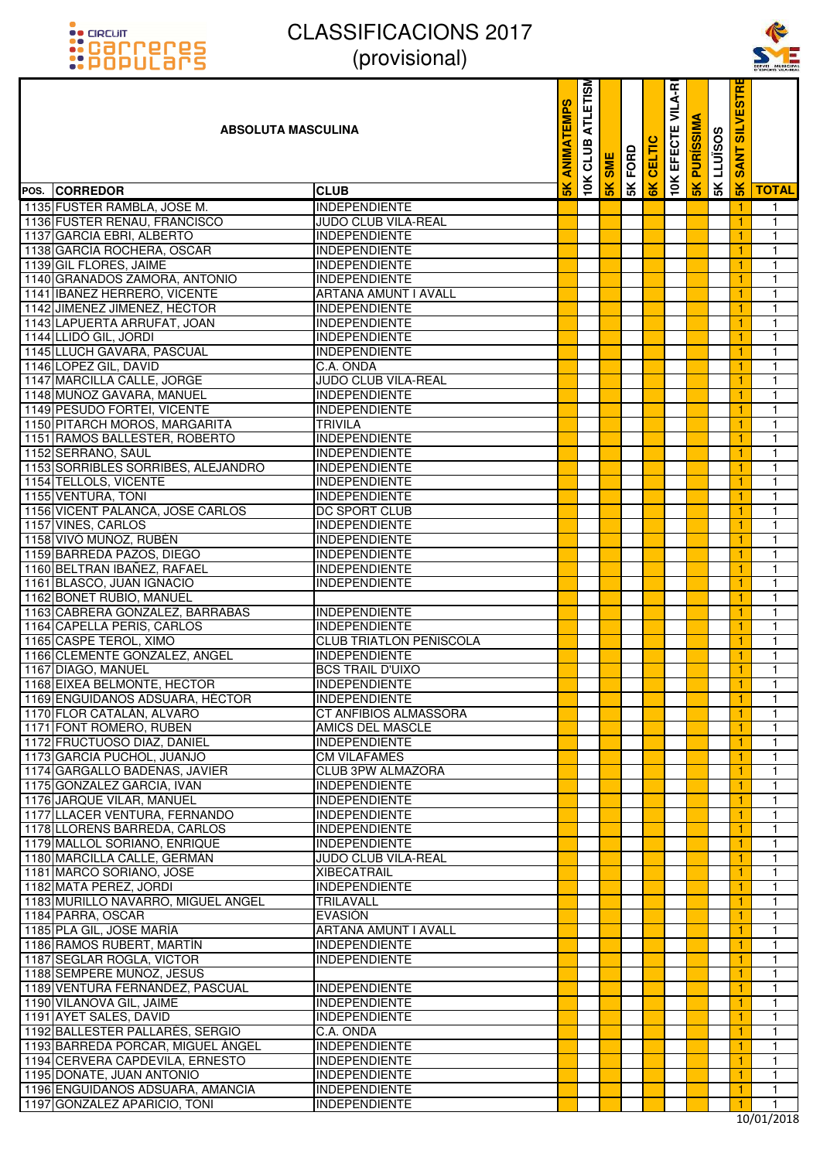



| <u>::PUPULdI'S</u>                                                   | $\mu$ וטוסווטונ $\mu$                        |                     |                                    |            |                |               |                          |                  |                   |                                             | SERVEI MUNICIPA<br>D'ESPORTS VILA-REA |
|----------------------------------------------------------------------|----------------------------------------------|---------------------|------------------------------------|------------|----------------|---------------|--------------------------|------------------|-------------------|---------------------------------------------|---------------------------------------|
| <b>ABSOLUTA MASCULINA</b>                                            |                                              | <b>EMPS</b><br>ANIM | <b>ATLETISM</b><br>≃<br><b>DTC</b> | <b>SME</b> | <b>SK FORD</b> | CELTIC        | <b>10K EFECTE VILA-R</b> | <b>PURISSIMA</b> | <b>SK LLUISOS</b> | <b>ESTRI</b><br><b>INTIS</b><br><b>SANT</b> |                                       |
| POS. CORREDOR                                                        | <b>CLUB</b>                                  | $\frac{1}{2}$       | 10K                                | 5K         |                | $\frac{1}{6}$ |                          | $\frac{8}{5}$    |                   | 5K                                          | <b>TOTAL</b>                          |
| 1135 FUSTER RAMBLA, JOSE M.                                          | <b>INDEPENDIENTE</b>                         |                     |                                    |            |                |               |                          |                  |                   | -1                                          | $\mathbf{1}$                          |
| 1136 FUSTER RENAU, FRANCISCO                                         | JUDO CLUB VILA-REAL                          |                     |                                    |            |                |               |                          |                  |                   | 1                                           | $\mathbf{1}$                          |
| 1137 GARCIA EBRI, ALBERTO                                            | <b>INDEPENDIENTE</b>                         |                     |                                    |            |                |               |                          |                  |                   | 1                                           | 1                                     |
| 1138 GARCÍA ROCHERA, OSCAR                                           | <b>INDEPENDIENTE</b>                         |                     |                                    |            |                |               |                          |                  |                   | 1                                           | 1                                     |
| 1139 GIL FLORES, JAIME                                               | <b>INDEPENDIENTE</b>                         |                     |                                    |            |                |               |                          |                  |                   |                                             | $\mathbf{1}$                          |
| 1140 GRANADOS ZAMORA, ANTONIO                                        | <b>INDEPENDIENTE</b>                         |                     |                                    |            |                |               |                          |                  |                   | 1                                           | $\mathbf{1}$                          |
| 1141 BANEZ HERRERO, VICENTE                                          | <b>ARTANA AMUNT I AVALL</b>                  |                     |                                    |            |                |               |                          |                  |                   | 1                                           | 1                                     |
| 1142 JIMENEZ JIMENEZ, HECTOR                                         | <b>INDEPENDIENTE</b>                         |                     |                                    |            |                |               |                          |                  |                   | -1                                          | $\mathbf{1}$                          |
| 1143 LAPUERTA ARRUFAT, JOAN                                          | <b>INDEPENDIENTE</b>                         |                     |                                    |            |                |               |                          |                  |                   | 1                                           | $\mathbf{1}$                          |
| 1144 LLIDO GIL, JORDI<br>1145 LLUCH GAVARA, PASCUAL                  | <b>INDEPENDIENTE</b><br><b>INDEPENDIENTE</b> |                     |                                    |            |                |               |                          |                  |                   | -1                                          | $\mathbf{1}$<br>1                     |
| 1146 LOPEZ GIL, DAVID                                                | C.A. ONDA                                    |                     |                                    |            |                |               |                          |                  |                   | 1<br>1                                      | 1                                     |
| 1147 MARCILLA CALLE, JORGE                                           | <b>JUDO CLUB VILA-REAL</b>                   |                     |                                    |            |                |               |                          |                  |                   |                                             | $\mathbf{1}$                          |
| 1148 MUÑOZ GAVARA, MANUEL                                            | <b>INDEPENDIENTE</b>                         |                     |                                    |            |                |               |                          |                  |                   | $\mathbf{1}$                                | $\mathbf{1}$                          |
| 1149 PESUDO FORTEI, VICENTE                                          | <b>INDEPENDIENTE</b>                         |                     |                                    |            |                |               |                          |                  |                   | 1                                           | $\mathbf{1}$                          |
| 1150 PITARCH MOROS, MARGARITA                                        | <b>TRIVILA</b>                               |                     |                                    |            |                |               |                          |                  |                   | 1                                           | 1                                     |
| 1151 RAMOS BALLESTER, ROBERTO                                        | <b>INDEPENDIENTE</b>                         |                     |                                    |            |                |               |                          |                  |                   |                                             | $\mathbf{1}$                          |
| 1152 SERRANO, SAUL                                                   | <b>INDEPENDIENTE</b>                         |                     |                                    |            |                |               |                          |                  |                   | 1                                           | $\mathbf{1}$                          |
| 1153 SORRIBLES SORRIBES, ALEJANDRO                                   | <b>INDEPENDIENTE</b>                         |                     |                                    |            |                |               |                          |                  |                   |                                             | $\mathbf{1}$                          |
| 1154 TELLOLS, VICENTE                                                | <b>INDEPENDIENTE</b>                         |                     |                                    |            |                |               |                          |                  |                   | 1                                           | 1                                     |
| 1155 VENTURA, TONI                                                   | <b>INDEPENDIENTE</b>                         |                     |                                    |            |                |               |                          |                  |                   |                                             | $\mathbf{1}$                          |
| 1156 VICENT PALANCA, JOSE CARLOS                                     | DC SPORT CLUB                                |                     |                                    |            |                |               |                          |                  |                   | 1                                           | $\mathbf{1}$                          |
| 1157 VINES, CARLOS                                                   | <b>INDEPENDIENTE</b>                         |                     |                                    |            |                |               |                          |                  |                   |                                             | $\mathbf{1}$                          |
| 1158 VIVÓ MUÑOZ, RUBÉN                                               | <b>INDEPENDIENTE</b>                         |                     |                                    |            |                |               |                          |                  |                   |                                             | 1                                     |
| 1159 BARREDA PAZOS, DIEGO<br>1160 BELTRAN IBAÑEZ, RAFAEL             | <b>INDEPENDIENTE</b><br><b>INDEPENDIENTE</b> |                     |                                    |            |                |               |                          |                  |                   | 1                                           | $\mathbf{1}$<br>$\mathbf{1}$          |
| 1161 BLASCO, JUAN IGNACIO                                            | <b>INDEPENDIENTE</b>                         |                     |                                    |            |                |               |                          |                  |                   | 1                                           | $\mathbf{1}$                          |
| 1162 BONET RUBIO, MANUEL                                             |                                              |                     |                                    |            |                |               |                          |                  |                   | 1                                           | $\mathbf{1}$                          |
| 1163 CABRERA GONZALEZ, BARRABAS                                      | <b>INDEPENDIENTE</b>                         |                     |                                    |            |                |               |                          |                  |                   |                                             | $\mathbf{1}$                          |
| 1164 CAPELLA PERIS, CARLOS                                           | <b>INDEPENDIENTE</b>                         |                     |                                    |            |                |               |                          |                  |                   | 1                                           | $\mathbf{1}$                          |
| 1165 CASPE TEROL, XIMO                                               | <b>CLUB TRIATLON PEÑISCOLA</b>               |                     |                                    |            |                |               |                          |                  |                   |                                             | $\mathbf{1}$                          |
| 1166 CLEMENTE GONZALEZ, ANGEL                                        | <b>INDEPENDIENTE</b>                         |                     |                                    |            |                |               |                          |                  |                   | 1                                           | 1                                     |
| 1167 DIAGO, MANUEL                                                   | <b>BCS TRAIL D'UIXO</b>                      |                     |                                    |            |                |               |                          |                  |                   | -1                                          | $\mathbf{1}$                          |
| 1168 EIXEA BELMONTE, HECTOR                                          | <b>INDEPENDIENTE</b>                         |                     |                                    |            |                |               |                          |                  |                   | -1                                          | -1                                    |
| 1169 ENGUIDANOS ADSUARA, HÉCTOR                                      | <b>INDEPENDIENTE</b>                         |                     |                                    |            |                |               |                          |                  |                   | 1                                           | 1                                     |
| 1170 FLOR CATALÁN, ALVARO<br>1171 FONT ROMERO, RUBEN                 | CT ANFIBIOS ALMASSORA<br>AMICS DEL MASCLE    |                     |                                    |            |                |               |                          |                  |                   | 1                                           | $\mathbf{1}$<br>$\mathbf{1}$          |
| 1172 FRUCTUOSO DIAZ, DANIEL                                          | <b>INDEPENDIENTE</b>                         |                     |                                    |            |                |               |                          |                  |                   | 1                                           | $\mathbf{1}$                          |
| 1173 GARCIA PUCHOL, JUANJO                                           | <b>CM VILAFAMES</b>                          |                     |                                    |            |                |               |                          |                  |                   | 1                                           | $\mathbf{1}$                          |
| 1174 GARGALLO BADENAS, JAVIER                                        | CLUB 3PW ALMAZORA                            |                     |                                    |            |                |               |                          |                  |                   | -1                                          | 1                                     |
| 1175 GONZALEZ GARCIA, IVAN                                           | <b>INDEPENDIENTE</b>                         |                     |                                    |            |                |               |                          |                  |                   |                                             | 1                                     |
| 1176 JARQUE VILAR, MANUEL                                            | <b>INDEPENDIENTE</b>                         |                     |                                    |            |                |               |                          |                  |                   | -1                                          | $\mathbf{1}$                          |
| 1177 LLACER VENTURA, FERNANDO                                        | <b>INDEPENDIENTE</b>                         |                     |                                    |            |                |               |                          |                  |                   | 1                                           | $\mathbf{1}$                          |
| 1178 LLORENS BARREDA, CARLOS                                         | <b>INDEPENDIENTE</b>                         |                     |                                    |            |                |               |                          |                  |                   | -1                                          | $\mathbf{1}$                          |
| 1179 MALLOL SORIANO, ENRIQUE                                         | <b>INDEPENDIENTE</b>                         |                     |                                    |            |                |               |                          |                  |                   | -1                                          | $\mathbf{1}$                          |
| 1180 MARCILLA CALLE, GERMÁN                                          | <b>JUDO CLUB VILA-REAL</b>                   |                     |                                    |            |                |               |                          |                  |                   | 1                                           | $\mathbf{1}$                          |
| 1181 MARCO SORIANO, JOSE                                             | <b>XIBECATRAIL</b>                           |                     |                                    |            |                |               |                          |                  |                   | 1                                           | $\mathbf{1}$                          |
| 1182 MATA PEREZ, JORDI<br>1183 MURILLO NAVARRO, MIGUEL ANGEL         | <b>INDEPENDIENTE</b><br>TRILAVALL            |                     |                                    |            |                |               |                          |                  |                   | 1                                           | $\mathbf{1}$<br>$\mathbf{1}$          |
| 1184 PARRA, OSCAR                                                    | <b>EVASIÓN</b>                               |                     |                                    |            |                |               |                          |                  |                   | 1                                           | $\mathbf{1}$                          |
| 1185 PLA GIL, JOSE MARÍA                                             | ARTANA AMUNT I AVALL                         |                     |                                    |            |                |               |                          |                  |                   | 1                                           | $\mathbf{1}$                          |
| 1186 RAMOS RUBERT, MARTIN                                            | <b>INDEPENDIENTE</b>                         |                     |                                    |            |                |               |                          |                  |                   | -1                                          | 1                                     |
| 1187 SEGLAR ROGLA, VICTOR                                            | <b>INDEPENDIENTE</b>                         |                     |                                    |            |                |               |                          |                  |                   | 1                                           | 1                                     |
| 1188 SEMPERE MUÑOZ, JESUS                                            |                                              |                     |                                    |            |                |               |                          |                  |                   | 1                                           | $\mathbf{1}$                          |
| 1189 VENTURA FERNÁNDEZ, PASCUAL                                      | <b>INDEPENDIENTE</b>                         |                     |                                    |            |                |               |                          |                  |                   | 1                                           | $\mathbf{1}$                          |
| 1190 VILANOVA GIL, JAIME                                             | <b>INDEPENDIENTE</b>                         |                     |                                    |            |                |               |                          |                  |                   | 1                                           | $\mathbf{1}$                          |
| 1191 AYET SALES, DAVID                                               | <b>INDEPENDIENTE</b>                         |                     |                                    |            |                |               |                          |                  |                   | -1                                          | $\mathbf{1}$                          |
| 1192 BALLESTER PALLARÉS, SERGIO<br>1193 BARREDA PORCAR, MIGUEL ÁNGEL | C.A. ONDA<br><b>INDEPENDIENTE</b>            |                     |                                    |            |                |               |                          |                  |                   | 1                                           | $\mathbf{1}$<br>1                     |
| 1194 CERVERA CAPDEVILA, ERNESTO                                      | <b>INDEPENDIENTE</b>                         |                     |                                    |            |                |               |                          |                  |                   | 1<br>1                                      | $\mathbf{1}$                          |
| 1195 DOÑATE, JUAN ANTONIO                                            | <b>INDEPENDIENTE</b>                         |                     |                                    |            |                |               |                          |                  |                   | 1                                           | $\mathbf{1}$                          |
| 1196 ENGUIDANOS ADSUARA, AMANCIA                                     | <b>INDEPENDIENTE</b>                         |                     |                                    |            |                |               |                          |                  |                   | 1                                           | $\mathbf{1}$                          |
| 1197 GONZALEZ APARICIO, TONI                                         | <b>INDEPENDIENTE</b>                         |                     |                                    |            |                |               |                          |                  |                   | 1                                           | $\mathbf{1}$                          |